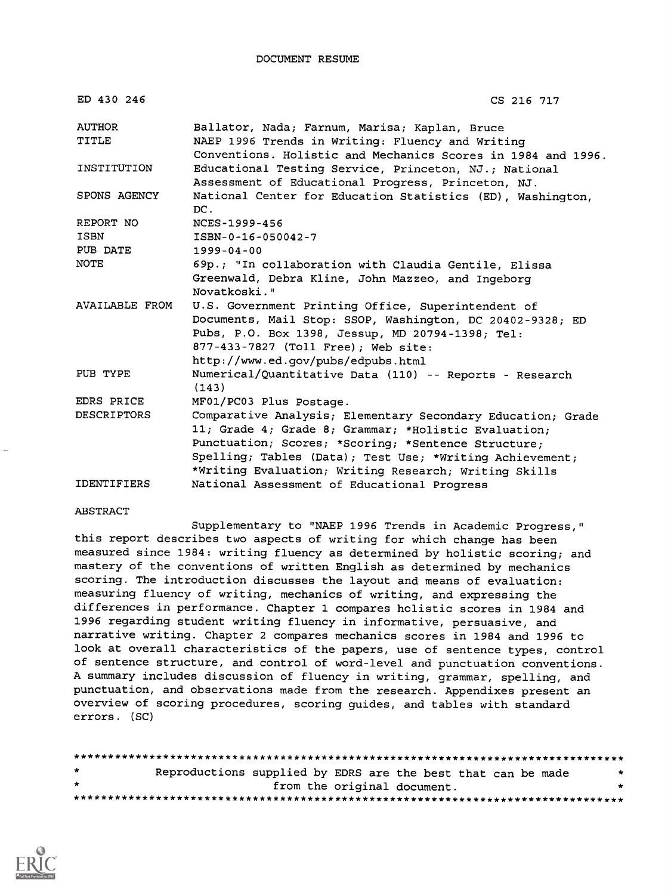| ED 430 246            | CS 216 717                                                                                                       |
|-----------------------|------------------------------------------------------------------------------------------------------------------|
| <b>AUTHOR</b>         | Ballator, Nada; Farnum, Marisa; Kaplan, Bruce                                                                    |
| TITLE                 | NAEP 1996 Trends in Writing: Fluency and Writing<br>Conventions. Holistic and Mechanics Scores in 1984 and 1996. |
| INSTITUTION           | Educational Testing Service, Princeton, NJ.; National<br>Assessment of Educational Progress, Princeton, NJ.      |
| SPONS AGENCY          | National Center for Education Statistics (ED), Washington,<br>DC.                                                |
| REPORT NO             | NCES-1999-456                                                                                                    |
| ISBN                  | ISBN-0-16-050042-7                                                                                               |
| PUB DATE              | $1999 - 04 - 00$                                                                                                 |
| <b>NOTE</b>           | 69p.; "In collaboration with Claudia Gentile, Elissa                                                             |
|                       | Greenwald, Debra Kline, John Mazzeo, and Ingeborg<br>Novatkoski."                                                |
| <b>AVAILABLE FROM</b> | U.S. Government Printing Office, Superintendent of                                                               |
|                       | Documents, Mail Stop: SSOP, Washington, DC 20402-9328; ED                                                        |
|                       | Pubs, P.O. Box 1398, Jessup, MD 20794-1398; Tel:                                                                 |
|                       | 877-433-7827 (Toll Free); Web site:                                                                              |
|                       | http://www.ed.gov/pubs/edpubs.html                                                                               |
| PUB TYPE              | Numerical/Quantitative Data (110) -- Reports - Research<br>(143)                                                 |
| EDRS PRICE            | MF01/PC03 Plus Postage.                                                                                          |
| <b>DESCRIPTORS</b>    | Comparative Analysis; Elementary Secondary Education; Grade                                                      |
|                       | 11; Grade 4; Grade 8; Grammar; *Holistic Evaluation;                                                             |
|                       | Punctuation; Scores; *Scoring; *Sentence Structure;                                                              |
|                       | Spelling; Tables (Data); Test Use; *Writing Achievement;                                                         |
|                       | *Writing Evaluation; Writing Research; Writing Skills                                                            |
| <b>IDENTIFIERS</b>    | National Assessment of Educational Progress                                                                      |

#### ABSTRACT

Supplementary to "NAEP 1996 Trends in Academic Progress," this report describes two aspects of writing for which change has been measured since 1984: writing fluency as determined by holistic scoring; and mastery of the conventions of written English as determined by mechanics scoring. The introduction discusses the layout and means of evaluation: measuring fluency of writing, mechanics of writing, and expressing the differences in performance. Chapter 1 compares holistic scores in 1984 and 1996 regarding student writing fluency in informative, persuasive, and narrative writing. Chapter 2 compares mechanics scores in 1984 and 1996 to look at overall characteristics of the papers, use of sentence types, control of sentence structure, and control of word-level and punctuation conventions. A summary includes discussion of fluency in writing, grammar, spelling, and punctuation, and observations made from the research. Appendixes present an overview of scoring procedures, scoring guides, and tables with standard errors. (SC)

| $\star$      | Reproductions supplied by EDRS are the best that can be made |                             |  |  |
|--------------|--------------------------------------------------------------|-----------------------------|--|--|
| $\mathbf{r}$ |                                                              | from the original document. |  |  |
|              |                                                              |                             |  |  |

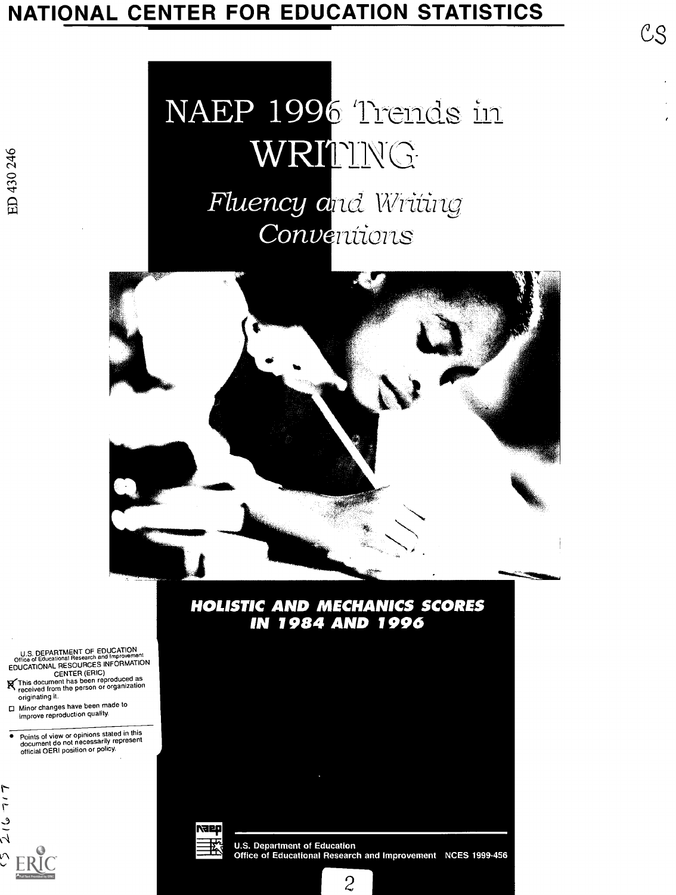# NATIONAL CENTER FOR EDUCATION STATISTICS<br>
CS

# NAEP 1996 Trends in WRITING Fluency and Writing Conventions



#### **HOLISTIC AND MECHANICS SCORES IN 1984 AND 1996**

U.S. DEPARTMENT OF EDUCATION<br>Office of Educational Research and Improvement Office of Educational Research and Improvement<br>EDUCATIONAL RESOURCES INFORMATION

CENTER (ERIC) K-This document has been reproduced as received from the person or organization originating it.

□ Minor changes have been made to improve reproduction quality

Points of view or opinions stated inthis document do not necessarily represent official OERI position or policy



reef

**U.S. Department of Education** Office of Educational Research and Improvement NCES 1999-456

 $\overline{c}$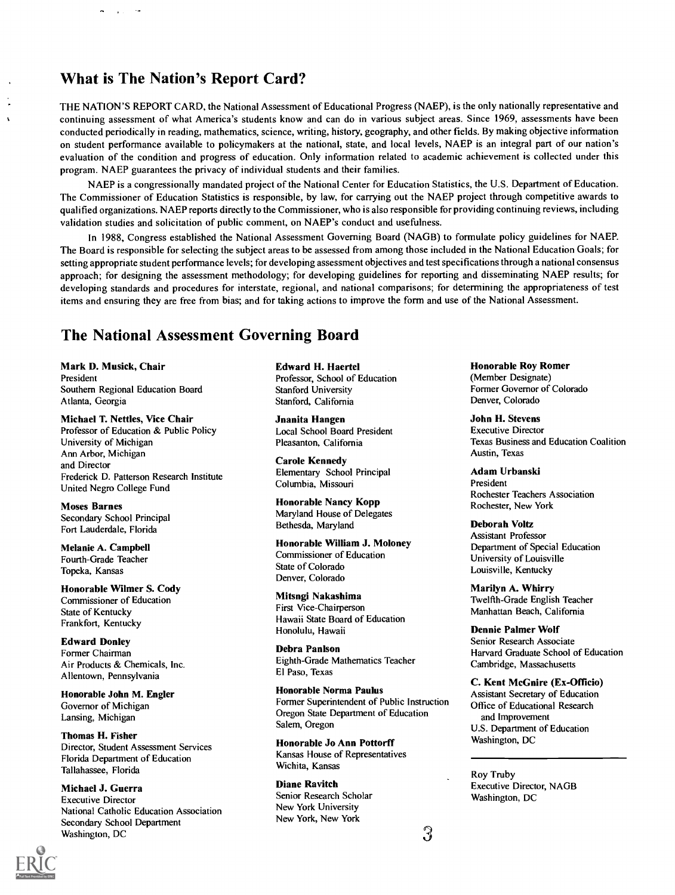#### What is The Nation's Report Card?

 $\ddotsc$ 

 $\ddot{\phantom{0}}$ 

THE NATION'S REPORT CARD, the National Assessment of Educational Progress (NAEP), is the only nationally representative and continuing assessment of what America's students know and can do in various subject areas. Since 1969, assessments have been conducted periodically in reading, mathematics, science, writing, history, geography, and other fields. By making objective information on student performance available to policymakers at the national, state, and local levels, NAEP is an integral part of our nation's evaluation of the condition and progress of education. Only information related to academic achievement is collected under this program. NAEP guarantees the privacy of individual students and their families.

NAEP is a congressionally mandated project of the National Center for Education Statistics, the U.S. Department of Education. The Commissioner of Education Statistics is responsible, by law, for carrying out the NAEP project through competitive awards to qualified organizations. NAEP reports directly to the Commissioner, who is also responsible for providing continuing reviews, including validation studies and solicitation of public comment, on NAEP's conduct and usefulness.

In 1988, Congress established the National Assessment Governing Board (NAGB) to formulate policy guidelines for NAEP. The Board is responsible for selecting the subject areas to be assessed from among those included in the National Education Goals; for setting appropriate student performance levels; for developing assessment objectives and test specifications through a national consensus approach; for designing the assessment methodology; for developing guidelines for reporting and disseminating NAEP results; for developing standards and procedures for interstate, regional, and national comparisons; for determining the appropriateness of test items and ensuring they are free from bias; and for taking actions to improve the form and use of the National Assessment.

#### The National Assessment Governing Board

Mark D. Musick, Chair President Southern Regional Education Board Atlanta, Georgia

Michael T. Nettles, Vice Chair Professor of Education & Public Policy University of Michigan Ann Arbor, Michigan and Director Frederick D. Patterson Research Institute United Negro College Fund

Moses Barnes Secondary School Principal Fort Lauderdale, Florida

Melanie A. Campbell Fourth-Grade Teacher Topeka, Kansas

Honorable Wilmer S. Cody Commissioner of Education State of Kentucky Frankfort, Kentucky

Edward Donley Former Chairman Air Products & Chemicals, Inc. Allentown, Pennsylvania

Honorable John M. Engler Governor of Michigan Lansing, Michigan

Thomas H. Fisher Director, Student Assessment Services Florida Department of Education Tallahassee, Florida

Michael J. Guerra Executive Director National Catholic Education Association Secondary School Department Washington, DC

Edward H. Haertel Professor, School of Education Stanford University Stanford, California

Jnanita Hangen Local School Board President Pleasanton, California

Carole Kennedy Elementary School Principal Columbia, Missouri

Honorable Nancy Kopp Maryland House of Delegates Bethesda, Maryland

Honorable William J. Moloney Commissioner of Education State of Colorado Denver, Colorado

Mitsngi Nakashima First Vice-Chairperson Hawaii State Board of Education Honolulu, Hawaii

Debra Panlson Eighth-Grade Mathematics Teacher El Paso, Texas

Honorable Norma Paulus Former Superintendent of Public Instruction Oregon State Department of Education Salem, Oregon

Honorable Jo Ann Pottorff Kansas House of Representatives Wichita, Kansas

Diane Ravitch Senior Research Scholar New York University New York, New York

Honorable Roy Romer (Member Designate) Former Governor of Colorado Denver, Colorado

John H. Stevens Executive Director Texas Business and Education Coalition Austin, Texas

Adam Urbanski President Rochester Teachers Association Rochester, New York

Deborah Voltz Assistant Professor Department of Special Education University of Louisville Louisville, Kentucky

Marilyn A. Whirry Twelfth-Grade English Teacher Manhattan Beach, California

Dennie Palmer Wolf Senior Research Associate Harvard Graduate School of Education Cambridge, Massachusetts

C. Kent McGnire (Ex-Officio) Assistant Secretary of Education Office of Educational Research and Improvement U.S. Department of Education Washington, DC

Roy Truby Executive Director, NAGB Washington, DC

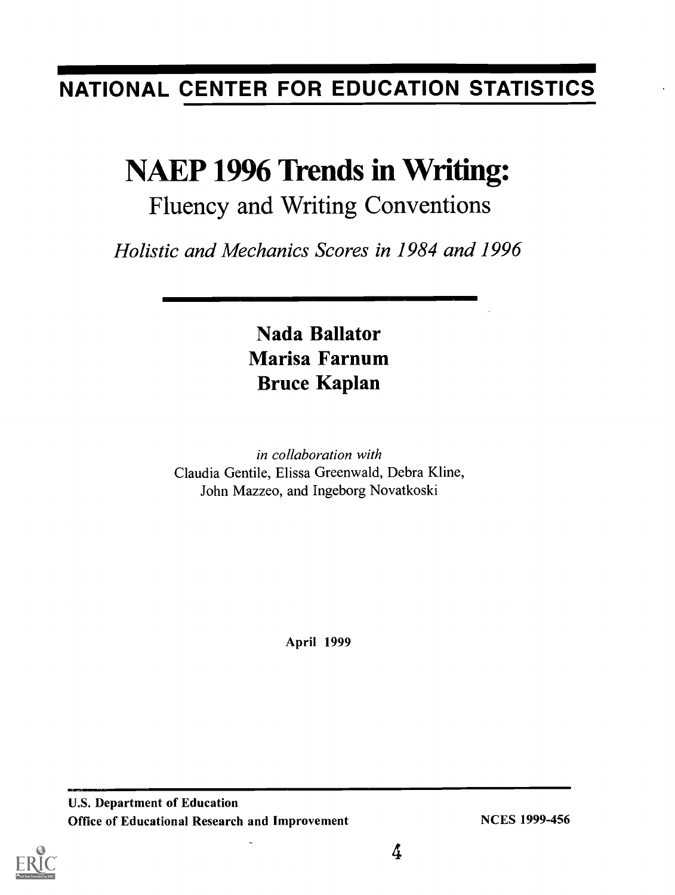## NATIONAL CENTER FOR EDUCATION STATISTICS

## NAEP 1996 Trends in Writing:

## Fluency and Writing Conventions

Holistic and Mechanics Scores in 1984 and 1996

## Nada Ballator Marisa Farnum Bruce Kaplan

in collaboration with Claudia Gentile, Elissa Greenwald, Debra Kline, John Mazzeo, and Ingeborg Novatkoski

April 1999

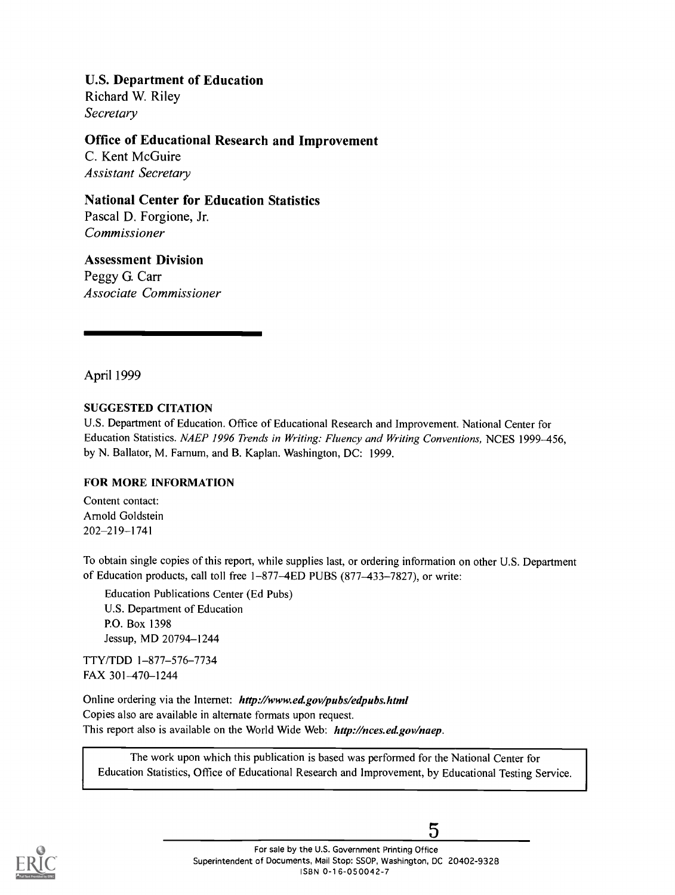#### U.S. Department of Education

Richard W. Riley **Secretary** 

#### Office of Educational Research and Improvement

C. Kent McGuire Assistant Secretary

#### National Center for Education Statistics

Pascal D. Forgione, Jr. Commissioner

#### Assessment Division

Peggy G. Carr Associate Commissioner

April 1999

#### SUGGESTED CITATION

U.S. Department of Education. Office of Educational Research and Improvement. National Center for Education Statistics. NAEP 1996 Trends in Writing: Fluency and Writing Conventions, NCES 1999-456, by N. Ballator, M. Farnum, and B. Kaplan. Washington, DC: 1999.

#### FOR MORE INFORMATION

Content contact: Arnold Goldstein 202-219-1741

To obtain single copies of this report, while supplies last, or ordering information on other U.S. Department of Education products, call toll free 1-877-4ED PUBS (877-433-7827), or write:

Education Publications Center (Ed Pubs) U.S. Department of Education P.O. Box 1398 Jessup, MD 20794-1244

TTY/TDD 1-877-576-7734 FAX 301-470-1244

Online ordering via the Internet: http://www.ed.gov/pubs/edpubs.html Copies also are available in alternate formats upon request. This report also is available on the World Wide Web: http://nces.ed.gov/naep.

The work upon which this publication is based was performed for the National Center for Education Statistics, Office of Educational Research and Improvement, by Educational Testing Service.

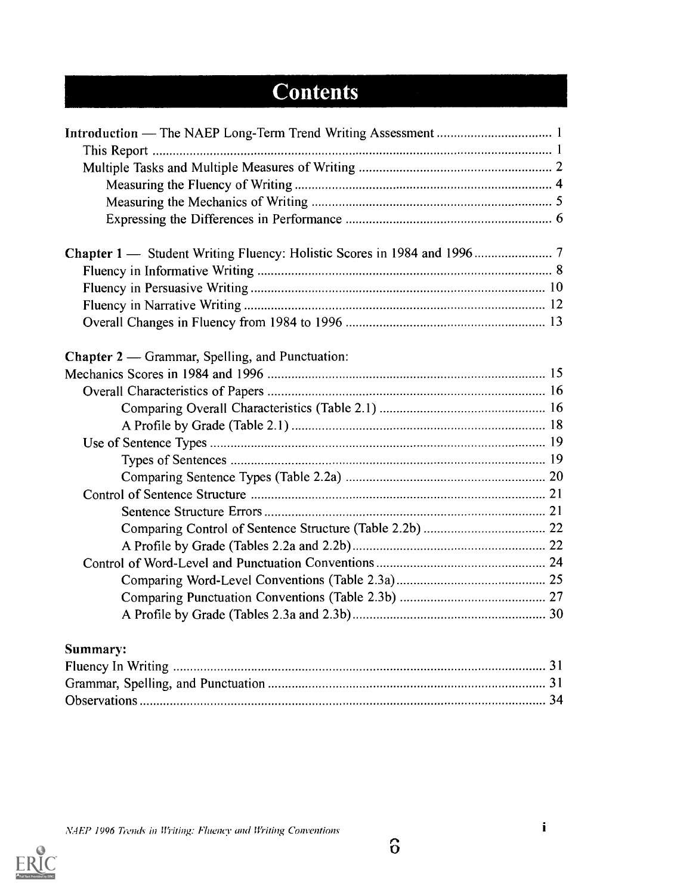## **Contents**

| Chapter 2 — Grammar, Spelling, and Punctuation: |
|-------------------------------------------------|
|                                                 |
|                                                 |
|                                                 |
|                                                 |
|                                                 |
|                                                 |
|                                                 |
|                                                 |
|                                                 |
|                                                 |
|                                                 |
|                                                 |
|                                                 |
|                                                 |
|                                                 |
|                                                 |

### Summary:

NAEP 1996 Trends in Writing: Fluency and Writing Conventions

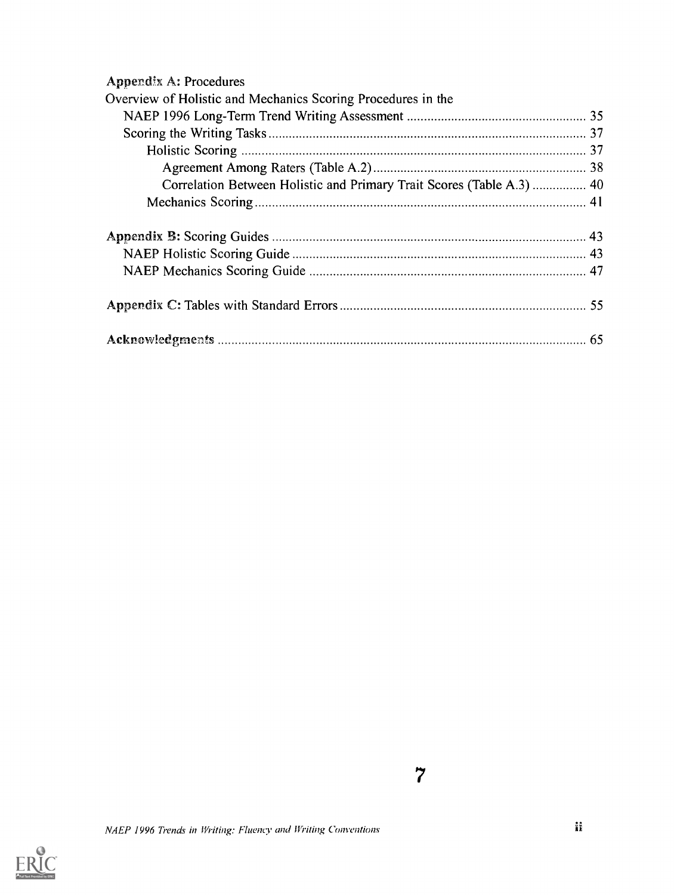| <b>Appendix A: Procedures</b>                                         |  |
|-----------------------------------------------------------------------|--|
| Overview of Holistic and Mechanics Scoring Procedures in the          |  |
|                                                                       |  |
|                                                                       |  |
|                                                                       |  |
|                                                                       |  |
| Correlation Between Holistic and Primary Trait Scores (Table A.3)  40 |  |
|                                                                       |  |
|                                                                       |  |
|                                                                       |  |
|                                                                       |  |
|                                                                       |  |
|                                                                       |  |
|                                                                       |  |
|                                                                       |  |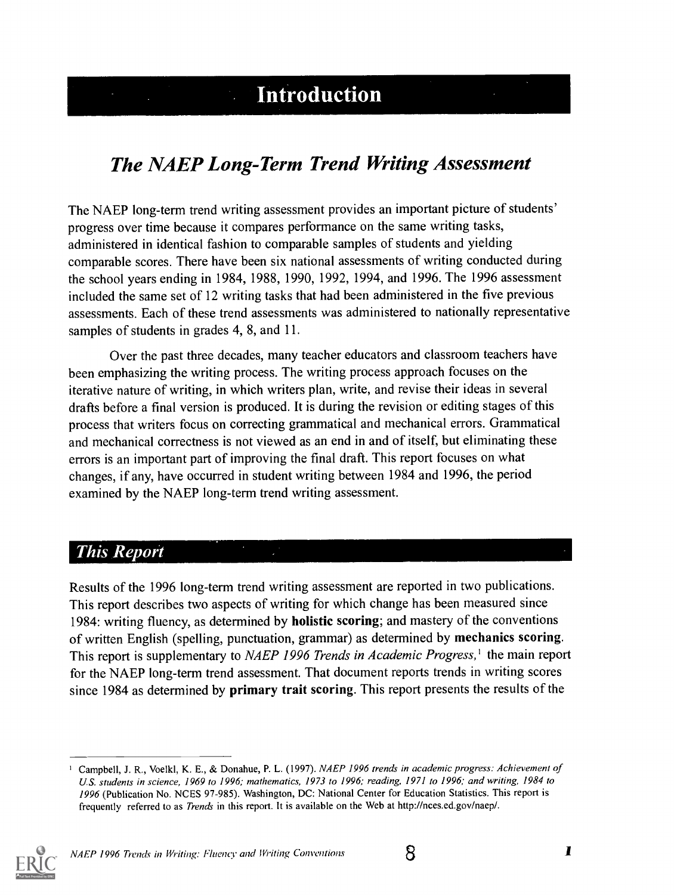## **Example 1** Introduction

## The NAEP Long-Term Trend Writing Assessment

The NAEP long-term trend writing assessment provides an important picture of students' progress over time because it compares performance on the same writing tasks, administered in identical fashion to comparable samples of students and yielding comparable scores. There have been six national assessments of writing conducted during the school years ending in 1984, 1988, 1990, 1992, 1994, and 1996. The 1996 assessment included the same set of 12 writing tasks that had been administered in the five previous assessments. Each of these trend assessments was administered to nationally representative samples of students in grades 4, 8, and 11.

Over the past three decades, many teacher educators and classroom teachers have been emphasizing the writing process. The writing process approach focuses on the iterative nature of writing, in which writers plan, write, and revise their ideas in several drafts before a final version is produced. It is during the revision or editing stages of this process that writers focus on correcting grammatical and mechanical errors. Grammatical and mechanical correctness is not viewed as an end in and of itself, but eliminating these errors is an important part of improving the final draft. This report focuses on what changes, if any, have occurred in student writing between 1984 and 1996, the period examined by the NAEP long-term trend writing assessment.

#### **This Report**

Results of the 1996 long-term trend writing assessment are reported in two publications. This report describes two aspects of writing for which change has been measured since 1984: writing fluency, as determined by holistic scoring; and mastery of the conventions of written English (spelling, punctuation, grammar) as determined by mechanics scoring. This report is supplementary to NAEP 1996 Trends in Academic Progress,<sup>1</sup> the main report for the NAEP long-term trend assessment. That document reports trends in writing scores since 1984 as determined by primary trait scoring. This report presents the results of the

Campbell, J. R., Voelkl, K. E., & Donahue, P. L. (1997). NAEP 1996 trends in academic progress: Achievement of US. students in science, 1969 to 1996; mathematics, 1973 to 1996; reading, 1971 to 1996; and writing, 1984 to 1996 (Publication No. NCES 97-985). Washington, DC: National Center for Education Statistics. This report is frequently referred to as Trends in this report. It is available on the Web at http://nces.ed.gov/naep/.

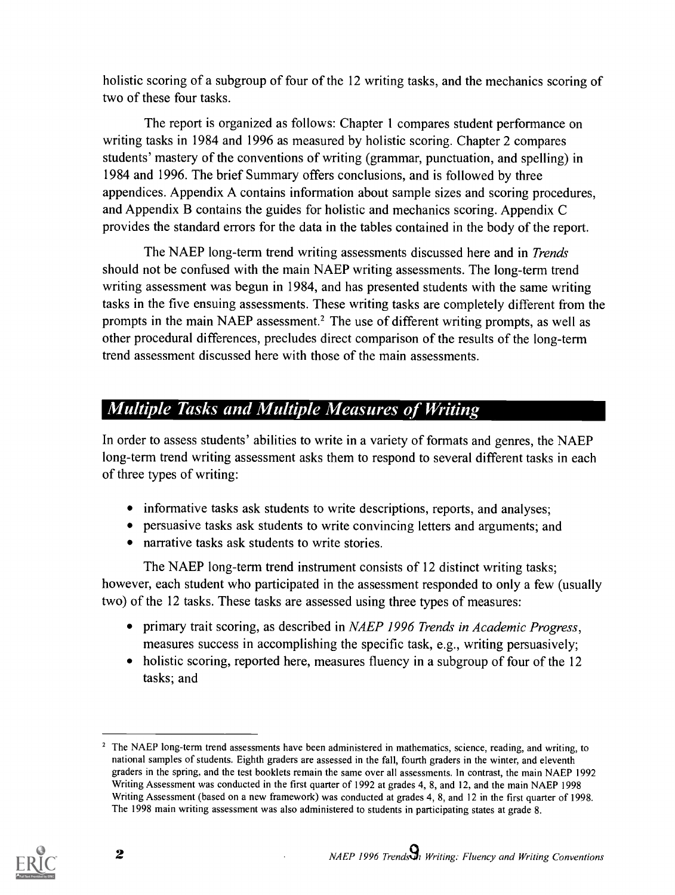holistic scoring of a subgroup of four of the 12 writing tasks, and the mechanics scoring of two of these four tasks.

The report is organized as follows: Chapter 1 compares student performance on writing tasks in 1984 and 1996 as measured by holistic scoring. Chapter 2 compares students' mastery of the conventions of writing (grammar, punctuation, and spelling) in 1984 and 1996. The brief Summary offers conclusions, and is followed by three appendices. Appendix A contains information about sample sizes and scoring procedures, and Appendix B contains the guides for holistic and mechanics scoring. Appendix C provides the standard errors for the data in the tables contained in the body of the report.

The NAEP long-term trend writing assessments discussed here and in *Trends* should not be confused with the main NAEP writing assessments. The long-term trend writing assessment was begun in 1984, and has presented students with the same writing tasks in the five ensuing assessments. These writing tasks are completely different from the prompts in the main NAEP assessment.<sup>2</sup> The use of different writing prompts, as well as other procedural differences, precludes direct comparison of the results of the long-term trend assessment discussed here with those of the main assessments.

### Multiple Tasks and Multiple Measures of Writing

In order to assess students' abilities to write in a variety of formats and genres, the NAEP long-term trend writing assessment asks them to respond to several different tasks in each of three types of writing:

- informative tasks ask students to write descriptions, reports, and analyses;
- persuasive tasks ask students to write convincing letters and arguments; and
- narrative tasks ask students to write stories.

The NAEP long-term trend instrument consists of 12 distinct writing tasks; however, each student who participated in the assessment responded to only a few (usually two) of the 12 tasks. These tasks are assessed using three types of measures:

- primary trait scoring, as described in *NAEP 1996 Trends in Academic Progress*, measures success in accomplishing the specific task, e.g., writing persuasively;
- holistic scoring, reported here, measures fluency in a subgroup of four of the 12 tasks; and

<sup>&</sup>lt;sup>2</sup> The NAEP long-term trend assessments have been administered in mathematics, science, reading, and writing, to national samples of students. Eighth graders are assessed in the fall, fourth graders in the winter, and eleventh graders in the spring, and the test booklets remain the same over all assessments. In contrast, the main NAEP 1992 Writing Assessment was conducted in the first quarter of 1992 at grades 4, 8, and 12, and the main NAEP 1998 Writing Assessment (based on a new framework) was conducted at grades 4, 8, and 12 in the first quarter of 1998. The 1998 main writing assessment was also administered to students in participating states at grade 8.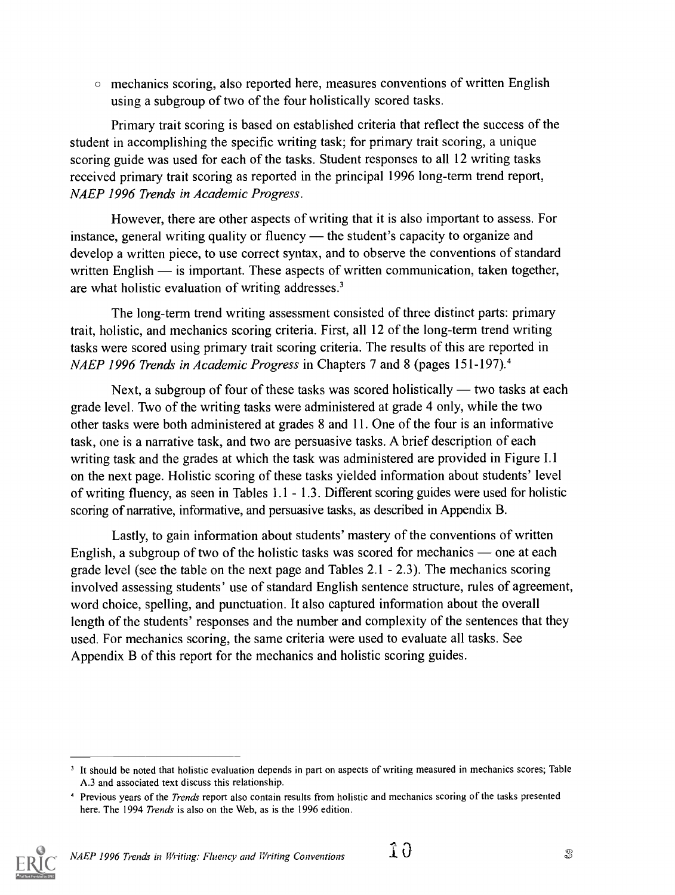$\circ$  mechanics scoring, also reported here, measures conventions of written English using a subgroup of two of the four holistically scored tasks.

Primary trait scoring is based on established criteria that reflect the success of the student in accomplishing the specific writing task; for primary trait scoring, a unique scoring guide was used for each of the tasks. Student responses to all 12 writing tasks received primary trait scoring as reported in the principal 1996 long-term trend report, NAEP 1996 Trends in Academic Progress.

However, there are other aspects of writing that it is also important to assess. For instance, general writing quality or fluency  $-$  the student's capacity to organize and develop a written piece, to use correct syntax, and to observe the conventions of standard written English  $\frac{1}{10}$  is important. These aspects of written communication, taken together, are what holistic evaluation of writing addresses.'

The long-term trend writing assessment consisted of three distinct parts: primary trait, holistic, and mechanics scoring criteria. First, all 12 of the long-term trend writing tasks were scored using primary trait scoring criteria. The results of this are reported in *NAEP 1996 Trends in Academic Progress in Chapters 7 and 8 (pages 151-197).*<sup>4</sup>

Next, a subgroup of four of these tasks was scored holistically — two tasks at each grade level. Two of the writing tasks were administered at grade 4 only, while the two other tasks were both administered at grades 8 and 11. One of the four is an informative task, one is a narrative task, and two are persuasive tasks. A brief description of each writing task and the grades at which the task was administered are provided in Figure 1.1 on the next page. Holistic scoring of these tasks yielded information about students' level of writing fluency, as seen in Tables 1.1 - 1.3. Different scoring guides were used for holistic scoring of narrative, informative, and persuasive tasks, as described in Appendix B.

Lastly, to gain information about students' mastery of the conventions of written English, a subgroup of two of the holistic tasks was scored for mechanics  $-$  one at each grade level (see the table on the next page and Tables  $2.1 - 2.3$ ). The mechanics scoring involved assessing students' use of standard English sentence structure, rules of agreement, word choice, spelling, and punctuation. It also captured information about the overall length of the students' responses and the number and complexity of the sentences that they used. For mechanics scoring, the same criteria were used to evaluate all tasks. See Appendix B of this report for the mechanics and holistic scoring guides.

<sup>&</sup>lt;sup>4</sup> Previous years of the *Trends* report also contain results from holistic and mechanics scoring of the tasks presented here. The 1994 Trends is also on the Web, as is the 1996 edition.



<sup>&</sup>lt;sup>3</sup> It should be noted that holistic evaluation depends in part on aspects of writing measured in mechanics scores; Table A.3 and associated text discuss this relationship.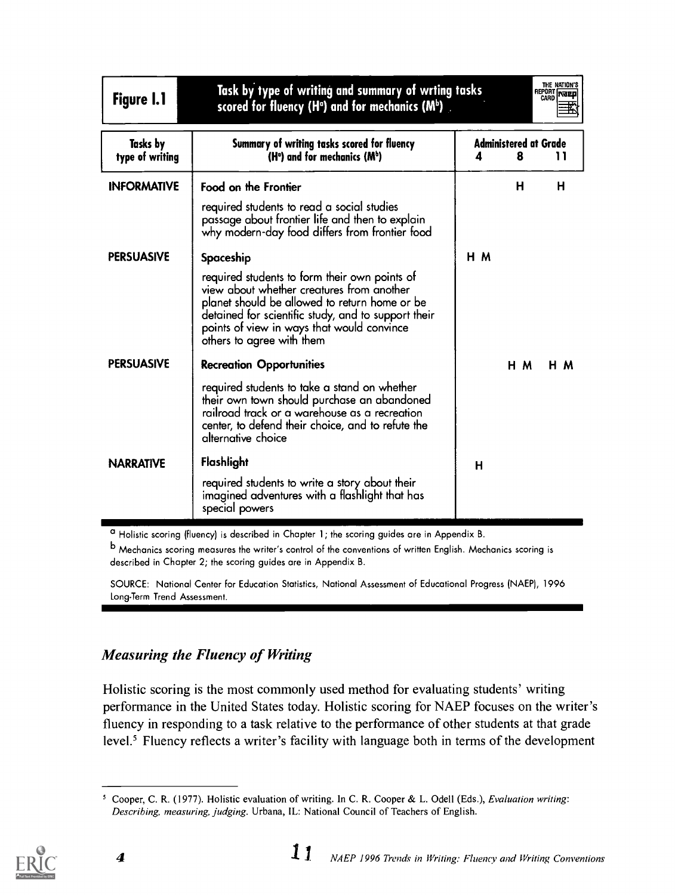| <b>Figure 1.1</b>                  | Task by type of writing and summary of wrting tasks<br>scored for fluency (H <sup>o</sup> ) and for mechanics (M <sup>b</sup> ).                                                                                                                                              |    |                                   | THE NATION'S<br>REPORT THE |
|------------------------------------|-------------------------------------------------------------------------------------------------------------------------------------------------------------------------------------------------------------------------------------------------------------------------------|----|-----------------------------------|----------------------------|
| <b>Tasks</b> by<br>type of writing | Summary of writing tasks scored for fluency<br>$(Ho)$ and for mechanics $(Mb)$                                                                                                                                                                                                | Δ  | <b>Administered at Grade</b><br>8 | 11                         |
| <b>INFORMATIVE</b>                 | Food on the Frontier                                                                                                                                                                                                                                                          |    | н                                 | н                          |
|                                    | required students to read a social studies<br>passage about frontier life and then to explain<br>why modern-day food differs from frontier food                                                                                                                               |    |                                   |                            |
| <b>PERSUASIVE</b>                  | Spaceship                                                                                                                                                                                                                                                                     | нм |                                   |                            |
|                                    | required students to form their own points of<br>view about whether creatures from another<br>planet should be allowed to return home or be<br>detained for scientific study, and to support their<br>points of view in ways that would convince<br>others to agree with them |    |                                   |                            |
| <b>PERSUASIVE</b>                  | <b>Recreation Opportunities</b>                                                                                                                                                                                                                                               |    | H M                               | H M                        |
|                                    | required students to take a stand on whether<br>their own town should purchase an abandoned<br>railroad track or a warehouse as a recreation<br>center, to defend their choice, and to refute the<br>alternative choice                                                       |    |                                   |                            |
| <b>NARRATIVE</b>                   | Flashlight                                                                                                                                                                                                                                                                    | н  |                                   |                            |
|                                    | required students to write a story about their<br>imagined adventures with a flashlight that has<br>special powers                                                                                                                                                            |    |                                   |                            |

° Holistic scoring (fluency) is described in Chapter 1; the scoring guides are in Appendix B.

b Mechanics scoring measures the writer's control of the conventions of written English. Mechanics scoring is described in Chapter 2; the scoring guides are in Appendix B.

SOURCE: National Center for Education Statistics, National Assessment of Educational Progress (NAEP), 1996 Long-Term Trend Assessment.

#### Measuring the Fluency of Writing

Holistic scoring is the most commonly used method for evaluating students' writing performance in the United States today. Holistic scoring for NAEP focuses on the writer's fluency in responding to a task relative to the performance of other students at that grade level.<sup>5</sup> Fluency reflects a writer's facility with language both in terms of the development



Cooper, C. R. (1977). Holistic evaluation of writing. In C. R. Cooper & L. Odell (Eds.), Evaluation writing: Describing, measuring, judging. Urbana, IL: National Council of Teachers of English.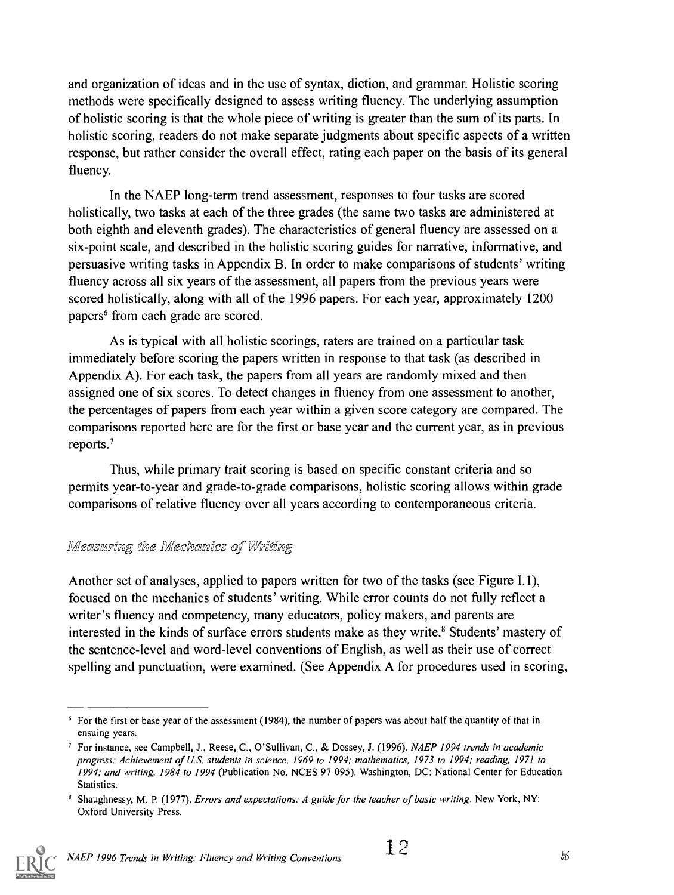and organization of ideas and in the use of syntax, diction, and grammar. Holistic scoring methods were specifically designed to assess writing fluency. The underlying assumption of holistic scoring is that the whole piece of writing is greater than the sum of its parts. In holistic scoring, readers do not make separate judgments about specific aspects of a written response, but rather consider the overall effect, rating each paper on the basis of its general fluency.

In the NAEP long-term trend assessment, responses to four tasks are scored holistically, two tasks at each of the three grades (the same two tasks are administered at both eighth and eleventh grades). The characteristics of general fluency are assessed on a six-point scale, and described in the holistic scoring guides for narrative, informative, and persuasive writing tasks in Appendix B. In order to make comparisons of students' writing fluency across all six years of the assessment, all papers from the previous years were scored holistically, along with all of the 1996 papers. For each year, approximately 1200 papers' from each grade are scored.

As is typical with all holistic scorings, raters are trained on a particular task immediately before scoring the papers written in response to that task (as described in Appendix A). For each task, the papers from all years are randomly mixed and then assigned one of six scores. To detect changes in fluency from one assessment to another, the percentages of papers from each year within a given score category are compared. The comparisons reported here are for the first or base year and the current year, as in previous reports.'

Thus, while primary trait scoring is based on specific constant criteria and so permits year-to-year and grade-to-grade comparisons, holistic scoring allows within grade comparisons of relative fluency over all years according to contemporaneous criteria.

#### Measuring the Mechanics of Writing

Another set of analyses, applied to papers written for two of the tasks (see Figure I.1), focused on the mechanics of students' writing. While error counts do not fully reflect a writer's fluency and competency, many educators, policy makers, and parents are interested in the kinds of surface errors students make as they write.<sup>8</sup> Students' mastery of the sentence-level and word-level conventions of English, as well as their use of correct spelling and punctuation, were examined. (See Appendix A for procedures used in scoring,

Shaughnessy, M. P. (1977). Errors and expectations: A guide for the teacher of basic writing. New York, NY: Oxford University Press.



 $6$  For the first or base year of the assessment (1984), the number of papers was about half the quantity of that in ensuing years.

<sup>&</sup>lt;sup>7</sup> For instance, see Campbell, J., Reese, C., O'Sullivan, C., & Dossey, J. (1996). NAEP 1994 trends in academic progress: Achievement of U.S. students in science, 1969 to 1994; mathematics, 1973 to 1994; reading, 1971 to 1994; and writing, 1984 to 1994 (Publication No. NCES 97-095). Washington, DC: National Center for Education Statistics.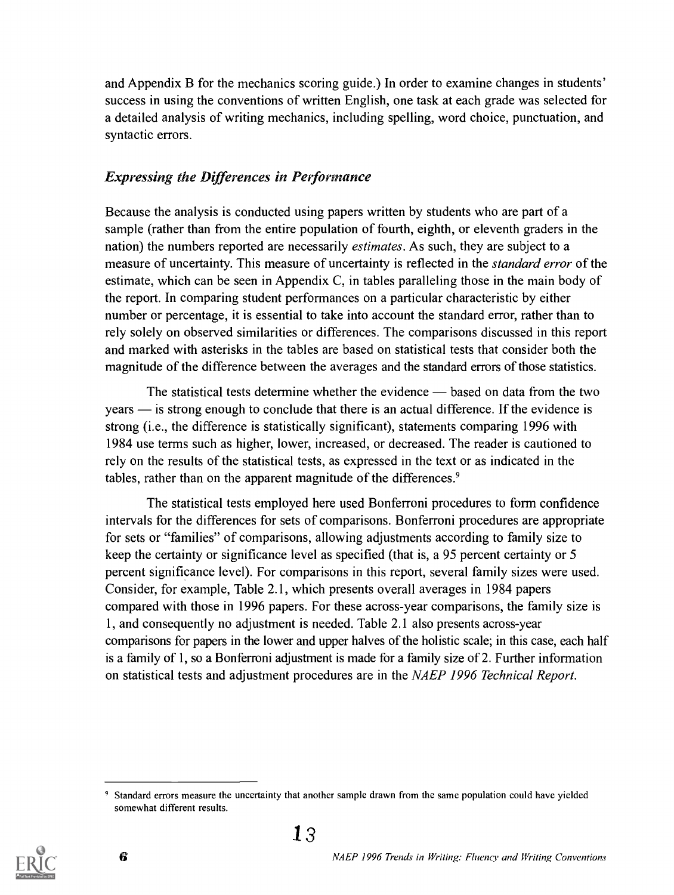and Appendix B for the mechanics scoring guide.) In order to examine changes in students' success in using the conventions of written English, one task at each grade was selected for a detailed analysis of writing mechanics, including spelling, word choice, punctuation, and syntactic errors.

#### Expressing the Differences in Performance

Because the analysis is conducted using papers written by students who are part of a sample (rather than from the entire population of fourth, eighth, or eleventh graders in the nation) the numbers reported are necessarily estimates. As such, they are subject to a measure of uncertainty. This measure of uncertainty is reflected in the standard error of the estimate, which can be seen in Appendix C, in tables paralleling those in the main body of the report. In comparing student performances on a particular characteristic by either number or percentage, it is essential to take into account the standard error, rather than to rely solely on observed similarities or differences. The comparisons discussed in this report and marked with asterisks in the tables are based on statistical tests that consider both the magnitude of the difference between the averages and the standard errors of those statistics.

The statistical tests determine whether the evidence — based on data from the two years — is strong enough to conclude that there is an actual difference. If the evidence is strong (i.e., the difference is statistically significant), statements comparing 1996 with 1984 use terms such as higher, lower, increased, or decreased. The reader is cautioned to rely on the results of the statistical tests, as expressed in the text or as indicated in the tables, rather than on the apparent magnitude of the differences.<sup>9</sup>

The statistical tests employed here used Bonferroni procedures to form confidence intervals for the differences for sets of comparisons. Bonferroni procedures are appropriate for sets or "families" of comparisons, allowing adjustments according to family size to keep the certainty or significance level as specified (that is, a 95 percent certainty or 5 percent significance level). For comparisons in this report, several family sizes were used. Consider, for example, Table 2.1, which presents overall averages in 1984 papers compared with those in 1996 papers. For these across-year comparisons, the family size is 1, and consequently no adjustment is needed. Table 2.1 also presents across-year comparisons for papers in the lower and upper halves of the holistic scale; in this case, each half is a family of 1, so a Bonferroni adjustment is made for a family size of 2. Further information on statistical tests and adjustment procedures are in the NAEP 1996 Technical Report.



Standard errors measure the uncertainty that another sample drawn from the same population could have yielded somewhat different results.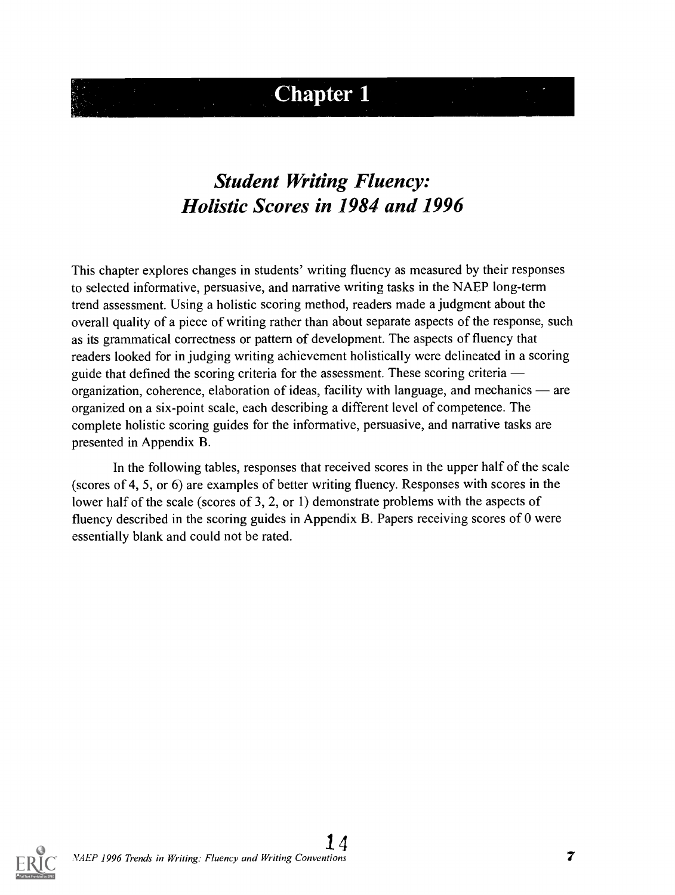## **Chapter 1**

## Student Writing Fluency: Holistic Scores in 1984 and 1996

This chapter explores changes in students' writing fluency as measured by their responses to selected informative, persuasive, and narrative writing tasks in the NAEP long-term trend assessment. Using a holistic scoring method, readers made a judgment about the overall quality of a piece of writing rather than about separate aspects of the response, such as its grammatical correctness or pattern of development. The aspects of fluency that readers looked for in judging writing achievement holistically were delineated in a scoring guide that defined the scoring criteria for the assessment. These scoring criteria organization, coherence, elaboration of ideas, facility with language, and mechanics  $\rightharpoonup$  are organized on a six-point scale, each describing a different level of competence. The complete holistic scoring guides for the informative, persuasive, and narrative tasks are presented in Appendix B.

In the following tables, responses that received scores in the upper half of the scale (scores of 4, 5, or 6) are examples of better writing fluency. Responses with scores in the lower half of the scale (scores of 3, 2, or 1) demonstrate problems with the aspects of fluency described in the scoring guides in Appendix B. Papers receiving scores of 0 were essentially blank and could not be rated.

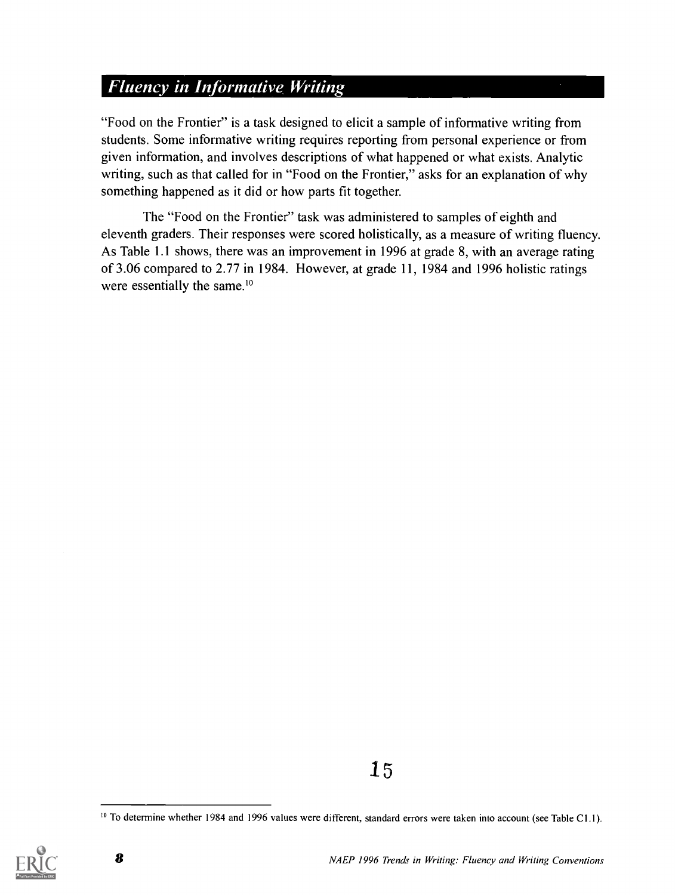### Fluency in Informative Writing

"Food on the Frontier" is a task designed to elicit a sample of informative writing from students. Some informative writing requires reporting from personal experience or from given information, and involves descriptions of what happened or what exists. Analytic writing, such as that called for in "Food on the Frontier," asks for an explanation of why something happened as it did or how parts fit together.

The "Food on the Frontier" task was administered to samples of eighth and eleventh graders. Their responses were scored holistically, as a measure of writing fluency. As Table 1.1 shows, there was an improvement in 1996 at grade 8, with an average rating of 3.06 compared to 2.77 in 1984. However, at grade 11, 1984 and 1996 holistic ratings were essentially the same.<sup>10</sup>

<sup>&</sup>lt;sup>10</sup> To determine whether 1984 and 1996 values were different, standard errors were taken into account (see Table C1.1).

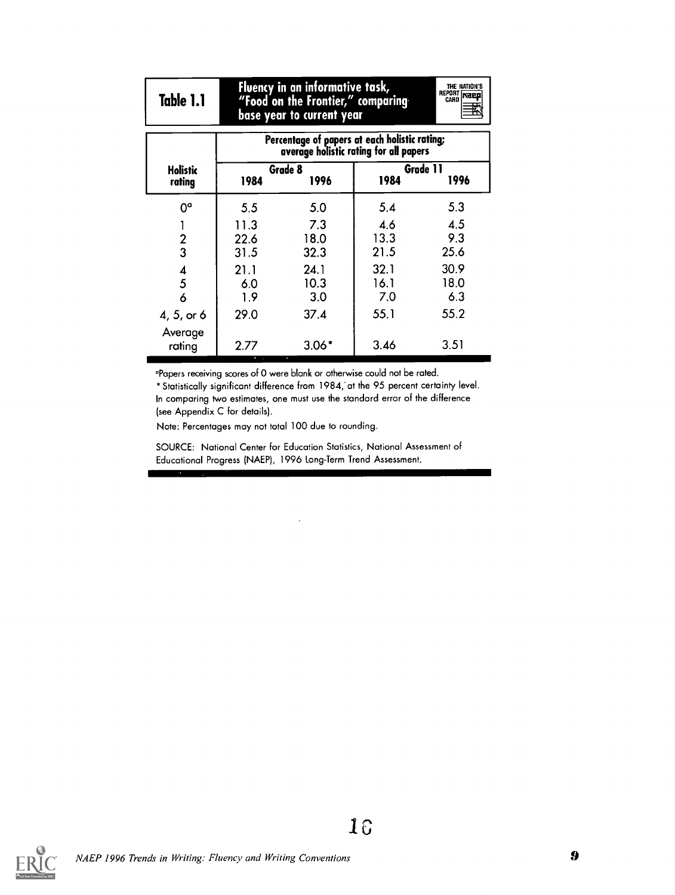| Table 1.1          | Fluency in an informative task,<br>THE NATION'S<br>REPORT THEP<br>"Food on the Frontier," comparing<br>base year to current year |                     |                                                                                         |                     |  |  |  |
|--------------------|----------------------------------------------------------------------------------------------------------------------------------|---------------------|-----------------------------------------------------------------------------------------|---------------------|--|--|--|
|                    |                                                                                                                                  |                     | Percentage of papers at each holistic rating;<br>average holistic rating for all papers |                     |  |  |  |
| Holistic<br>rating | 1984                                                                                                                             | Grade 8<br>1996     | 1984                                                                                    | Grade 11<br>1996    |  |  |  |
| $0^{\circ}$        | 5.5                                                                                                                              | 5.0                 | 5.4                                                                                     | 5.3                 |  |  |  |
| $\frac{2}{3}$      | 11.3<br>22.6<br>31.5                                                                                                             | 7.3<br>18.0<br>32.3 | 4.6<br>13.3<br>21.5                                                                     | 4.5<br>9.3<br>25.6  |  |  |  |
| 4<br>5<br>6        | 21.1<br>6.0<br>1.9                                                                                                               | 24.1<br>10.3<br>3.0 | 32.1<br>16.1<br>7.0                                                                     | 30.9<br>18.0<br>6.3 |  |  |  |
| 4, 5, or 6         | 29.0                                                                                                                             | 37.4                | 55.1                                                                                    | 55.2                |  |  |  |
| Average<br>rating  | 2.77                                                                                                                             | $3.06*$             | 3.46                                                                                    | 3.51                |  |  |  |

°Papers receiving scores of 0 were blank or otherwise could not be rated.

\*Statistically significant difference from 1984; at the 95 percent certainty level. In comparing two estimates, one must use the standard error of the difference (see Appendix C for details).

Note: Percentages may not total 100 due to rounding.

SOURCE: National Center for Education Statistics, National Assessment of Educational Progress (NAEP), 1996 Long-Term Trend Assessment.

 $\cdot$ 

I 0

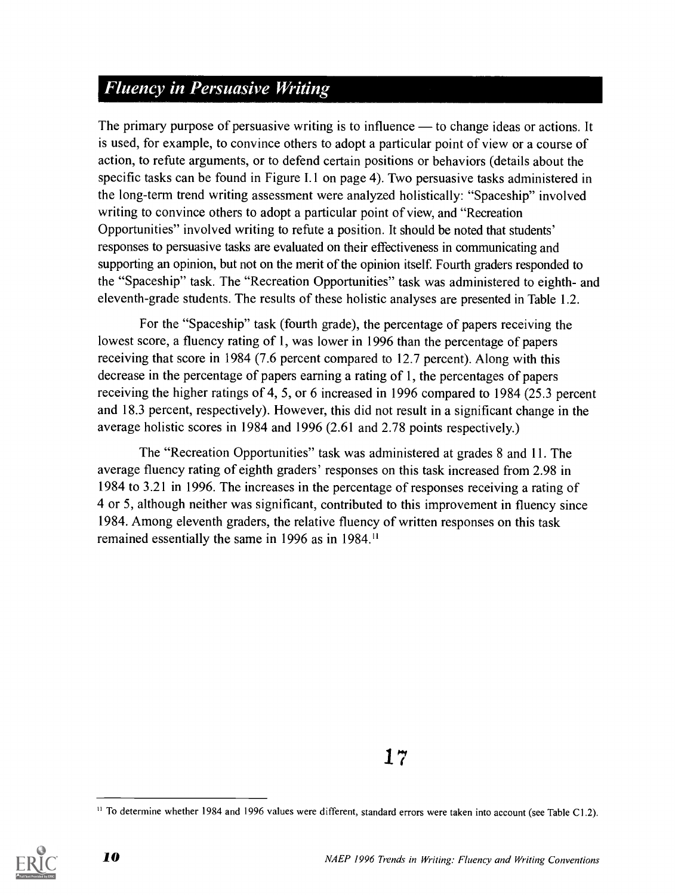### **Fluency in Persuasive Writing**

The primary purpose of persuasive writing is to influence  $-$  to change ideas or actions. It is used, for example, to convince others to adopt a particular point of view or a course of action, to refute arguments, or to defend certain positions or behaviors (details about the specific tasks can be found in Figure 1.1 on page 4). Two persuasive tasks administered in the long-term trend writing assessment were analyzed holistically: "Spaceship" involved writing to convince others to adopt a particular point of view, and "Recreation Opportunities" involved writing to refute a position. It should be noted that students' responses to persuasive tasks are evaluated on their effectiveness in communicating and supporting an opinion, but not on the merit of the opinion itself. Fourth graders responded to the "Spaceship" task. The "Recreation Opportunities" task was administered to eighth- and eleventh-grade students. The results of these holistic analyses are presented in Table 1.2.

For the "Spaceship" task (fourth grade), the percentage of papers receiving the lowest score, a fluency rating of 1, was lower in 1996 than the percentage of papers receiving that score in 1984 (7.6 percent compared to 12.7 percent). Along with this decrease in the percentage of papers earning a rating of 1, the percentages of papers receiving the higher ratings of 4, 5, or 6 increased in 1996 compared to 1984 (25.3 percent and 18.3 percent, respectively). However, this did not result in a significant change in the average holistic scores in 1984 and 1996 (2.61 and 2.78 points respectively.)

The "Recreation Opportunities" task was administered at grades 8 and 11. The average fluency rating of eighth graders' responses on this task increased from 2.98 in 1984 to 3.21 in 1996. The increases in the percentage of responses receiving a rating of 4 or 5, although neither was significant, contributed to this improvement in fluency since 1984. Among eleventh graders, the relative fluency of written responses on this task remained essentially the same in 1996 as in 1984.<sup>11</sup>

1 7

<sup>&</sup>lt;sup>11</sup> To determine whether 1984 and 1996 values were different, standard errors were taken into account (see Table C1.2).

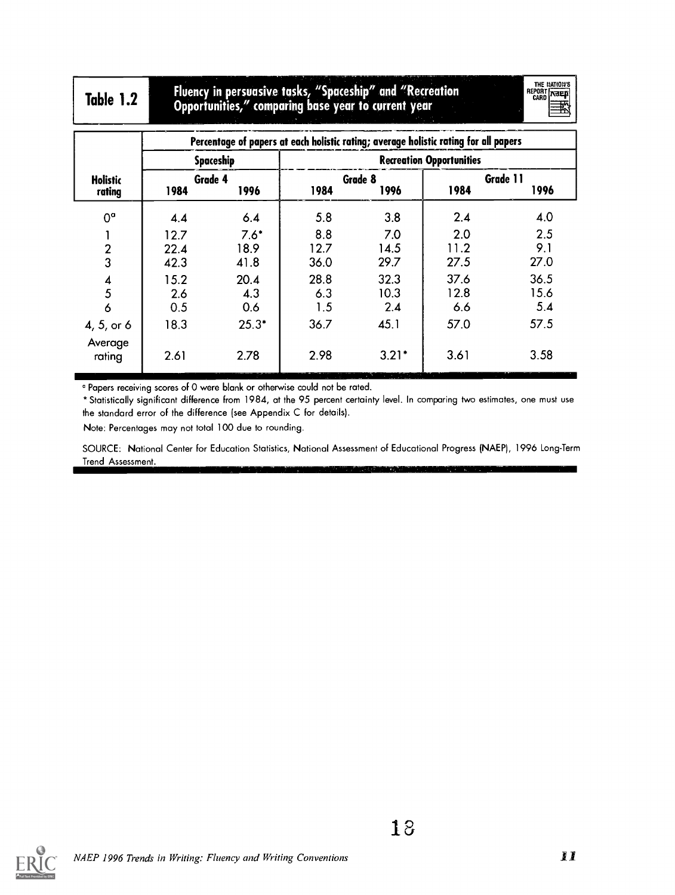Table 1.2 Fluency in persuasive tasks, "Spaceship' and "Recreation Opportunities," comparing base year to current year

THE BATION'S<br>REPORT **[NEEEE**]

|                           |                      | Percentage of papers at each holistic rating; average holistic rating for all papers |                     |                     |                                 |                     |
|---------------------------|----------------------|--------------------------------------------------------------------------------------|---------------------|---------------------|---------------------------------|---------------------|
|                           |                      | Spaceship                                                                            |                     |                     | <b>Recreation Opportunities</b> |                     |
| <b>Holistic</b><br>rating | Grade 4<br>1984      | 1996                                                                                 | 1984                | Grade 8<br>1996     | 1984                            | Grade 11<br>1996    |
| $0^{\circ}$               | 4.4                  | 6.4                                                                                  | 5.8                 | 3.8                 | 2.4                             | 4.0                 |
| л.<br>$\frac{2}{3}$       | 12.7<br>22.4<br>42.3 | $7.6*$<br>18.9<br>41.8                                                               | 8.8<br>12.7<br>36.0 | 7.0<br>14.5<br>29.7 | 2.0<br>11.2<br>27.5             | 2.5<br>9.1<br>27.0  |
| $\frac{4}{5}$<br>6        | 15.2<br>2.6<br>0.5   | 20.4<br>4.3<br>0.6                                                                   | 28.8<br>6.3<br>1.5  | 32.3<br>10.3<br>2.4 | 37.6<br>12.8<br>6.6             | 36.5<br>15.6<br>5.4 |
| 4, 5, or 6<br>Average     | 18.3                 | $25.3*$                                                                              | 36.7                | 45.1                | 57.0                            | 57.5                |
| rating                    | 2.61                 | 2.78                                                                                 | 2.98                | $3.21*$             | 3.61                            | 3.58                |

<sup>a</sup> Papers receiving scores of 0 were blank or otherwise could not be rated.

\*Statistically significant difference from 1984, at the 95 percent certainty level. In comparing two estimates, one must use the standard error of the difference (see Appendix C for details).

Note: Percentages may not total 100 due to rounding.

SOURCE: National Center for Education Statistics, National Assessment of Educational Progress (NAEP), 1996 Long-Term Trend Assessment.

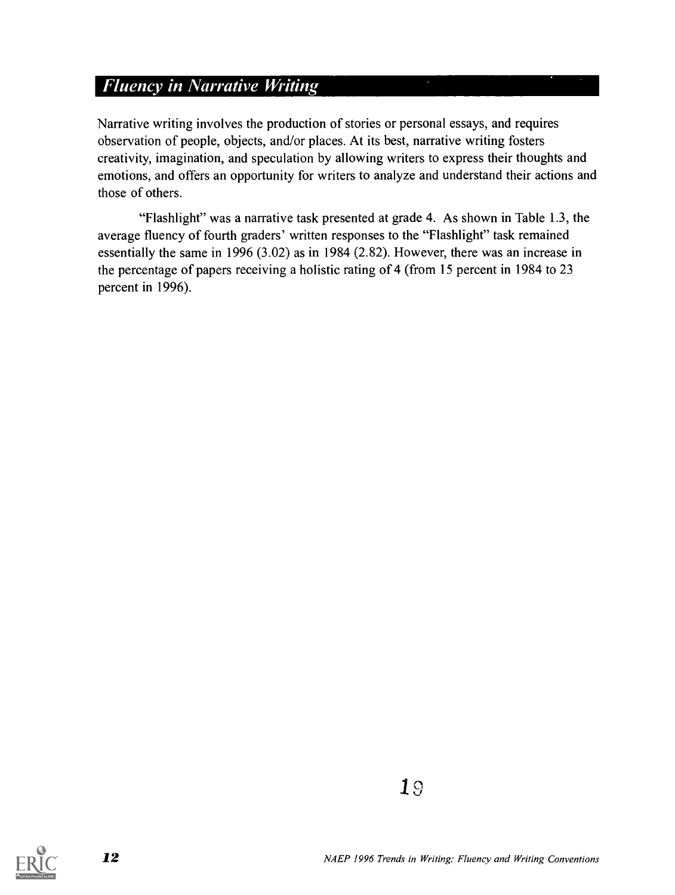#### **Fluency in Narrative Writing**

Narrative writing involves the production of stories or personal essays, and requires observation of people, objects, and/or places. At its best, narrative writing fosters creativity, imagination, and speculation by allowing writers to express their thoughts and emotions, and offers an opportunity for writers to analyze and understand their actions and those of others.

"Flashlight" was a narrative task presented at grade 4. As shown in Table 1.3, the average fluency of fourth graders' written responses to the "Flashlight" task remained essentially the same in 1996 (3.02) as in 1984 (2.82). However, there was an increase in the percentage of papers receiving a holistic rating of 4 (from 15 percent in 1984 to 23 percent in 1996).

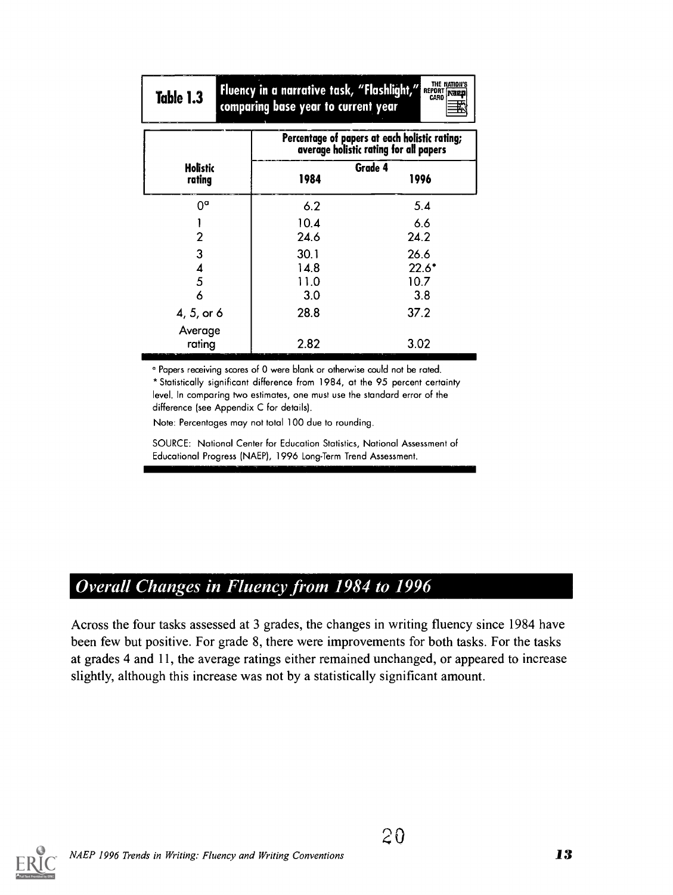| Table 1.3  | Fluency in a narrative task, "Flashlight,"<br>comparing base year to current year | THE NATION'S<br>REPORT NEED<br>CARD                                                     |
|------------|-----------------------------------------------------------------------------------|-----------------------------------------------------------------------------------------|
|            |                                                                                   | Percentage of papers at each holistic rating;<br>average holistic rating for all papers |
| Holistic   |                                                                                   | Grade 4                                                                                 |
| rating     | 1984                                                                              | 1996                                                                                    |
| Va         | 6.2                                                                               | 5.4                                                                                     |
|            | 10.4                                                                              | 6.6                                                                                     |
| 2          | 24.6                                                                              | 24.2                                                                                    |
| 3          | 30.1                                                                              | 26.6                                                                                    |
| 4          | 14.8                                                                              | $22.6*$                                                                                 |
| 5          | 11.0                                                                              | 10.7                                                                                    |
| 6          | 3.0                                                                               | 3.8                                                                                     |
| 4, 5, or 6 | 28.8                                                                              | 37.2                                                                                    |
| Average    |                                                                                   |                                                                                         |
| rating     | 2.82                                                                              | 3.02                                                                                    |

° Papers receiving scores of 0 were blank or otherwise could not be rated. \*Statistically significant difference from 1984, at the 95 percent certainty level. In comparing two estimates, one must use the standard error of the difference (see Appendix C for details).

Note: Percentages may not total 100 due to rounding.

SOURCE: National Center for Education Statistics, National Assessment of Educational Progress (NAEP), 1996 Long-Term Trend Assessment.

### **Overall Changes in Fluency from 1984 to 1996**

Across the four tasks assessed at 3 grades, the changes in writing fluency since 1984 have been few but positive. For grade 8, there were improvements for both tasks. For the tasks at grades 4 and 11, the average ratings either remained unchanged, or appeared to increase slightly, although this increase was not by a statistically significant amount.

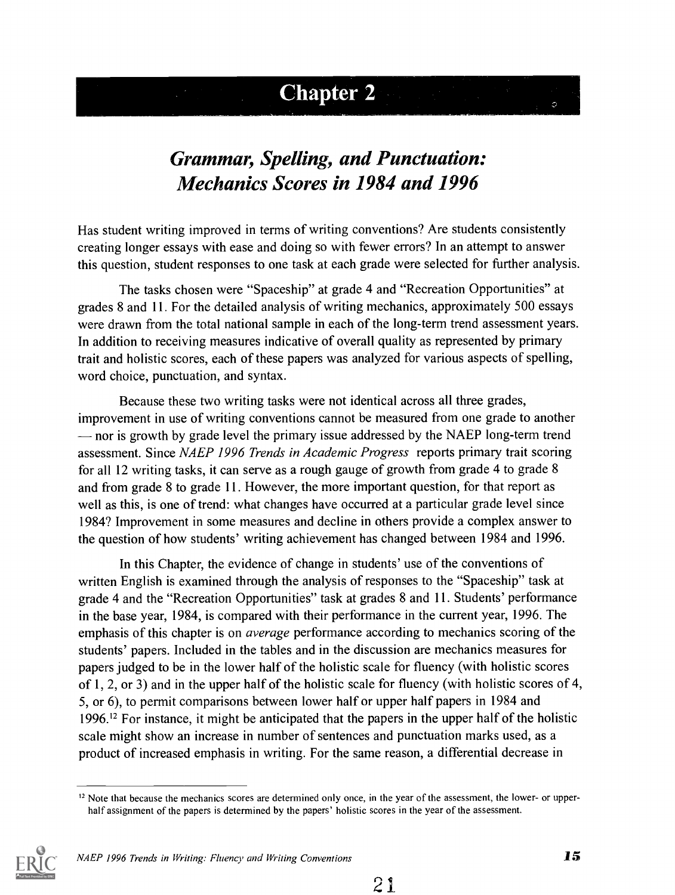## Chapter 2

## Grammar, Spelling, and Punctuation: Mechanics Scores in 1984 and 1996

Has student writing improved in terms of writing conventions? Are students consistently creating longer essays with ease and doing so with fewer errors? In an attempt to answer this question, student responses to one task at each grade were selected for further analysis.

The tasks chosen were "Spaceship" at grade 4 and "Recreation Opportunities" at grades 8 and 11. For the detailed analysis of writing mechanics, approximately 500 essays were drawn from the total national sample in each of the long-term trend assessment years. In addition to receiving measures indicative of overall quality as represented by primary trait and holistic scores, each of these papers was analyzed for various aspects of spelling, word choice, punctuation, and syntax.

Because these two writing tasks were not identical across all three grades, improvement in use of writing conventions cannot be measured from one grade to another nor is growth by grade level the primary issue addressed by the NAEP long-term trend assessment. Since NAEP 1996 Trends in Academic Progress reports primary trait scoring for all 12 writing tasks, it can serve as a rough gauge of growth from grade 4 to grade 8 and from grade 8 to grade 11. However, the more important question, for that report as well as this, is one of trend: what changes have occurred at a particular grade level since 1984? Improvement in some measures and decline in others provide a complex answer to the question of how students' writing achievement has changed between 1984 and 1996.

In this Chapter, the evidence of change in students' use of the conventions of written English is examined through the analysis of responses to the "Spaceship" task at grade 4 and the "Recreation Opportunities" task at grades 8 and 11. Students' performance in the base year, 1984, is compared with their performance in the current year, 1996. The emphasis of this chapter is on *average* performance according to mechanics scoring of the students' papers. Included in the tables and in the discussion are mechanics measures for papers judged to be in the lower half of the holistic scale for fluency (with holistic scores of 1, 2, or 3) and in the upper half of the holistic scale for fluency (with holistic scores of 4, 5, or 6), to permit comparisons between lower half or upper half papers in 1984 and 1996.12 For instance, it might be anticipated that the papers in the upper half of the holistic scale might show an increase in number of sentences and punctuation marks used, as a product of increased emphasis in writing. For the same reason, a differential decrease in

 $12$  Note that because the mechanics scores are determined only once, in the year of the assessment, the lower- or upperhalf assignment of the papers is determined by the papers' holistic scores in the year of the assessment.

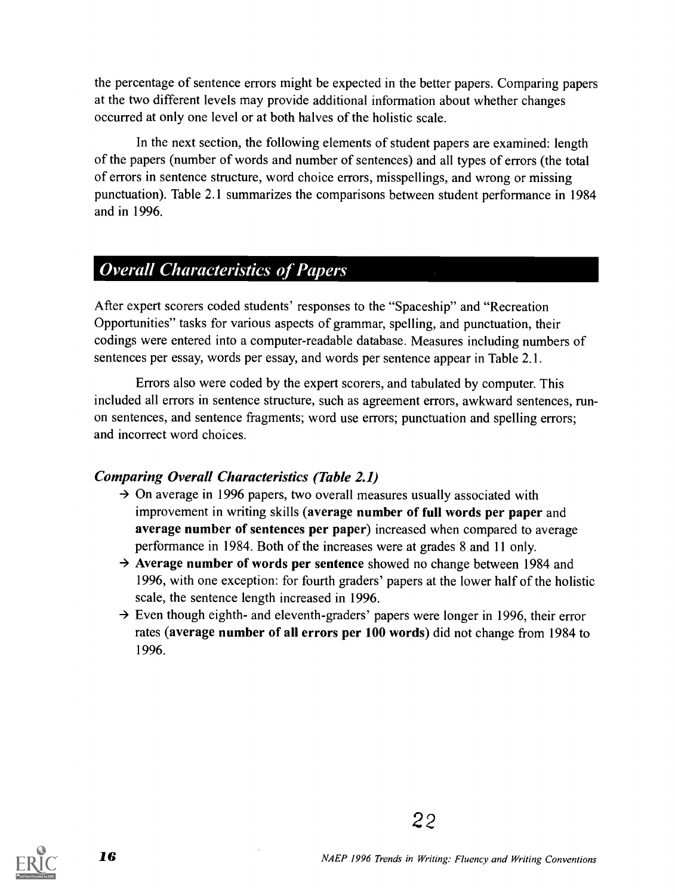the percentage of sentence errors might be expected in the better papers. Comparing papers at the two different levels may provide additional information about whether changes occurred at only one level or at both halves of the holistic scale.

In the next section, the following elements of student papers are examined: length of the papers (number of words and number of sentences) and all types of errors (the total of errors in sentence structure, word choice errors, misspellings, and wrong or missing punctuation). Table 2.1 summarizes the comparisons between student performance in 1984 and in 1996.

### Overall Characteristics of Papers

After expert scorers coded students' responses to the "Spaceship" and "Recreation Opportunities" tasks for various aspects of grammar, spelling, and punctuation, their codings were entered into a computer-readable database. Measures including numbers of sentences per essay, words per essay, and words per sentence appear in Table 2.1.

Errors also were coded by the expert scorers, and tabulated by computer. This included all errors in sentence structure, such as agreement errors, awkward sentences, runon sentences, and sentence fragments; word use errors; punctuation and spelling errors; and incorrect word choices.

#### Comparing Overall Characteristics (Table 2.1)

- $\rightarrow$  On average in 1996 papers, two overall measures usually associated with improvement in writing skills (average number of full words per paper and average number of sentences per paper) increased when compared to average performance in 1984. Both of the increases were at grades 8 and 11 only.
- $\rightarrow$  Average number of words per sentence showed no change between 1984 and 1996, with one exception: for fourth graders' papers at the lower half of the holistic scale, the sentence length increased in 1996.
- $\rightarrow$  Even though eighth- and eleventh-graders' papers were longer in 1996, their error rates (average number of all errors per 100 words) did not change from 1984 to 1996.

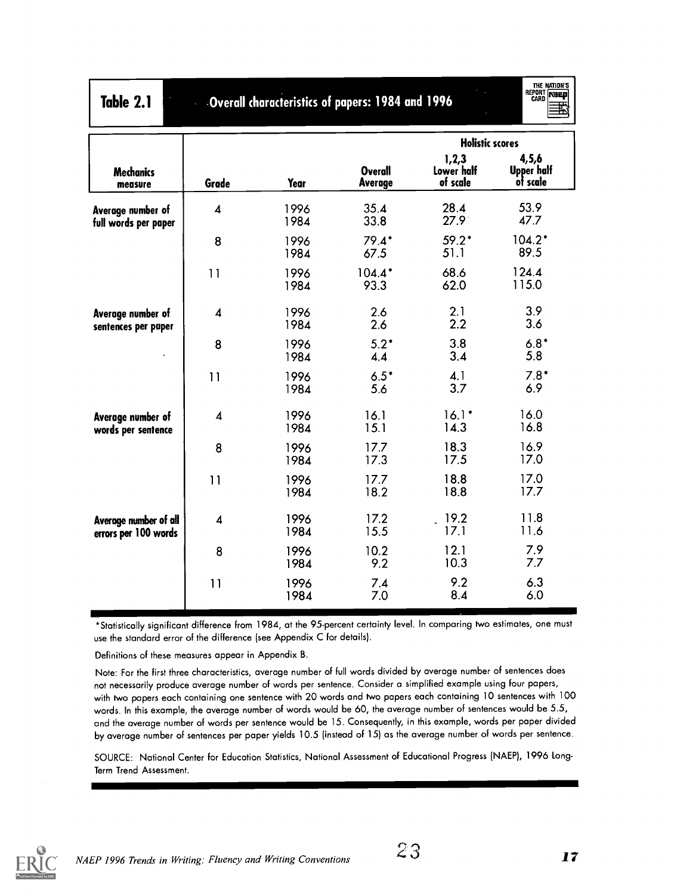| Table 2.1                                     | THE NATION'S<br>REPORT <b>NEED</b><br>Overall characteristics of papers: 1984 and 1996 |              |                           |                                 |                                        |  |
|-----------------------------------------------|----------------------------------------------------------------------------------------|--------------|---------------------------|---------------------------------|----------------------------------------|--|
|                                               |                                                                                        |              |                           | <b>Holistic scores</b>          |                                        |  |
| <b>Mechanics</b><br>measure                   | Grade                                                                                  | Year         | <b>Overall</b><br>Average | 1,2,3<br>Lower half<br>of scale | 4,5,6<br><b>Upper half</b><br>of scale |  |
| Average number of<br>full words per paper     | $\overline{\mathbf{4}}$                                                                | 1996<br>1984 | 35.4<br>33.8              | 28.4<br>$27.9^{\circ}$          | 53.9<br>47.7                           |  |
|                                               | 8                                                                                      | 1996<br>1984 | $79.4*$<br>67.5           | $59.2*$<br>51.1                 | $104.2*$<br>89.5                       |  |
|                                               | 11                                                                                     | 1996<br>1984 | $104.4*$<br>93.3          | 68.6<br>62.0                    | 124.4<br>115.0                         |  |
| Average number of<br>sentences per paper      | $\boldsymbol{4}$                                                                       | 1996<br>1984 | 2.6<br>2.6                | 2.1<br>2.2                      | 3.9<br>3.6                             |  |
|                                               | 8                                                                                      | 1996<br>1984 | $5.2*$<br>4.4             | 3.8<br>3.4                      | $6.8*$<br>5.8                          |  |
|                                               | 11                                                                                     | 1996<br>1984 | $6.5*$<br>5.6             | 4.1<br>3.7                      | $7.8*$<br>6.9                          |  |
| Average number of<br>words per sentence       | 4                                                                                      | 1996<br>1984 | 16.1<br>15.1              | $16.1*$<br>14.3                 | 16.0<br>16.8                           |  |
|                                               | 8                                                                                      | 1996<br>1984 | 17.7<br>17.3              | 18.3<br>17.5                    | 16.9<br>17.0                           |  |
|                                               | 11                                                                                     | 1996<br>1984 | 17.7<br>18.2              | 18.8<br>18.8                    | 17.0<br>17.7                           |  |
| Average number of all<br>errors per 100 words | 4                                                                                      | 1996<br>1984 | 17.2<br>15.5              | 19.2<br>17.1                    | 11.8<br>11.6                           |  |
|                                               | 8                                                                                      | 1996<br>1984 | 10.2<br>9.2               | 12.1<br>10.3                    | 7.9<br>7.7                             |  |
|                                               | 11                                                                                     | 1996<br>1984 | 7.4<br>7.0                | 9.2<br>8.4                      | 6.3<br>6.0                             |  |

\*Statistically significant difference from 1984, at the 95-percent certainty level. In comparing two estimates, one must use the standard error of the difference (see Appendix C for details).

Definitions of these measures appear in Appendix B.

Note: For the first three characteristics, average number of full words divided by average number of sentences does not necessarily produce average number of words per sentence. Consider a simplified example using four papers, with two papers each containing one sentence with 20 words and two papers each containing 10 sentences with 100 words. In this example, the average number of words would be 60, the average number of sentences would be 5.5, and the average number of words per sentence would be 15. Consequently, in this example, words per paper divided by average number of sentences per paper yields 10.5 (instead of 15) as the average number of words per sentence.

SOURCE: National Center for Education Statistics, National Assessment of Educational Progress (NAEP), 1996 Long-Term Trend Assessment.

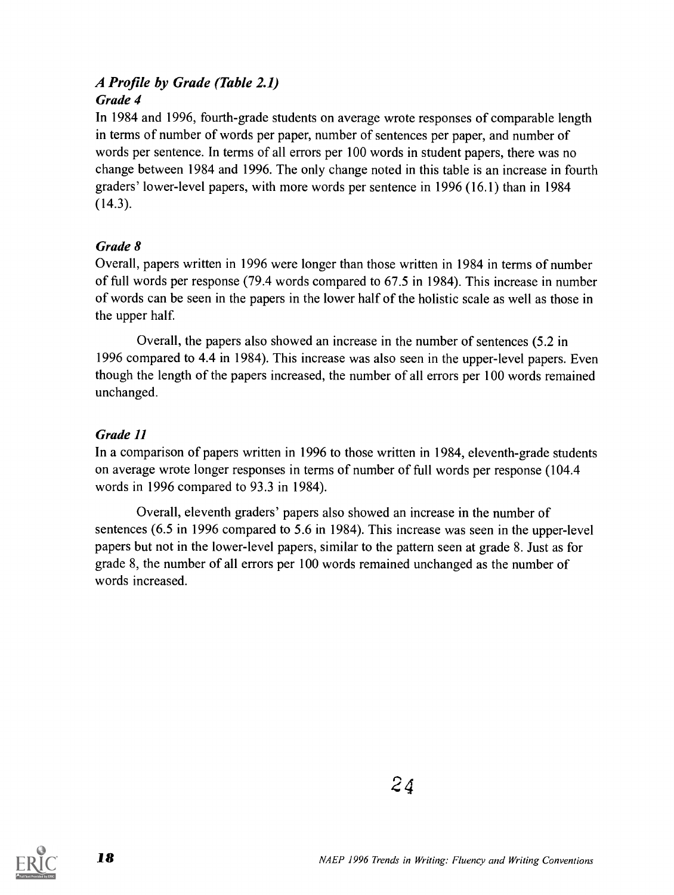#### A Profile by Grade (Table 2.1) Grade 4

In 1984 and 1996, fourth-grade students on average wrote responses of comparable length in terms of number of words per paper, number of sentences per paper, and number of words per sentence. In terms of all errors per 100 words in student papers, there was no change between 1984 and 1996. The only change noted in this table is an increase in fourth graders' lower-level papers, with more words per sentence in 1996 (16.1) than in 1984  $(14.3).$ 

#### Grade 8

Overall, papers written in 1996 were longer than those written in 1984 in terms of number of full words per response (79.4 words compared to 67.5 in 1984). This increase in number of words can be seen in the papers in the lower half of the holistic scale as well as those in the upper half.

Overall, the papers also showed an increase in the number of sentences (5.2 in 1996 compared to 4.4 in 1984). This increase was also seen in the upper-level papers. Even though the length of the papers increased, the number of all errors per 100 words remained unchanged.

#### Grade 11

In a comparison of papers written in 1996 to those written in 1984, eleventh-grade students on average wrote longer responses in terms of number of full words per response (104.4 words in 1996 compared to 93.3 in 1984).

Overall, eleventh graders' papers also showed an increase in the number of sentences (6.5 in 1996 compared to 5.6 in 1984). This increase was seen in the upper-level papers but not in the lower-level papers, similar to the pattern seen at grade 8. Just as for grade 8, the number of all errors per 100 words remained unchanged as the number of words increased.



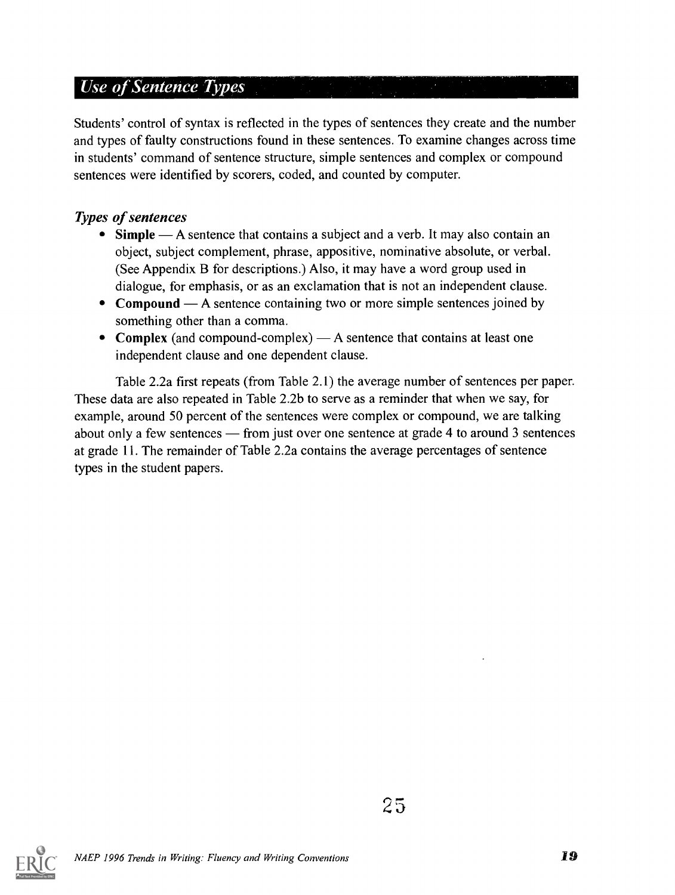### Use of Sentence Types

Students' control of syntax is reflected in the types of sentences they create and the number and types of faulty constructions found in these sentences. To examine changes across time in students' command of sentence structure, simple sentences and complex or compound sentences were identified by scorers, coded, and counted by computer.

#### Types of sentences

- Simple A sentence that contains a subject and a verb. It may also contain an object, subject complement, phrase, appositive, nominative absolute, or verbal. (See Appendix B for descriptions.) Also, it may have a word group used in dialogue, for emphasis, or as an exclamation that is not an independent clause.
- Compound  $-A$  sentence containing two or more simple sentences joined by something other than a comma.
- Complex (and compound-complex)  $A$  sentence that contains at least one independent clause and one dependent clause.

Table 2.2a first repeats (from Table 2.1) the average number of sentences per paper. These data are also repeated in Table 2.2b to serve as a reminder that when we say, for example, around 50 percent of the sentences were complex or compound, we are talking about only a few sentences  $-$  from just over one sentence at grade 4 to around 3 sentences at grade 11. The remainder of Table 2.2a contains the average percentages of sentence types in the student papers.

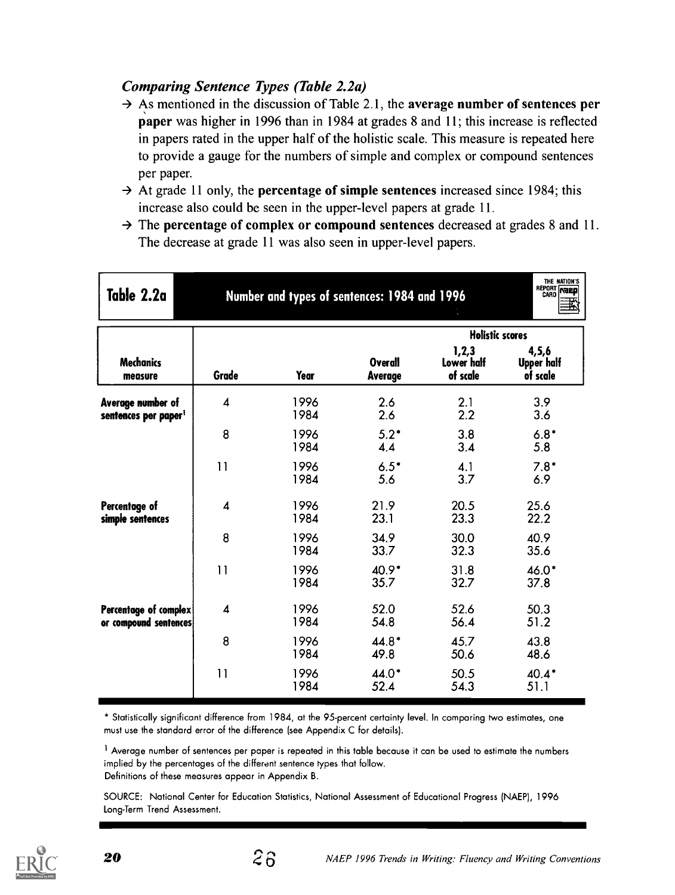#### Comparing Sentence Types (Table 2.2a)

- $\rightarrow$  As mentioned in the discussion of Table 2.1, the average number of sentences per paper was higher in 1996 than in 1984 at grades 8 and 11; this increase is reflected in papers rated in the upper half of the holistic scale. This measure is repeated here to provide a gauge for the numbers of simple and complex or compound sentences per paper.
- $\rightarrow$  At grade 11 only, the **percentage of simple sentences** increased since 1984; this increase also could be seen in the upper-level papers at grade 11.
- $\rightarrow$  The percentage of complex or compound sentences decreased at grades 8 and 11. The decrease at grade 11 was also seen in upper-level papers.

| Table 2.2a                                            | Number and types of sentences: 1984 and 1996 | THE NATION'S<br>REPORT NEED |                                  |                                                           |                                        |
|-------------------------------------------------------|----------------------------------------------|-----------------------------|----------------------------------|-----------------------------------------------------------|----------------------------------------|
| <b>Mechanics</b><br>measure                           | Grade                                        | Year                        | <b>Overall</b><br><b>Average</b> | <b>Holistic scores</b><br>1,2,3<br>Lower half<br>of scale | 4,5,6<br><b>Upper half</b><br>of scale |
| Average number of<br>sentences per paper <sup>1</sup> | $\overline{\mathbf{A}}$                      | 1996<br>1984                | 2.6<br>2.6                       | 2.1<br>2.2                                                | 3.9<br>3.6                             |
|                                                       | 8                                            | 1996<br>1984                | $5.2*$<br>4.4                    | 3.8<br>3.4                                                | $6.8*$<br>5.8                          |
|                                                       | 11                                           | 1996<br>1984                | $6.5*$<br>5.6                    | 4.1<br>3.7                                                | $7.8*$<br>6.9                          |
| Percentage of<br>simple sentences                     | $\overline{\mathbf{A}}$                      | 1996<br>1984                | 21.9<br>23.1                     | 20.5<br>23.3                                              | 25.6<br>22.2                           |
|                                                       | 8                                            | 1996<br>1984                | 34.9<br>33.7                     | 30.0<br>32.3                                              | 40.9<br>35.6                           |
|                                                       | 11                                           | 1996<br>1984                | $40.9*$<br>35.7                  | 31.8<br>32.7                                              | 46.0*<br>37.8                          |
| Percentage of complex<br>or compound sentences!       | $\overline{\mathbf{4}}$                      | 1996<br>1984                | 52.0<br>54.8                     | 52.6<br>56.4                                              | 50.3<br>51.2                           |
|                                                       | 8                                            | 1996<br>1984                | $44.8*$<br>49.8                  | 45.7<br>50.6                                              | 43.8<br>48.6                           |
|                                                       | 11                                           | 1996<br>1984                | 44.0*<br>52.4                    | 50.5<br>54.3                                              | $40.4*$<br>51.1                        |

\* Statistically significant difference from 1984, at the 95-percent certainty level. In comparing two estimates, one must use the standard error of the difference (see Appendix C for details).

<sup>1</sup> Average number of sentences per paper is repeated in this table because it can be used to estimate the numbers implied by the percentages of the different sentence types that follow. Definitions of these measures appear in Appendix B.

SOURCE: National Center for Education Statistics, National Assessment of Educational Progress (NAEP), 1996 Long-Term Trend Assessment.



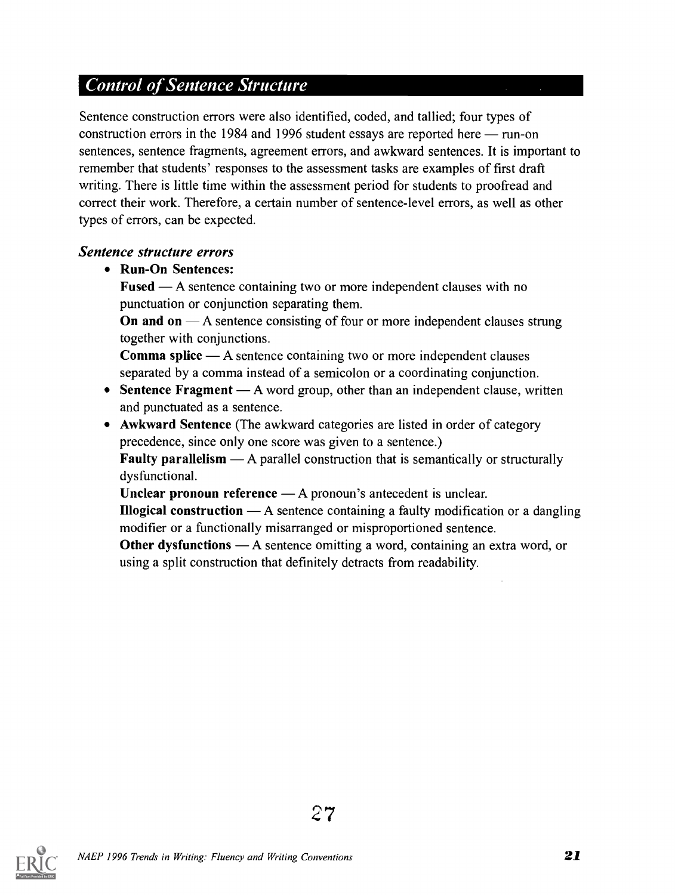### Control of Sentence Structure

Sentence construction errors were also identified, coded, and tallied; four types of construction errors in the 1984 and 1996 student essays are reported here  $-$  run-on sentences, sentence fragments, agreement errors, and awkward sentences. It is important to remember that students' responses to the assessment tasks are examples of first draft writing. There is little time within the assessment period for students to proofread and correct their work. Therefore, a certain number of sentence-level errors, as well as other types of errors, can be expected.

#### Sentence structure errors

Run-On Sentences:

**Fused**  $\mathbf{A}$  sentence containing two or more independent clauses with no punctuation or conjunction separating them.

On and on  $-A$  sentence consisting of four or more independent clauses strung together with conjunctions.

**Comma splice**  $\mathbf{A}$  sentence containing two or more independent clauses separated by a comma instead of a semicolon or a coordinating conjunction.

- Sentence Fragment  $-A$  word group, other than an independent clause, written and punctuated as a sentence.
- Awkward Sentence (The awkward categories are listed in order of category precedence, since only one score was given to a sentence.)

**Faulty parallelism**  $\rightarrow$  A parallel construction that is semantically or structurally dysfunctional.

Unclear pronoun reference  $- A$  pronoun's antecedent is unclear.

**Illogical construction**  $\rightarrow$  A sentence containing a faulty modification or a dangling modifier or a functionally misarranged or misproportioned sentence.

**Other dysfunctions** — A sentence omitting a word, containing an extra word, or using a split construction that definitely detracts from readability.

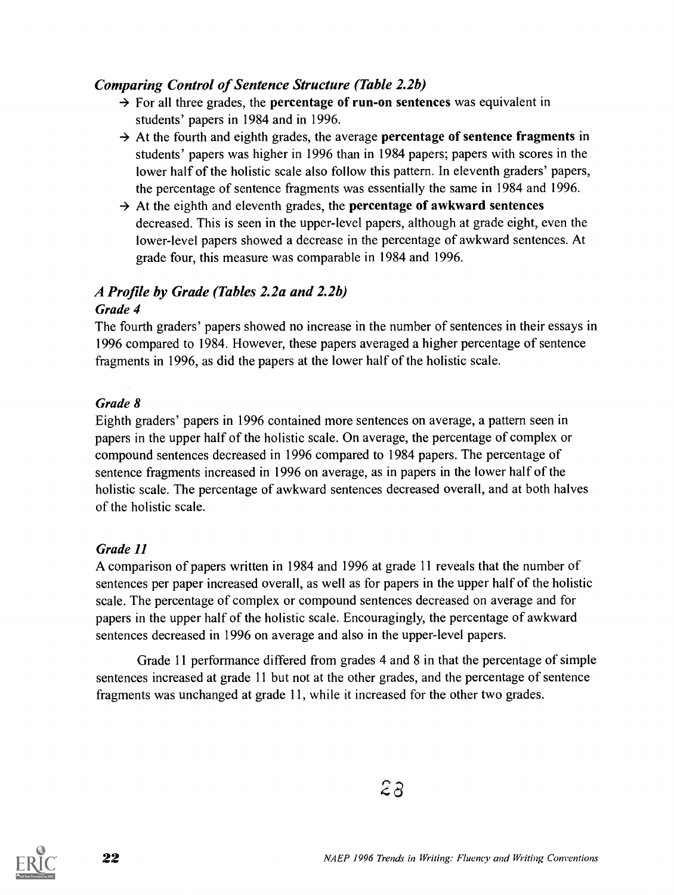#### Comparing Control of Sentence Structure (Table 2.2b)

- $\rightarrow$  For all three grades, the **percentage of run-on sentences** was equivalent in students' papers in 1984 and in 1996.
- $\rightarrow$  At the fourth and eighth grades, the average percentage of sentence fragments in students' papers was higher in 1996 than in 1984 papers; papers with scores in the lower half of the holistic scale also follow this pattern. In eleventh graders' papers, the percentage of sentence fragments was essentially the same in 1984 and 1996.
- $\rightarrow$  At the eighth and eleventh grades, the **percentage of awkward sentences** decreased. This is seen in the upper-level papers, although at grade eight, even the lower-level papers showed a decrease in the percentage of awkward sentences. At grade four, this measure was comparable in 1984 and 1996.

#### A Profile by Grade (Tables 2.2a and 2.2b) Grade 4

The fourth graders' papers showed no increase in the number of sentences in their essays in 1996 compared to 1984. However, these papers averaged a higher percentage of sentence fragments in 1996, as did the papers at the lower half of the holistic scale.

#### Grade 8

Eighth graders' papers in 1996 contained more sentences on average, a pattern seen in papers in the upper half of the holistic scale. On average, the percentage of complex or compound sentences decreased in 1996 compared to 1984 papers. The percentage of sentence fragments increased in 1996 on average, as in papers in the lower half of the holistic scale. The percentage of awkward sentences decreased overall, and at both halves of the holistic scale.

#### Grade 11

A comparison of papers written in 1984 and 1996 at grade 11 reveals that the number of sentences per paper increased overall, as well as for papers in the upper half of the holistic scale. The percentage of complex or compound sentences decreased on average and for papers in the upper half of the holistic scale. Encouragingly, the percentage of awkward sentences decreased in 1996 on average and also in the upper-level papers.

Grade 11 performance differed from grades 4 and 8 in that the percentage of simple sentences increased at grade 11 but not at the other grades, and the percentage of sentence fragments was unchanged at grade 11, while it increased for the other two grades.

 $2a$ 

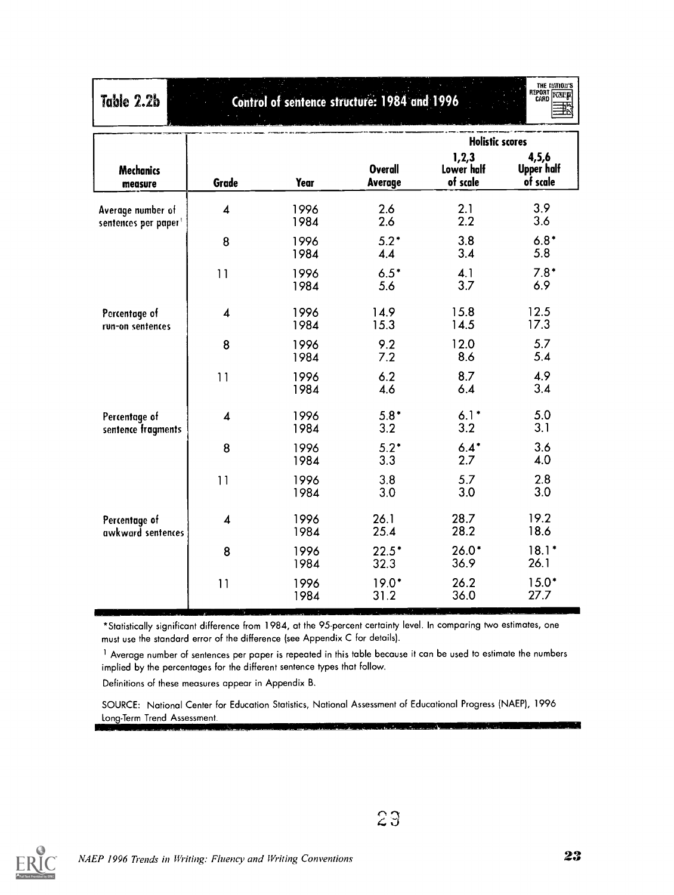| Table 2.2b                                            | THE NATION'S<br>REPORT FEBRE<br>Control of sentence structure: 1984 and 1996 |              |                           |                                 |                                          |  |  |
|-------------------------------------------------------|------------------------------------------------------------------------------|--------------|---------------------------|---------------------------------|------------------------------------------|--|--|
|                                                       |                                                                              |              |                           | <b>Holistic scores</b>          |                                          |  |  |
| <b>Mechanics</b><br>measure                           | Grade                                                                        | Year         | <b>Overall</b><br>Average | 1,2,3<br>Lower half<br>of scale | 4, 5, 6<br><b>Upper half</b><br>of scale |  |  |
| Average number of<br>sentences per paper <sup>1</sup> | $\overline{\mathbf{4}}$                                                      | 1996<br>1984 | 2.6<br>2.6                | 2.1<br>2.2                      | 3.9<br>3.6                               |  |  |
|                                                       | 8                                                                            | 1996<br>1984 | $5.2*$<br>4.4             | 3.8<br>3.4                      | $6.8*$<br>5.8                            |  |  |
|                                                       | 11                                                                           | 1996<br>1984 | $6.5*$<br>5.6             | 4.1<br>3.7                      | $7.8*$<br>6.9                            |  |  |
| Percentage of<br>run-on sentences                     | $\boldsymbol{4}$                                                             | 1996<br>1984 | 14.9<br>15.3              | 15.8<br>14.5                    | 12.5<br>17.3                             |  |  |
|                                                       | 8                                                                            | 1996<br>1984 | 9.2<br>7.2                | 12.0<br>8.6                     | 5.7<br>5.4                               |  |  |
|                                                       | 11                                                                           | 1996<br>1984 | 6.2<br>4.6                | 8.7<br>6.4                      | 4.9<br>3.4                               |  |  |
| Percentage of<br>sentence fragments                   | $\overline{\mathbf{4}}$                                                      | 1996<br>1984 | $5.8*$<br>3.2             | $6.1*$<br>3.2                   | 5.0<br>3.1                               |  |  |
|                                                       | 8                                                                            | 1996<br>1984 | $5.2*$<br>3.3             | $6.4*$<br>2.7                   | 3.6<br>4.0                               |  |  |
|                                                       | 11                                                                           | 1996<br>1984 | 3.8<br>3.0                | 5.7<br>3.0                      | 2.8<br>3.0                               |  |  |
| Percentage of<br>awkward sentences                    | $\boldsymbol{4}$                                                             | 1996<br>1984 | 26.1<br>25.4              | 28.7<br>28.2                    | 19.2<br>18.6                             |  |  |
|                                                       | 8                                                                            | 1996<br>1984 | $22.5*$<br>32.3           | $26.0*$<br>36.9                 | $18.1*$<br>26.1                          |  |  |
|                                                       | 11                                                                           | 1996<br>1984 | $19.0*$<br>31.2           | 26.2<br>36.0                    | $15.0*$<br>27.7                          |  |  |

\*Statistically significant difference from 1984, at the 95-percent certainty level. In comparing two estimates, one must use the standard error of the difference (see Appendix C for details).

<sup>1</sup> Average number of sentences per paper is repeated in this table because it can be used to estimate the numbers implied by the percentages for the different sentence types that follow.

Definitions of these measures appear in Appendix B.

SOURCE: National Center for Education Statistics, National Assessment of Educational Progress (NAEP), 1996 Long-Term Trend Assessment.



23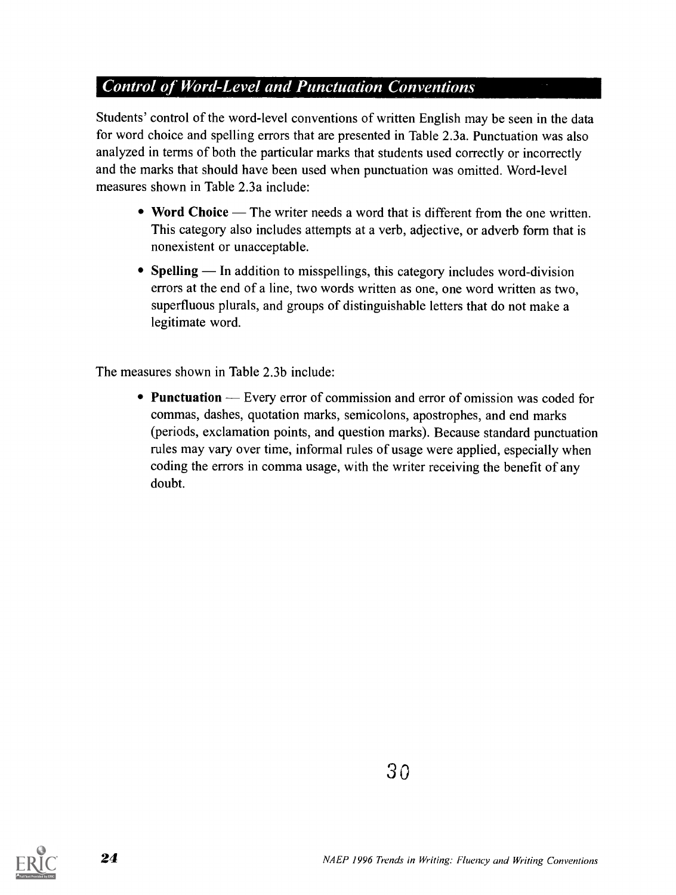#### **Control of Word-Level and Punctuation Conventions**

Students' control of the word-level conventions of written English may be seen in the data for word choice and spelling errors that are presented in Table 2.3a. Punctuation was also analyzed in terms of both the particular marks that students used correctly or incorrectly and the marks that should have been used when punctuation was omitted. Word-level measures shown in Table 2.3a include:

- Word Choice The writer needs a word that is different from the one written. This category also includes attempts at a verb, adjective, or adverb form that is nonexistent or unacceptable.
- Spelling  $-$  In addition to misspellings, this category includes word-division errors at the end of a line, two words written as one, one word written as two, superfluous plurals, and groups of distinguishable letters that do not make a legitimate word.

The measures shown in Table 2.3b include:

• Punctuation — Every error of commission and error of omission was coded for commas, dashes, quotation marks, semicolons, apostrophes, and end marks (periods, exclamation points, and question marks). Because standard punctuation rules may vary over time, informal rules of usage were applied, especially when coding the errors in comma usage, with the writer receiving the benefit of any doubt.

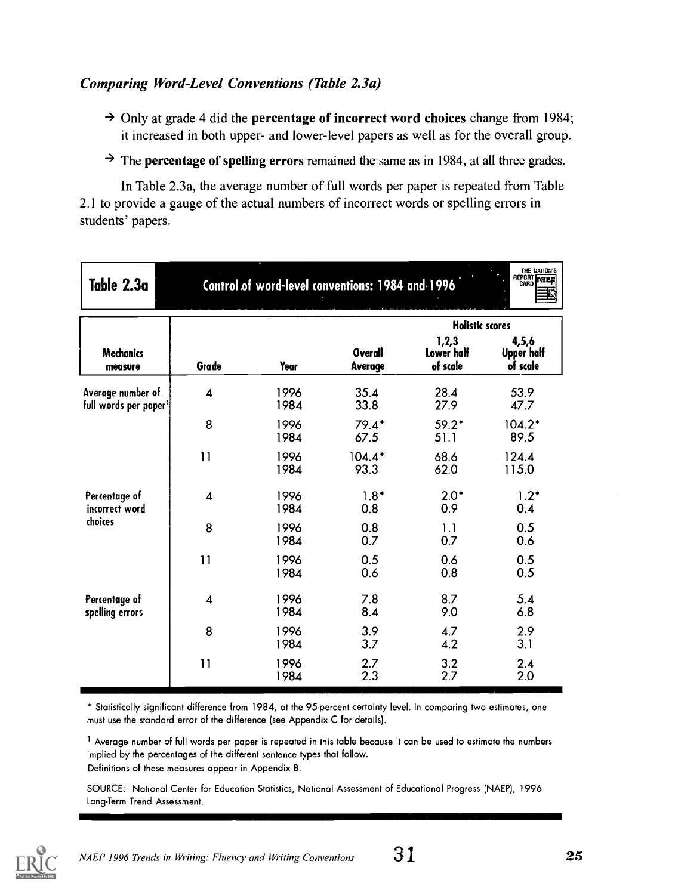#### Comparing Word-Level Conventions (Table 2.3a)

- $\rightarrow$  Only at grade 4 did the **percentage of incorrect word choices** change from 1984; it increased in both upper- and lower-level papers as well as for the overall group.
- $\rightarrow$  The **percentage of spelling errors** remained the same as in 1984, at all three grades.

In Table 2.3a, the average number of full words per paper is repeated from Table 2.1 to provide a gauge of the actual numbers of incorrect words or spelling errors in students' papers.

| Table 2.3a                                 |                         |              | Control of word-level conventions: 1984 and 1996 |                                 | THE IJATION'S<br>REPORT <b>NEED</b>    |
|--------------------------------------------|-------------------------|--------------|--------------------------------------------------|---------------------------------|----------------------------------------|
|                                            |                         |              |                                                  | <b>Holistic scores</b>          |                                        |
| <b>Mechanics</b><br>measure                | Grade                   | <b>Year</b>  | <b>Overall</b><br><b>Average</b>                 | 1,2,3<br>Lower half<br>of scale | 4,5,6<br><b>Upper half</b><br>of scale |
| Average number of<br>full words per paper1 | $\overline{\mathbf{A}}$ | 1996<br>1984 | 35.4<br>33.8                                     | 28.4<br>27.9                    | 53.9<br>47.7                           |
|                                            | 8                       | 1996<br>1984 | $79.4*$<br>67.5                                  | $59.2*$<br>51.1                 | $104.2*$<br>89.5                       |
|                                            | 11                      | 1996<br>1984 | $104.4*$<br>93.3                                 | 68.6<br>62.0                    | 124.4<br>115.0                         |
| Percentage of<br>incorrect word            | $\boldsymbol{A}$        | 1996<br>1984 | $1.8*$<br>0.8                                    | $2.0*$<br>0.9                   | $1.2*$<br>0.4                          |
| choices                                    | 8                       | 1996<br>1984 | 0.8<br>0.7                                       | 1.1<br>0.7                      | 0.5<br>0.6                             |
|                                            | 11                      | 1996<br>1984 | 0.5<br>0.6                                       | 0.6<br>0.8                      | 0.5<br>0.5                             |
| Percentage of<br>spelling errors           | 4                       | 1996<br>1984 | 7.8<br>8.4                                       | 8.7<br>9.0                      | 5.4<br>6.8                             |
|                                            | 8                       | 1996<br>1984 | 3.9<br>3.7                                       | 4.7<br>4.2                      | 2.9<br>3.1                             |
|                                            | 11                      | 1996<br>1984 | 2.7<br>2.3                                       | 3.2<br>2.7                      | 2.4<br>2.0                             |

\* Statistically significant difference from 1984, at the 95-percent certainty level. In comparing two estimates, one must use the standard error of the difference (see Appendix C for details).

 $<sup>1</sup>$  Average number of full words per paper is repeated in this table because it can be used to estimate the numbers</sup> implied by the percentages of the different sentence types that follow.

Definitions of these measures appear in Appendix B.

SOURCE: National Center for Education Statistics, National Assessment of Educational Progress (NAEP), 1996 Long-Term Trend Assessment.

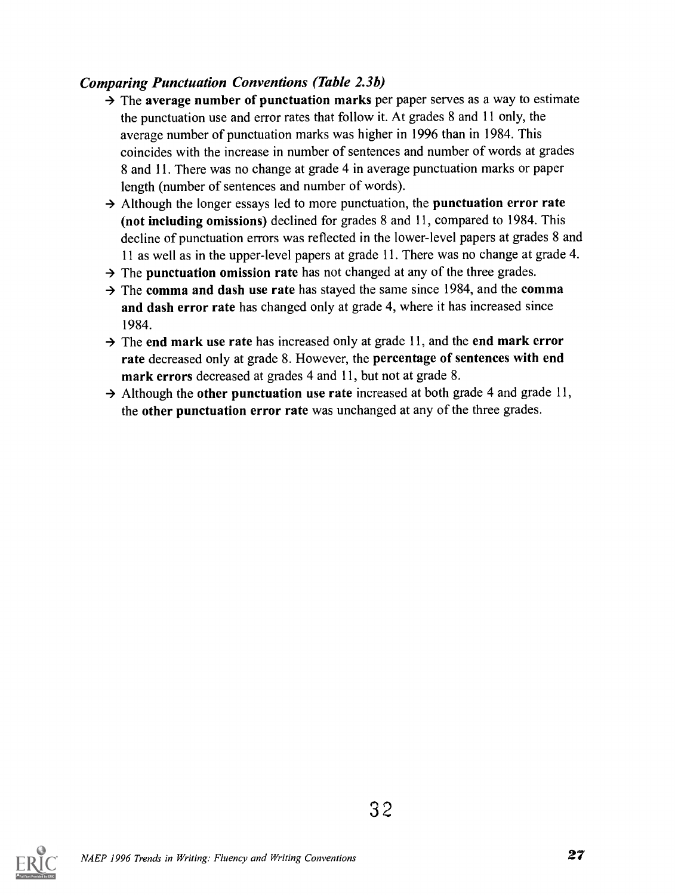#### Comparing Punctuation Conventions (Table 2.3b)

- $\rightarrow$  The average number of punctuation marks per paper serves as a way to estimate the punctuation use and error rates that follow it. At grades 8 and 11 only, the average number of punctuation marks was higher in 1996 than in 1984. This coincides with the increase in number of sentences and number of words at grades 8 and 11. There was no change at grade 4 in average punctuation marks or paper length (number of sentences and number of words).
- $\rightarrow$  Although the longer essays led to more punctuation, the punctuation error rate (not including omissions) declined for grades 8 and 11, compared to 1984. This decline of punctuation errors was reflected in the lower-level papers at grades 8 and 11 as well as in the upper-level papers at grade 11. There was no change at grade 4.
- $\rightarrow$  The punctuation omission rate has not changed at any of the three grades.
- $\rightarrow$  The comma and dash use rate has stayed the same since 1984, and the comma and dash error rate has changed only at grade 4, where it has increased since 1984.
- $\rightarrow$  The end mark use rate has increased only at grade 11, and the end mark error rate decreased only at grade 8. However, the percentage of sentences with end mark errors decreased at grades 4 and 11, but not at grade 8.
- $\rightarrow$  Although the other punctuation use rate increased at both grade 4 and grade 11, the other punctuation error rate was unchanged at any of the three grades.

3 2

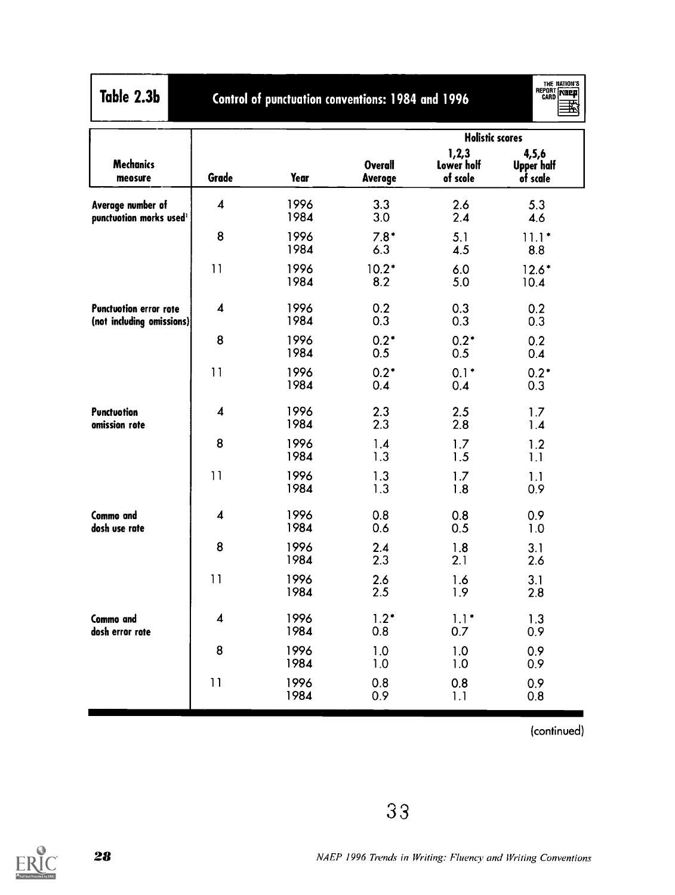| Table 2.3l |  |  |
|------------|--|--|
|            |  |  |

Table 2.3b Control of punctuation conventions: 1984 and 1996

THE NATION'S<br>CARD NATELY

|                                                          |                         |              |                           | <b>Holistic scores</b>          |                                          |
|----------------------------------------------------------|-------------------------|--------------|---------------------------|---------------------------------|------------------------------------------|
| <b>Mechanics</b><br>meosure                              | Grade                   | Year         | <b>Overall</b><br>Averoge | 1,2,3<br>Lower holf<br>of scole | 4, 5, 6<br><b>Upper half</b><br>of scale |
| Average number of<br>punctuation morks used <sup>1</sup> | $\boldsymbol{4}$        | 1996<br>1984 | 3.3<br>3.0                | 2.6<br>2.4                      | 5.3<br>4.6                               |
|                                                          | 8                       | 1996<br>1984 | $7.8*$<br>6.3             | 5.1<br>4.5                      | $11.1*$<br>8.8                           |
|                                                          | 11                      | 1996<br>1984 | $10.2*$<br>8.2            | 6.0<br>5.0                      | $12.6*$<br>10.4                          |
| Punctuotion error rote<br>(not including omissions)      | $\overline{\mathbf{4}}$ | 1996<br>1984 | 0.2<br>0.3                | 0.3<br>0.3                      | 0.2<br>0.3                               |
|                                                          | 8                       | 1996<br>1984 | $0.2*$<br>0.5             | $0.2*$<br>0.5                   | 0.2<br>0.4                               |
|                                                          | 11                      | 1996<br>1984 | $0.2*$<br>0.4             | $0.1*$<br>0.4                   | $0.2*$<br>0.3                            |
| Punctuotion<br>omission rote                             | $\boldsymbol{4}$        | 1996<br>1984 | 2.3<br>2.3                | 2.5<br>2.8                      | 1.7<br>1.4                               |
|                                                          | 8                       | 1996<br>1984 | 1.4<br>1.3                | 1.7<br>1.5                      | 1.2<br>1.1                               |
|                                                          | 11                      | 1996<br>1984 | 1.3<br>1.3                | 1.7<br>1.8                      | 1.1<br>0.9                               |
| Commo and<br>dosh use rate                               | $\boldsymbol{4}$        | 1996<br>1984 | 0.8<br>0.6                | 0.8<br>0.5                      | 0.9<br>1.0                               |
|                                                          | 8                       | 1996<br>1984 | 2.4<br>2.3                | 1.8<br>2.1                      | 3.1<br>2.6                               |
|                                                          | 11                      | 1996<br>1984 | 2.6<br>2.5                | 1.6<br>1.9                      | 3.1<br>2.8                               |
| Commo and<br>dosh error rote                             | $\boldsymbol{4}$        | 1996<br>1984 | $1.2*$<br>0.8             | $1.1*$<br>0.7                   | 1.3<br>0.9                               |
|                                                          | 8                       | 1996<br>1984 | 1.0<br>1.0                | 1.0<br>1.0                      | 0.9<br>0.9                               |
|                                                          | 11                      | 1996<br>1984 | 0.8<br>0.9                | 0.8<br>1.1                      | 0.9<br>0.8                               |

(continued)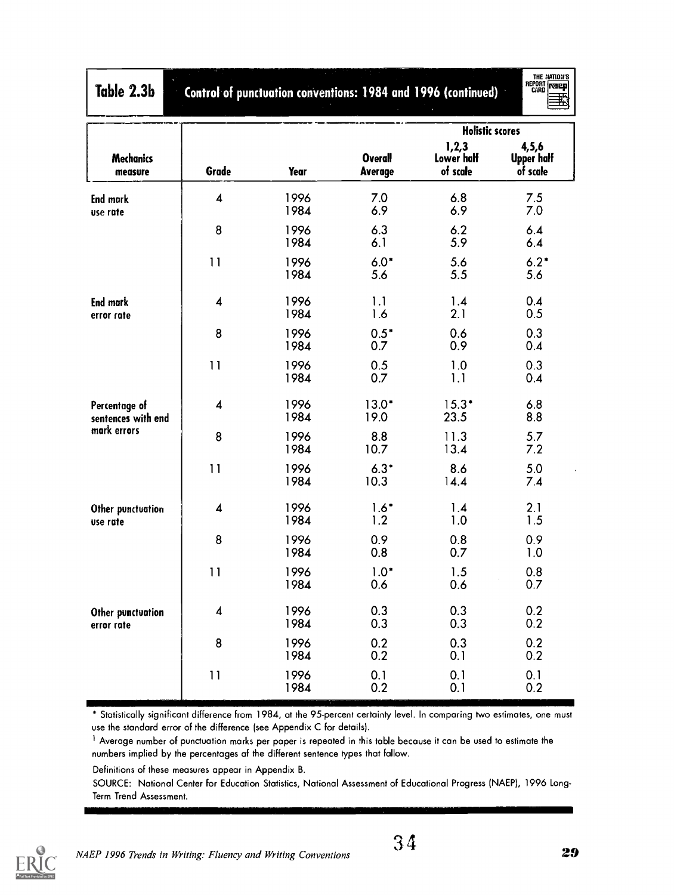| Table 2.3b                          |       |              |                                  | Control of punctuation conventions: 1984 and 1996 (continued) | <b>CARD THEFT</b>                        |  |
|-------------------------------------|-------|--------------|----------------------------------|---------------------------------------------------------------|------------------------------------------|--|
|                                     |       |              |                                  | <b>Holistic scores</b>                                        |                                          |  |
| <b>Mechanics</b><br>measure         | Grade | Year         | <b>Overall</b><br><b>Average</b> | 1,2,3<br>Lower half<br>of scale                               | 4, 5, 6<br><b>Upper half</b><br>of scale |  |
| <b>End mark</b><br>use rate         | 4     | 1996<br>1984 | 7.0<br>6.9                       | 6.8<br>6.9                                                    | 7.5<br>7.0                               |  |
|                                     | 8     | 1996<br>1984 | 6.3<br>6.1                       | 6.2<br>5.9                                                    | 6.4<br>6.4                               |  |
|                                     | 11    | 1996<br>1984 | $6.0*$<br>5.6                    | 5.6<br>5.5                                                    | $6.2*$<br>5.6                            |  |
| <b>End mark</b><br>error rate       | 4     | 1996<br>1984 | 1.1<br>1.6                       | 1.4<br>2.1                                                    | 0.4<br>0.5                               |  |
|                                     | 8     | 1996<br>1984 | $0.5*$<br>0.7                    | 0.6<br>0.9                                                    | 0.3<br>0.4                               |  |
|                                     | 11    | 1996<br>1984 | 0.5<br>0.7                       | 1.0<br>1.1                                                    | 0.3<br>0.4                               |  |
| Percentage of<br>sentences with end | 4     | 1996<br>1984 | $13.0*$<br>19.0                  | $15.3*$<br>23.5                                               | 6.8<br>8.8                               |  |
| mark errors                         | 8     | 1996<br>1984 | 8.8<br>10.7                      | 11.3<br>13.4                                                  | 5.7<br>7.2                               |  |
|                                     | 11    | 1996<br>1984 | $6.3*$<br>10.3                   | 8.6<br>14.4                                                   | 5.0<br>7.4                               |  |
| Other punctuation<br>use rate       | 4     | 1996<br>1984 | $1.6*$<br>1.2                    | 1.4<br>1.0                                                    | 2.1<br>1.5                               |  |
|                                     | 8     | 1996<br>1984 | 0.9<br>0.8                       | 0.8<br>0.7                                                    | 0.9<br>1.0                               |  |
|                                     | 11    | 1996<br>1984 | $1.0*$<br>0.6                    | 1.5<br>0.6                                                    | 0.8<br>0.7                               |  |
| Other punctuation<br>error rate     | 4     | 1996<br>1984 | 0.3<br>0.3                       | 0.3<br>0.3                                                    | 0.2<br>0.2                               |  |
|                                     | 8     | 1996<br>1984 | 0.2<br>0.2                       | 0.3<br>0.1                                                    | 0.2<br>0.2                               |  |
|                                     | 11    | 1996<br>1984 | 0.1<br>0.2                       | 0.1<br>0.1                                                    | 0.1<br>0.2                               |  |

\* Statistically significant difference from 1984, at the 95-percent certainty level. In comparing two estimates, one must use the standard error of the difference (see Appendix C for details).

<sup>1</sup> Average number of punctuation marks per paper is repeated in this table because it can be used to estimate the numbers implied by the percentages of the different sentence types that follow.

Definitions of these measures appear in Appendix B.

SOURCE: National Center for Education Statistics, National Assessment of Educational Progress (NAEP), 1996 Long-Term Trend Assessment.



THE NATION'S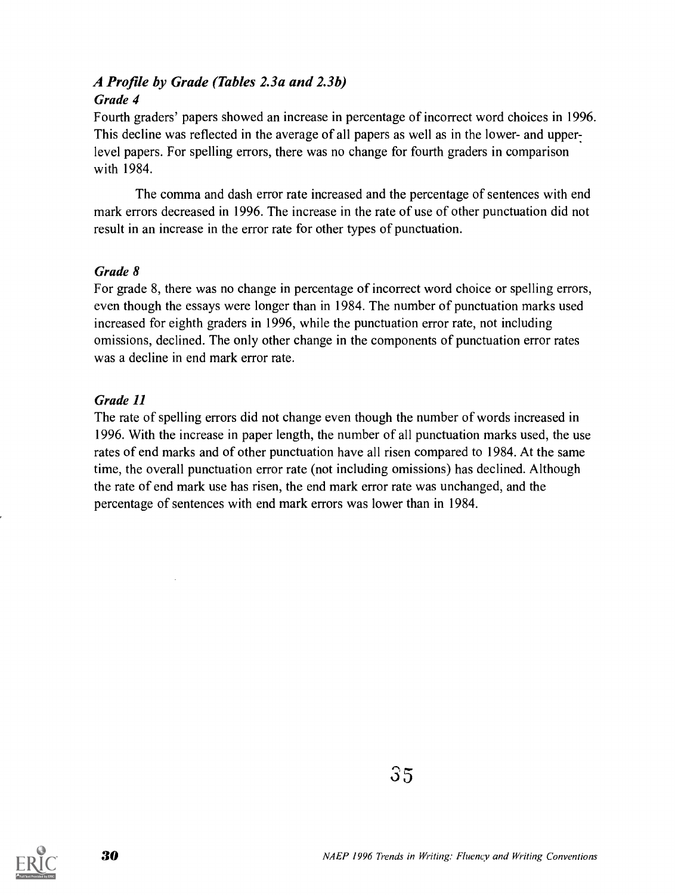#### A Profile by Grade (Tables 2.3a and 2.3b) Grade 4

Fourth graders' papers showed an increase in percentage of incorrect word choices in 1996. This decline was reflected in the average of all papers as well as in the lower- and upper: level papers. For spelling errors, there was no change for fourth graders in comparison with 1984.

The comma and dash error rate increased and the percentage of sentences with end mark errors decreased in 1996. The increase in the rate of use of other punctuation did not result in an increase in the error rate for other types of punctuation.

#### Grade 8

For grade 8, there was no change in percentage of incorrect word choice or spelling errors, even though the essays were longer than in 1984. The number of punctuation marks used increased for eighth graders in 1996, while the punctuation error rate, not including omissions, declined. The only other change in the components of punctuation error rates was a decline in end mark error rate.

#### Grade 11

The rate of spelling errors did not change even though the number of words increased in 1996. With the increase in paper length, the number of all punctuation marks used, the use rates of end marks and of other punctuation have all risen compared to 1984. At the same time, the overall punctuation error rate (not including omissions) has declined. Although the rate of end mark use has risen, the end mark error rate was unchanged, and the percentage of sentences with end mark errors was lower than in 1984.

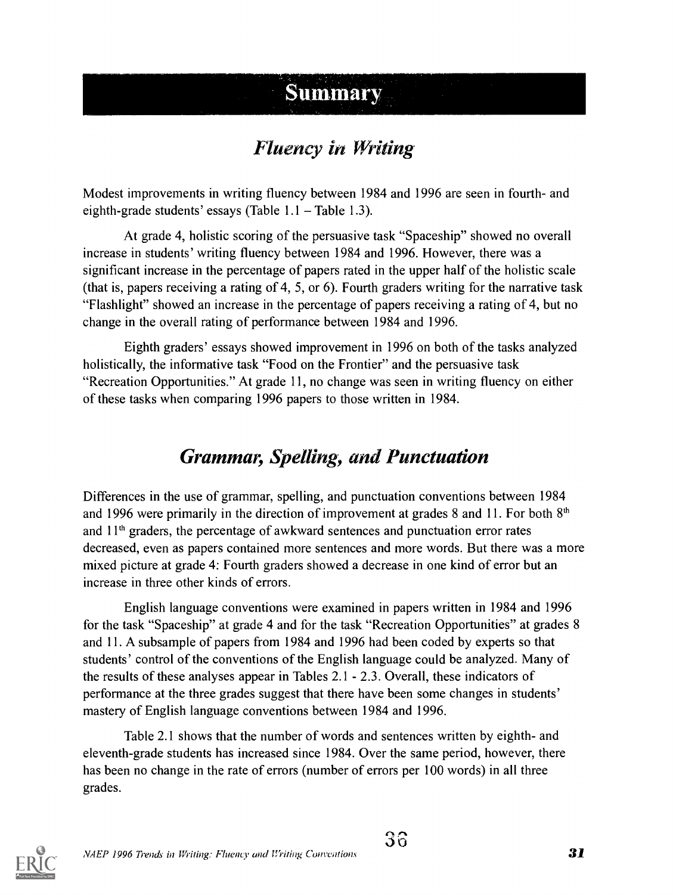## **Summary**

## Fluency in Writing

Modest improvements in writing fluency between 1984 and 1996 are seen in fourth- and eighth-grade students' essays (Table  $1.1$  – Table 1.3).

At grade 4, holistic scoring of the persuasive task "Spaceship" showed no overall increase in students' writing fluency between 1984 and 1996. However, there was a significant increase in the percentage of papers rated in the upper half of the holistic scale (that is, papers receiving a rating of 4, 5, or 6). Fourth graders writing for the narrative task "Flashlight" showed an increase in the percentage of papers receiving a rating of 4, but no change in the overall rating of performance between 1984 and 1996.

Eighth graders' essays showed improvement in 1996 on both of the tasks analyzed holistically, the informative task "Food on the Frontier" and the persuasive task "Recreation Opportunities." At grade 11, no change was seen in writing fluency on either of these tasks when comparing 1996 papers to those written in 1984.

## Grammar, Spelling, and Punctuation

Differences in the use of grammar, spelling, and punctuation conventions between 1984 and 1996 were primarily in the direction of improvement at grades 8 and 11. For both  $8<sup>th</sup>$ and  $11<sup>th</sup>$  graders, the percentage of awkward sentences and punctuation error rates decreased, even as papers contained more sentences and more words. But there was a more mixed picture at grade 4: Fourth graders showed a decrease in one kind of error but an increase in three other kinds of errors.

English language conventions were examined in papers written in 1984 and 1996 for the task "Spaceship" at grade 4 and for the task "Recreation Opportunities" at grades 8 and 11. A subsample of papers from 1984 and 1996 had been coded by experts so that students' control of the conventions of the English language could be analyzed. Many of the results of these analyses appear in Tables 2.1 - 2.3. Overall, these indicators of performance at the three grades suggest that there have been some changes in students' mastery of English language conventions between 1984 and 1996.

Table 2.1 shows that the number of words and sentences written by eighth- and eleventh-grade students has increased since 1984. Over the same period, however, there has been no change in the rate of errors (number of errors per 100 words) in all three grades.

 $3\widehat{6}$ 

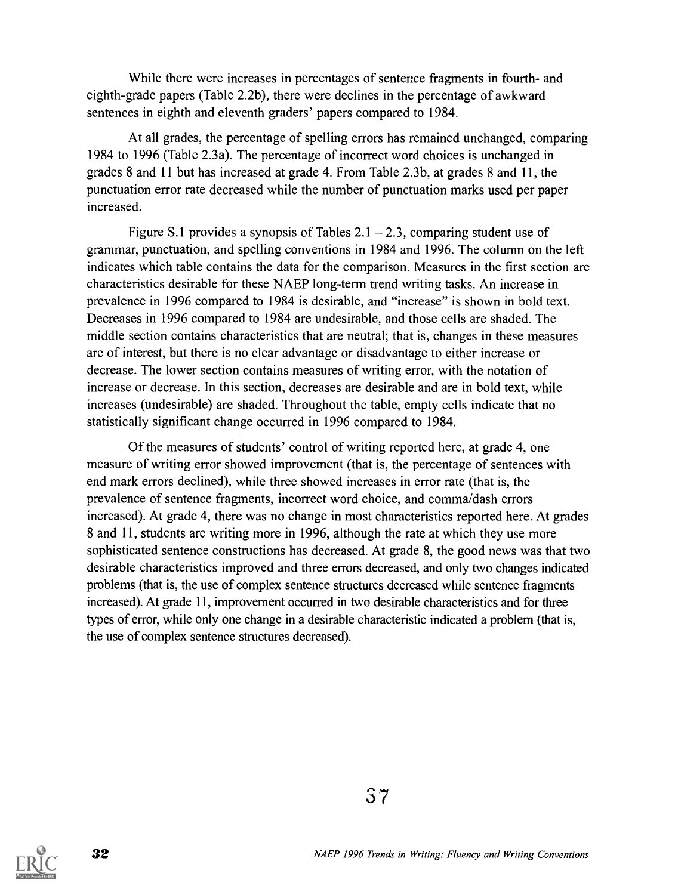While there were increases in percentages of sentence fragments in fourth- and eighth-grade papers (Table 2.2b), there were declines in the percentage of awkward sentences in eighth and eleventh graders' papers compared to 1984.

At all grades, the percentage of spelling errors has remained unchanged, comparing 1984 to 1996 (Table 2.3a). The percentage of incorrect word choices is unchanged in grades 8 and 11 but has increased at grade 4. From Table 2.3b, at grades 8 and 11, the punctuation error rate decreased while the number of punctuation marks used per paper increased.

Figure S.1 provides a synopsis of Tables  $2.1 - 2.3$ , comparing student use of grammar, punctuation, and spelling conventions in 1984 and 1996. The column on the left indicates which table contains the data for the comparison. Measures in the first section are characteristics desirable for these NAEP long-term trend writing tasks. An increase in prevalence in 1996 compared to 1984 is desirable, and "increase" is shown in bold text. Decreases in 1996 compared to 1984 are undesirable, and those cells are shaded. The middle section contains characteristics that are neutral; that is, changes in these measures are of interest, but there is no clear advantage or disadvantage to either increase or decrease. The lower section contains measures of writing error, with the notation of increase or decrease. In this section, decreases are desirable and are in bold text, while increases (undesirable) are shaded. Throughout the table, empty cells indicate that no statistically significant change occurred in 1996 compared to 1984.

Of the measures of students' control of writing reported here, at grade 4, one measure of writing error showed improvement (that is, the percentage of sentences with end mark errors declined), while three showed increases in error rate (that is, the prevalence of sentence fragments, incorrect word choice, and comma/dash errors increased). At grade 4, there was no change in most characteristics reported here. At grades 8 and 11, students are writing more in 1996, although the rate at which they use more sophisticated sentence constructions has decreased. At grade 8, the good news was that two desirable characteristics improved and three errors decreased, and only two changes indicated problems (that is, the use of complex sentence structures decreased while sentence fragments increased). At grade 11, improvement occurred in two desirable characteristics and for three types of error, while only one change in a desirable characteristic indicated a problem (that is, the use of complex sentence structures decreased).



37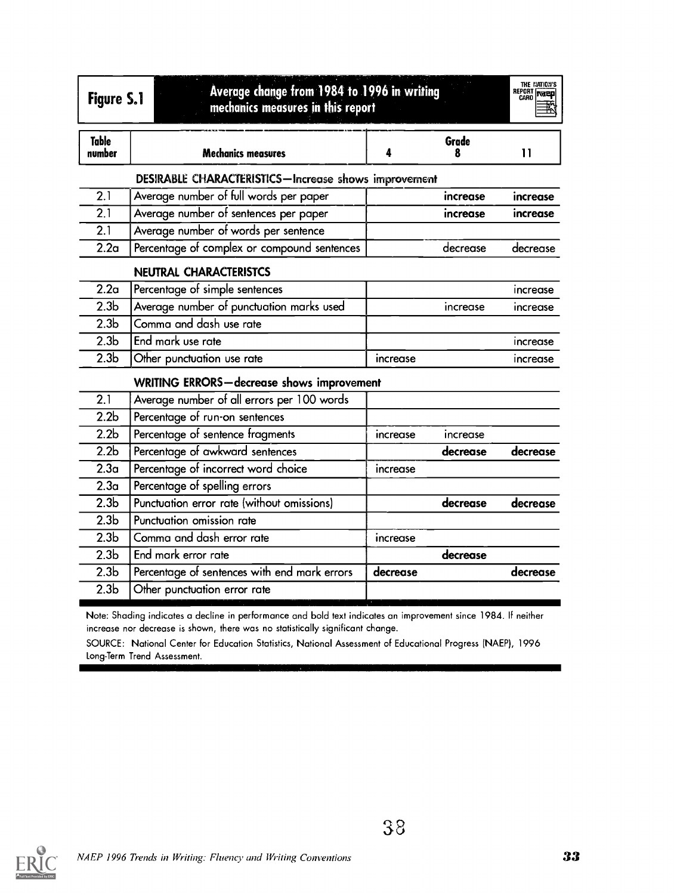| <b>Figure S.1</b>      | Average change from 1984 to 1996 in writing<br>mechanics measures in this report |          |            | THE NATION'S<br>REPORT<br>CARO <b>NATELY</b> |
|------------------------|----------------------------------------------------------------------------------|----------|------------|----------------------------------------------|
| <b>Table</b><br>number | <b>Mechanics measures</b>                                                        | 4        | Grade<br>8 | $\mathbf{1}$                                 |
|                        | DESIRABLE CHARACTERISTICS-Increase shows improvement                             |          |            |                                              |
| $\overline{2.1}$       | Average number of full words per paper                                           |          | increase   | increase                                     |
| $\overline{2.1}$       | Average number of sentences per paper                                            |          | increase   | increase                                     |
| 2.1                    | Average number of words per sentence                                             |          |            |                                              |
| 2.2 <sub>a</sub>       | Percentage of complex or compound sentences                                      |          | decrease   | decrease                                     |
|                        | <b>NEUTRAL CHARACTERISTCS</b>                                                    |          |            |                                              |
| 2.2 <sub>a</sub>       | Percentage of simple sentences                                                   |          |            | increase                                     |
| 2.3 <sub>b</sub>       | Average number of punctuation marks used                                         |          | increase   | increase                                     |
| 2.3 <sub>b</sub>       | Comma and dash use rate                                                          |          |            |                                              |
| 2.3 <sub>b</sub>       | End mark use rate                                                                |          |            | increase                                     |
| 2.3 <sub>b</sub>       | Other punctuation use rate                                                       | increase |            | <b>Increase</b>                              |
|                        | <b>WRITING ERRORS-decrease shows improvement</b>                                 |          |            |                                              |
| 2.1                    | Average number of all errors per 100 words                                       |          |            |                                              |
| 2.2 <sub>b</sub>       | Percentage of run-on sentences                                                   |          |            |                                              |
| 2.2 <sub>b</sub>       | Percentage of sentence fragments                                                 | increase | increase   |                                              |
| 2.2 <sub>b</sub>       | Percentage of awkward sentences                                                  |          | decrease   | decrease                                     |
| 2.3 <sub>a</sub>       | Percentage of incorrect word choice                                              | increase |            |                                              |
| 2.3 <sub>a</sub>       | Percentage of spelling errors                                                    |          |            |                                              |
| $\overline{2.3b}$      | Punctuation error rate (without omissions)                                       |          | decrease   | decrease                                     |
| 2.3 <sub>b</sub>       | Punctuation omission rate                                                        |          |            |                                              |
| 2.3 <sub>b</sub>       | Comma and dash error rate                                                        | increase |            |                                              |
| 2.3 <sub>b</sub>       | End mark error rate                                                              |          | decrease   |                                              |
| 2.3 <sub>b</sub>       | Percentage of sentences with end mark errors                                     | decrease |            | decrease                                     |
| 2.3 <sub>b</sub>       | Other punctuation error rate                                                     |          |            |                                              |

Note: Shadina indicates a decline in performance and bold text indicates an improvement since 1984. If neither increase nor decrease is shown, there was no statistically significant change.

SOURCE: National Center for Education Statistics, National Assessment of Educational Progress (NAEP), 1996 Long-Term Trend Assessment.

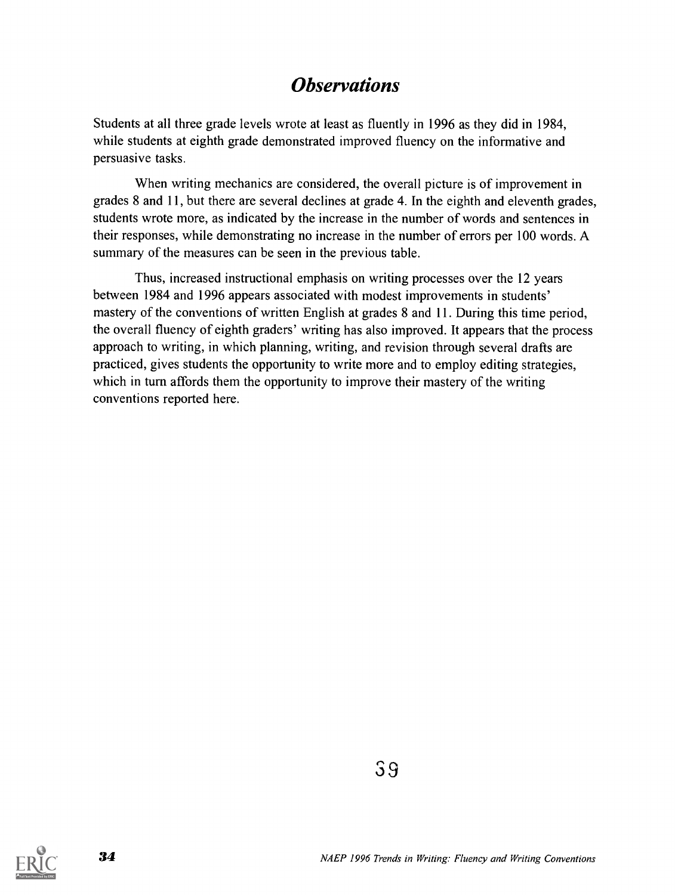### **Observations**

Students at all three grade levels wrote at least as fluently in 1996 as they did in 1984, while students at eighth grade demonstrated improved fluency on the informative and persuasive tasks.

When writing mechanics are considered, the overall picture is of improvement in grades 8 and 11, but there are several declines at grade 4. In the eighth and eleventh grades, students wrote more, as indicated by the increase in the number of words and sentences in their responses, while demonstrating no increase in the number of errors per 100 words. A summary of the measures can be seen in the previous table.

Thus, increased instructional emphasis on writing processes over the 12 years between 1984 and 1996 appears associated with modest improvements in students' mastery of the conventions of written English at grades 8 and 11. During this time period, the overall fluency of eighth graders' writing has also improved. It appears that the process approach to writing, in which planning, writing, and revision through several drafts are practiced, gives students the opportunity to write more and to employ editing strategies, which in turn affords them the opportunity to improve their mastery of the writing conventions reported here.

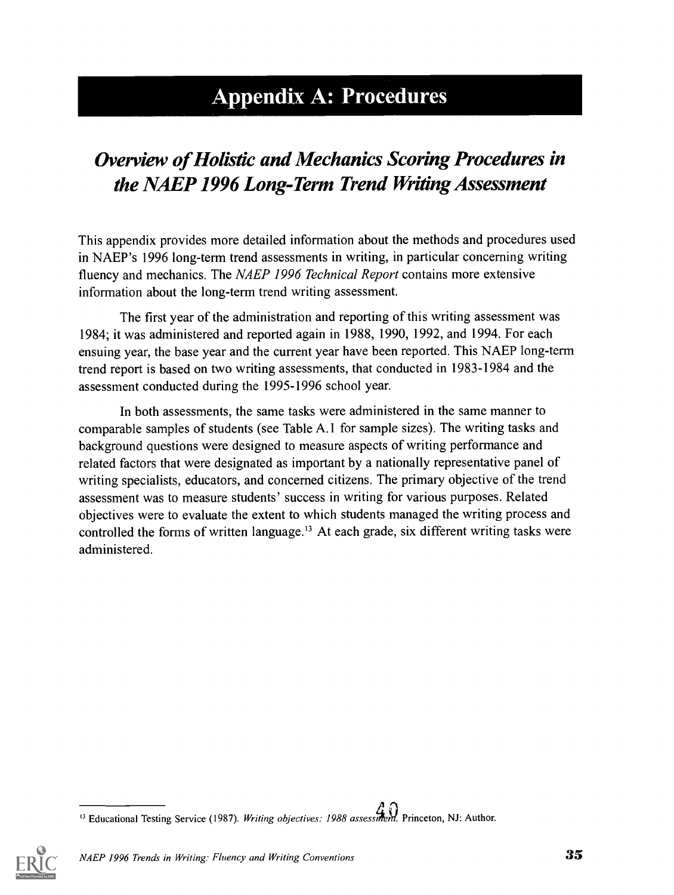## Appendix A: Procedures

## Overview of Holistic and Mechanics Scoring Procedures in the NAEP 1996 Long-Term Trend Writing Assessment

This appendix provides more detailed information about the methods and procedures used in NAEP's 1996 long-term trend assessments in writing, in particular concerning writing fluency and mechanics. The NAEP 1996 Technical Report contains more extensive information about the long-term trend writing assessment.

The first year of the administration and reporting of this writing assessment was 1984; it was administered and reported again in 1988, 1990, 1992, and 1994. For each ensuing year, the base year and the current year have been reported. This NAEP long-term trend report is based on two writing assessments, that conducted in 1983-1984 and the assessment conducted during the 1995-1996 school year.

In both assessments, the same tasks were administered in the same manner to comparable samples of students (see Table A.1 for sample sizes). The writing tasks and background questions were designed to measure aspects of writing performance and related factors that were designated as important by a nationally representative panel of writing specialists, educators, and concerned citizens. The primary objective of the trend assessment was to measure students' success in writing for various purposes. Related objectives were to evaluate the extent to which students managed the writing process and controlled the forms of written language.<sup>13</sup> At each grade, six different writing tasks were administered.

<sup>&</sup>quot;
<sup>13</sup> Educational Testing Service (1987). Writing objectives: 1988 assessment. Princeton, NJ: Author.

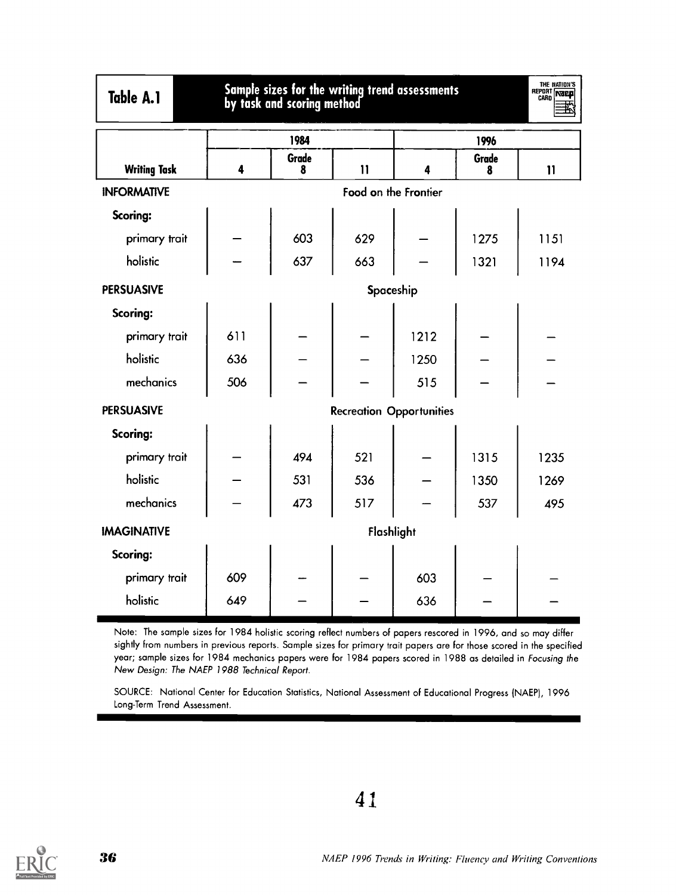| Table | л<br>м. |
|-------|---------|
|-------|---------|

## Table A.1 Sample sizes for the writing trend assessments<br>by task and scoring method



|                     |                         | 1984       |               |                                 | 1996       |              |  |
|---------------------|-------------------------|------------|---------------|---------------------------------|------------|--------------|--|
| <b>Writing Task</b> | $\overline{\mathbf{4}}$ | Grade<br>8 | $\mathbf{11}$ | 4                               | Grade<br>8 | $\mathbf{1}$ |  |
| <b>INFORMATIVE</b>  | Food on the Frontier    |            |               |                                 |            |              |  |
| Scoring:            |                         |            |               |                                 |            |              |  |
| primary trait       |                         | 603        | 629           |                                 | 1275       | 1151         |  |
| holistic            |                         | 637        | 663           |                                 | 1321       | 1194         |  |
| <b>PERSUASIVE</b>   | Spaceship               |            |               |                                 |            |              |  |
| Scoring:            |                         |            |               |                                 |            |              |  |
| primary trait       | 611                     |            |               | 1212                            |            |              |  |
| holistic            | 636                     |            |               | 1250                            |            |              |  |
| mechanics           | 506                     |            |               | 515                             |            |              |  |
| <b>PERSUASIVE</b>   |                         |            |               | <b>Recreation Opportunities</b> |            |              |  |
| Scoring:            |                         |            |               |                                 |            |              |  |
| primary trait       |                         | 494        | 521           |                                 | 1315       | 1235         |  |
| holistic            |                         | 531        | 536           |                                 | 1350       | 1269         |  |
| mechanics           |                         | 473        | 517           |                                 | 537        | 495          |  |
| <b>IMAGINATIVE</b>  |                         |            | Flashlight    |                                 |            |              |  |
| Scoring:            |                         |            |               |                                 |            |              |  |
| primary trait       | 609                     |            |               | 603                             |            |              |  |
| holistic            | 649                     |            |               | 636                             |            |              |  |

Note: The sample sizes for 1984 holistic scoring reflect numbers of papers rescored in 1996, and so may differ sightly from numbers in previous reports. Sample sizes for primary trait papers are for those scored in the specified year; sample sizes for 1984 mechanics papers were for 1984 papers scored in 1988 as detailed in Focusing the New Design: The NAEP 1988 Technical Report.

SOURCE: National Center for Education Statistics, National Assessment of Educational Progress (NAEP), 1996 Long-Term Trend Assessment.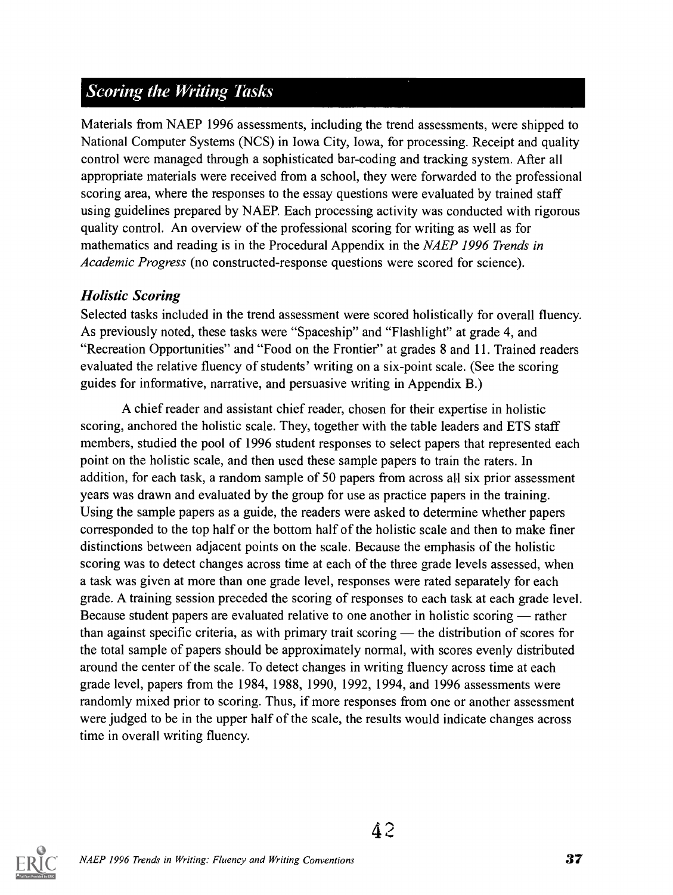### **Scoring the Writing Tasks**

Materials from NAEP 1996 assessments, including the trend assessments, were shipped to National Computer Systems (NCS) in Iowa City, Iowa, for processing. Receipt and quality control were managed through a sophisticated bar-coding and tracking system. After all appropriate materials were received from a school, they were forwarded to the professional scoring area, where the responses to the essay questions were evaluated by trained staff using guidelines prepared by NAEP. Each processing activity was conducted with rigorous quality control. An overview of the professional scoring for writing as well as for mathematics and reading is in the Procedural Appendix in the NAEP 1996 Trends in Academic Progress (no constructed-response questions were scored for science).

#### Holistic Scoring

Selected tasks included in the trend assessment were scored holistically for overall fluency. As previously noted, these tasks were "Spaceship" and "Flashlight" at grade 4, and "Recreation Opportunities" and "Food on the Frontier" at grades 8 and 11. Trained readers evaluated the relative fluency of students' writing on a six-point scale. (See the scoring guides for informative, narrative, and persuasive writing in Appendix B.)

A chief reader and assistant chief reader, chosen for their expertise in holistic scoring, anchored the holistic scale. They, together with the table leaders and ETS staff members, studied the pool of 1996 student responses to select papers that represented each point on the holistic scale, and then used these sample papers to train the raters. In addition, for each task, a random sample of 50 papers from across all six prior assessment years was drawn and evaluated by the group for use as practice papers in the training. Using the sample papers as a guide, the readers were asked to determine whether papers corresponded to the top half or the bottom half of the holistic scale and then to make finer distinctions between adjacent points on the scale. Because the emphasis of the holistic scoring was to detect changes across time at each of the three grade levels assessed, when a task was given at more than one grade level, responses were rated separately for each grade. A training session preceded the scoring of responses to each task at each grade level. Because student papers are evaluated relative to one another in holistic scoring — rather than against specific criteria, as with primary trait scoring  $-$  the distribution of scores for the total sample of papers should be approximately normal, with scores evenly distributed around the center of the scale. To detect changes in writing fluency across time at each grade level, papers from the 1984, 1988, 1990, 1992, 1994, and 1996 assessments were randomly mixed prior to scoring. Thus, if more responses from one or another assessment were judged to be in the upper half of the scale, the results would indicate changes across time in overall writing fluency.

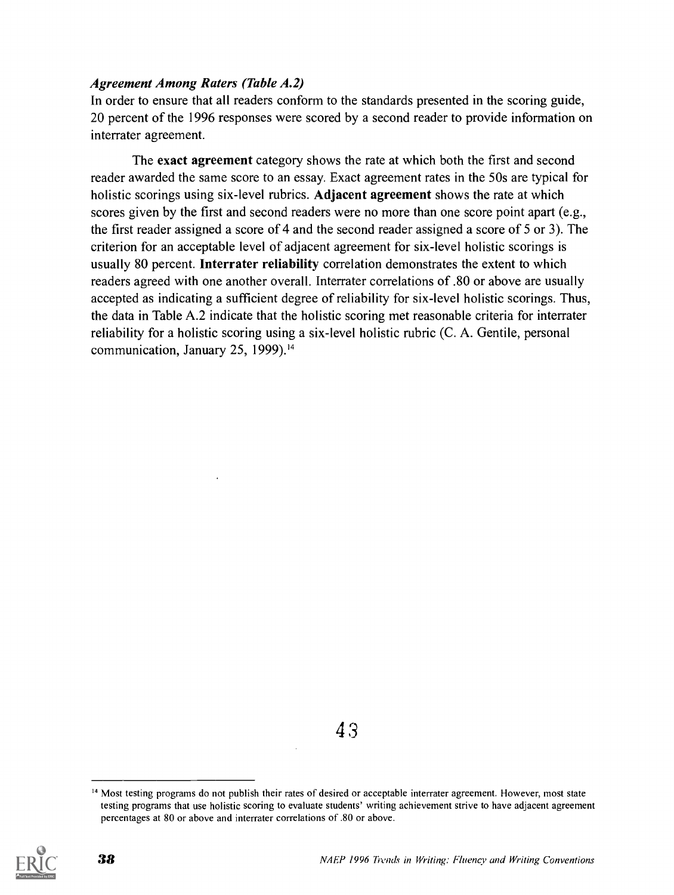#### Agreement Among Raters (Table A.2)

In order to ensure that all readers conform to the standards presented in the scoring guide, 20 percent of the 1996 responses were scored by a second reader to provide information on interrater agreement.

The exact agreement category shows the rate at which both the first and second reader awarded the same score to an essay. Exact agreement rates in the 50s are typical for holistic scorings using six-level rubrics. Adjacent agreement shows the rate at which scores given by the first and second readers were no more than one score point apart (e.g., the first reader assigned a score of 4 and the second reader assigned a score of 5 or 3). The criterion for an acceptable level of adjacent agreement for six-level holistic scorings is usually 80 percent. Interrater reliability correlation demonstrates the extent to which readers agreed with one another overall. Interrater correlations of .80 or above are usually accepted as indicating a sufficient degree of reliability for six-level holistic scorings. Thus, the data in Table A.2 indicate that the holistic scoring met reasonable criteria for interrater reliability for a holistic scoring using a six-level holistic rubric (C. A. Gentile, personal communication, January 25, 1999).'4

4 3

<sup>&</sup>lt;sup>14</sup> Most testing programs do not publish their rates of desired or acceptable interrater agreement. However, most state testing programs that use holistic scoring to evaluate students' writing achievement strive to have adjacent agreement percentages at 80 or above and interrater correlations of .80 or above.

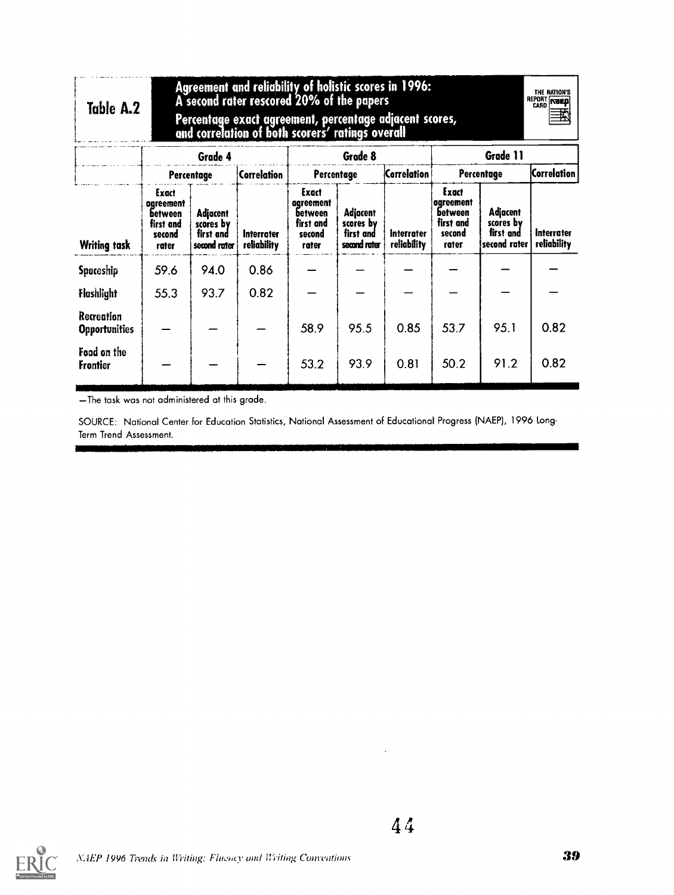| Table A.2                          |                                                                      |                                                    | Agreement and reliability of holistic scores in 1996:<br>A second rater rescored 20% of the papers<br>Percentage exact agreement, percentage adjacent scores,<br>and correlation of both scorers' ratings overall |                                                                      |                                                           |                           |                                                               |                                                    | THE NATION'S<br>REPORT <b>NEED</b><br>玜 |
|------------------------------------|----------------------------------------------------------------------|----------------------------------------------------|-------------------------------------------------------------------------------------------------------------------------------------------------------------------------------------------------------------------|----------------------------------------------------------------------|-----------------------------------------------------------|---------------------------|---------------------------------------------------------------|----------------------------------------------------|-----------------------------------------|
|                                    |                                                                      | Grade 4                                            |                                                                                                                                                                                                                   |                                                                      | Grade 8                                                   |                           |                                                               | Grade 11                                           |                                         |
|                                    |                                                                      | Percentage                                         | Correlation                                                                                                                                                                                                       | Percentage                                                           |                                                           | <b>Correlation</b>        |                                                               | Percentage                                         | <b>Correlation</b>                      |
| <b>Writing task</b>                | Exact<br>aareement<br><b>between</b><br>first and<br>second<br>rater | Adjacent<br>scores by<br>first and<br>second rater | Interrater<br>reliability                                                                                                                                                                                         | Exact<br>agreement<br><b>between</b><br>first and<br>second<br>rater | <b>Adjacent</b><br>scores by<br>first and<br>second rater | Interrater<br>reliability | Exact<br>agreement<br>between<br>first and<br>second<br>rater | Adjacent<br>scores by<br>first and<br>second rater | Interrater<br>reliability               |
| Spaceship                          | 59.6                                                                 | 94.0                                               | 0.86                                                                                                                                                                                                              |                                                                      |                                                           |                           |                                                               |                                                    |                                         |
| Flashlight                         | 55.3                                                                 | 93.7                                               | 0.82                                                                                                                                                                                                              |                                                                      |                                                           |                           |                                                               |                                                    |                                         |
| Recreation<br><b>Opportunities</b> |                                                                      |                                                    |                                                                                                                                                                                                                   | 58.9                                                                 | 95.5                                                      | 0.85                      | 53.7                                                          | 95.1                                               | 0.82                                    |
| Food on the<br><b>Frontier</b>     |                                                                      |                                                    |                                                                                                                                                                                                                   | 53.2                                                                 | 93.9                                                      | 0.81                      | 50.2                                                          | 91.2                                               | 0.82                                    |

- The task was not administered at this grade.

11111111111PP

SOURCE: National Center for Education Statistics, National Assessment of Educational Progress (NAEP), 1996 Long-Term Trend Assessment.



 $\Box$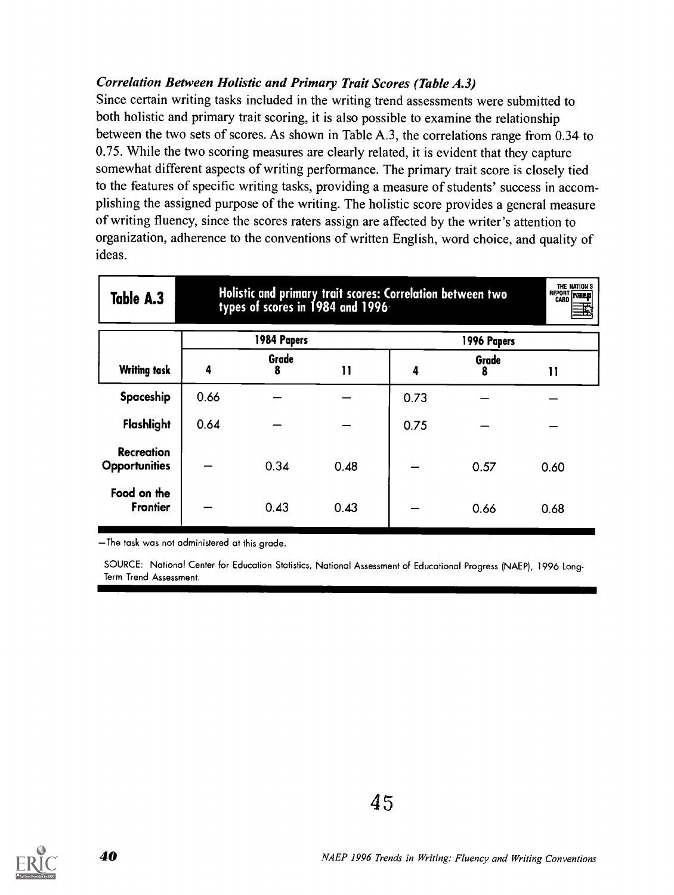#### Correlation Between Holistic and Primary Trait Scores (Table A.3)

Since certain writing tasks included in the writing trend assessments were submitted to both holistic and primary trait scoring, it is also possible to examine the relationship between the two sets of scores. As shown in Table A.3, the correlations range from 0.34 to 0.75. While the two scoring measures are clearly related, it is evident that they capture somewhat different aspects of writing performance. The primary trait score is closely tied to the features of specific writing tasks, providing a measure of students' success in accomplishing the assigned purpose of the writing. The holistic score provides a general measure of writing fluency, since the scores raters assign are affected by the writer's attention to organization, adherence to the conventions of written English, word choice, and quality of ideas.

| Table A.3                                 | THE NATION'S<br>Holistic and primary trait scores: Correlation between two<br>types of scores in 1984 and 1996<br><b>REPORT TOREP</b> |             |              |      |             |      |
|-------------------------------------------|---------------------------------------------------------------------------------------------------------------------------------------|-------------|--------------|------|-------------|------|
|                                           |                                                                                                                                       | 1984 Papers |              |      | 1996 Papers |      |
| <b>Writing task</b>                       | 4                                                                                                                                     | Grade<br>8  | $\mathbf{1}$ | 4    | Grade<br>8  | וו   |
| Spaceship                                 | 0.66                                                                                                                                  |             |              | 0.73 |             |      |
| Flashlight                                | 0.64                                                                                                                                  |             |              | 0.75 |             |      |
| <b>Recreation</b><br><b>Opportunities</b> |                                                                                                                                       | 0.34        | 0.48         |      | 0.57        | 0.60 |
| Food on the<br><b>Frontier</b>            |                                                                                                                                       | 0.43        | 0.43         |      | 0.66        | 0.68 |

The task was not administered at this grade.

SOURCE: National Center for Education Statistics, National Assessment of Educational Progress (NAEP), 1996 Long-Term Trend Assessment.

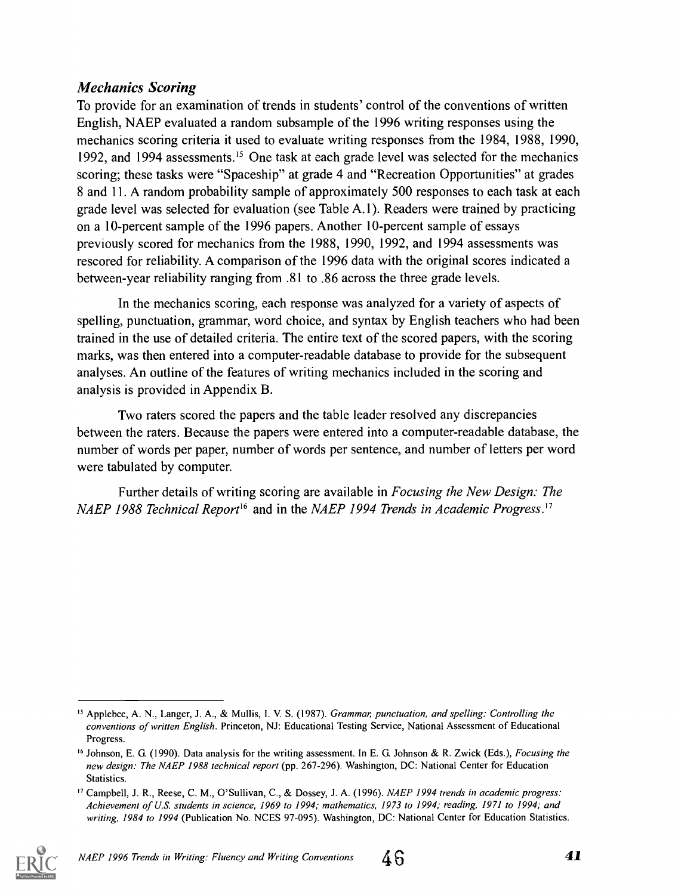#### Mechanics Scoring

To provide for an examination of trends in students' control of the conventions of written English, NAEP evaluated a random subsample of the 1996 writing responses using the mechanics scoring criteria it used to evaluate writing responses from the 1984, 1988, 1990, 1992, and 1994 assessments.<sup>15</sup> One task at each grade level was selected for the mechanics scoring; these tasks were "Spaceship" at grade 4 and "Recreation Opportunities" at grades 8 and 11. A random probability sample of approximately 500 responses to each task at each grade level was selected for evaluation (see Table A.1). Readers were trained by practicing on a 10-percent sample of the 1996 papers. Another 10-percent sample of essays previously scored for mechanics from the 1988, 1990, 1992, and 1994 assessments was rescored for reliability. A comparison of the 1996 data with the original scores indicated a between-year reliability ranging from .81 to .86 across the three grade levels.

In the mechanics scoring, each response was analyzed for a variety of aspects of spelling, punctuation, grammar, word choice, and syntax by English teachers who had been trained in the use of detailed criteria. The entire text of the scored papers, with the scoring marks, was then entered into a computer-readable database to provide for the subsequent analyses. An outline of the features of writing mechanics included in the scoring and analysis is provided in Appendix B.

Two raters scored the papers and the table leader resolved any discrepancies between the raters. Because the papers were entered into a computer-readable database, the number of words per paper, number of words per sentence, and number of letters per word were tabulated by computer.

Further details of writing scoring are available in Focusing the New Design: The NAEP 1988 Technical Report<sup>16</sup> and in the NAEP 1994 Trends in Academic Progress.<sup>17</sup>

<sup>&</sup>lt;sup>17</sup> Campbell, J. R., Reese, C. M., O'Sullivan, C., & Dossey, J. A. (1996). NAEP 1994 trends in academic progress: Achievement of U.S. students in science, 1969 to 1994; mathematics, 1973 to 1994; reading, 1971 to 1994; and writing, 1984 to 1994 (Publication No. NCES 97-095). Washington, DC: National Center for Education Statistics.



<sup>&</sup>lt;sup>15</sup> Applebee, A. N., Langer, J. A., & Mullis, I. V. S. (1987). Grammar, punctuation, and spelling: Controlling the conventions of written English. Princeton, NJ: Educational Testing Service, National Assessment of Educational Progress.

<sup>&</sup>lt;sup>16</sup> Johnson, E. G. (1990). Data analysis for the writing assessment. In E. G. Johnson & R. Zwick (Eds.), *Focusing the* new design: The NAEP 1988 technical report (pp. 267-296). Washington, DC: National Center for Education Statistics.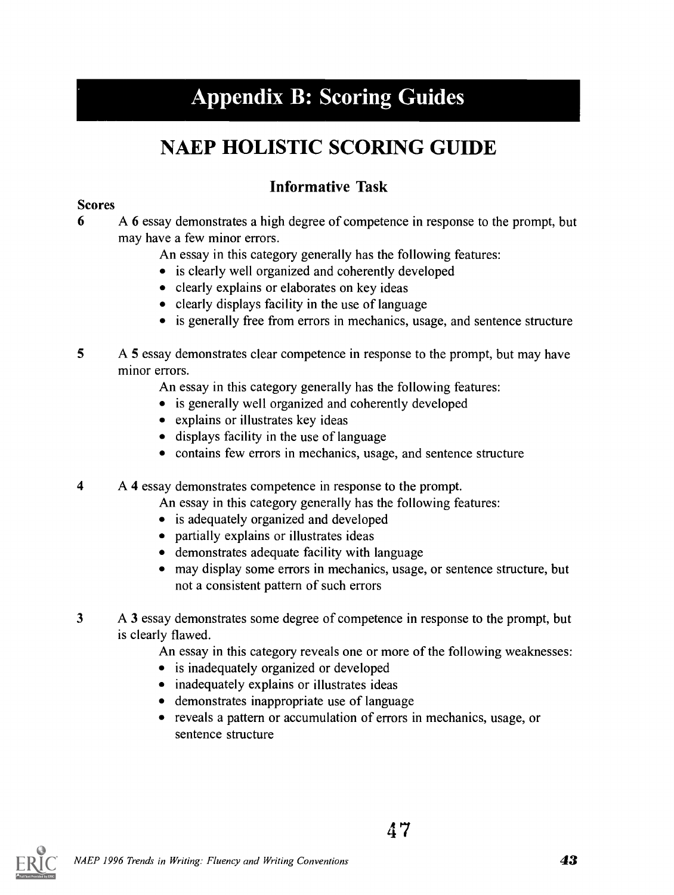## Appendix B: Scoring Guides

## NAEP HOLISTIC SCORING GUIDE

### Informative Task

#### Scores

- 6 A 6 essay demonstrates a high degree of competence in response to the prompt, but may have a few minor errors.
	- An essay in this category generally has the following features:
	- is clearly well organized and coherently developed
	- clearly explains or elaborates on key ideas
	- clearly displays facility in the use of language
	- is generally free from errors in mechanics, usage, and sentence structure
- 5 A 5 essay demonstrates clear competence in response to the prompt, but may have minor errors.
	- An essay in this category generally has the following features:
	- is generally well organized and coherently developed
	- explains or illustrates key ideas
	- displays facility in the use of language
	- contains few errors in mechanics, usage, and sentence structure

4 A 4 essay demonstrates competence in response to the prompt.

- An essay in this category generally has the following features:
- is adequately organized and developed
- partially explains or illustrates ideas
- demonstrates adequate facility with language
- may display some errors in mechanics, usage, or sentence structure, but not a consistent pattern of such errors
- 3 A 3 essay demonstrates some degree of competence in response to the prompt, but is clearly flawed.

An essay in this category reveals one or more of the following weaknesses:

4 7

- is inadequately organized or developed
- inadequately explains or illustrates ideas
- demonstrates inappropriate use of language
- reveals a pattern or accumulation of errors in mechanics, usage, or sentence structure

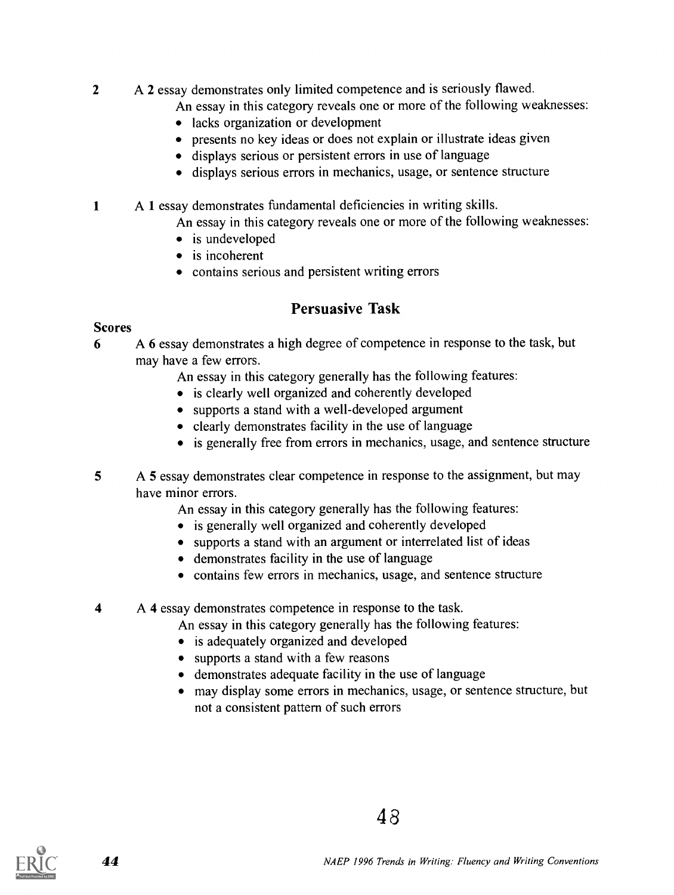2 A 2 essay demonstrates only limited competence and is seriously flawed.

An essay in this category reveals one or more of the following weaknesses:

- lacks organization or development
- presents no key ideas or does not explain or illustrate ideas given
- displays serious or persistent errors in use of language
- displays serious errors in mechanics, usage, or sentence structure

1 A 1 essay demonstrates fundamental deficiencies in writing skills.

An essay in this category reveals one or more of the following weaknesses:

- is undeveloped
- is incoherent
- contains serious and persistent writing errors

#### Persuasive Task

#### **Scores**

6 A 6 essay demonstrates a high degree of competence in response to the task, but may have a few errors.

An essay in this category generally has the following features:

- is clearly well organized and coherently developed
- supports a stand with a well-developed argument
- clearly demonstrates facility in the use of language
- is generally free from errors in mechanics, usage, and sentence structure
- 5 A 5 essay demonstrates clear competence in response to the assignment, but may have minor errors.

An essay in this category generally has the following features:

- is generally well organized and coherently developed
- supports a stand with an argument or interrelated list of ideas
- demonstrates facility in the use of language
- contains few errors in mechanics, usage, and sentence structure

4 A 4 essay demonstrates competence in response to the task.

An essay in this category generally has the following features:

- is adequately organized and developed
- supports a stand with a few reasons
- demonstrates adequate facility in the use of language
- may display some errors in mechanics, usage, or sentence structure, but not a consistent pattern of such errors

4 8

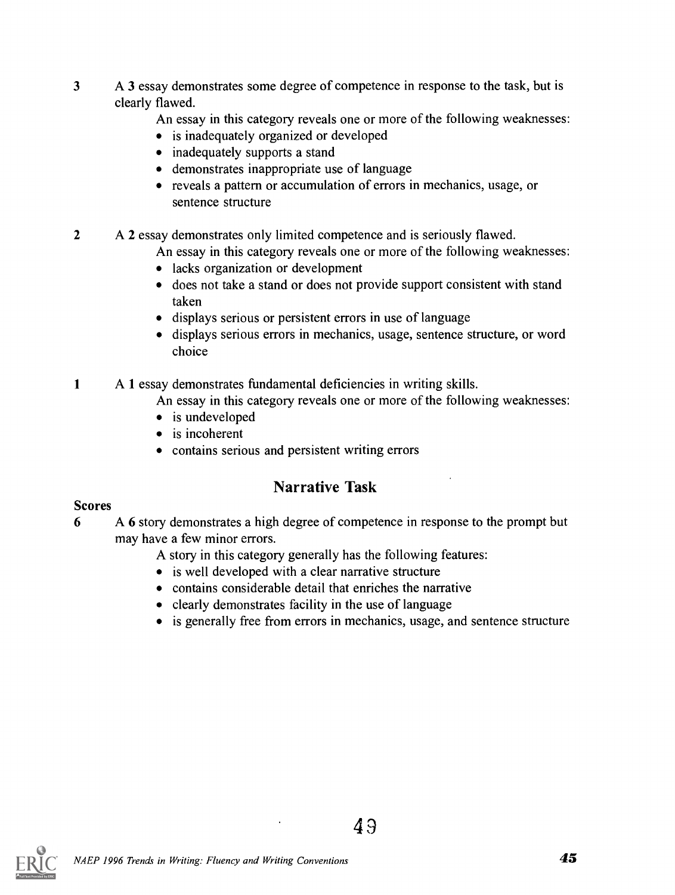- 3 A 3 essay demonstrates some degree of competence in response to the task, but is clearly flawed.
	- An essay in this category reveals one or more of the following weaknesses:
	- is inadequately organized or developed
	- inadequately supports a stand
	- demonstrates inappropriate use of language
	- reveals a pattern or accumulation of errors in mechanics, usage, or sentence structure

2 A 2 essay demonstrates only limited competence and is seriously flawed.

An essay in this category reveals one or more of the following weaknesses:

- lacks organization or development
- does not take a stand or does not provide support consistent with stand taken
- displays serious or persistent errors in use of language
- displays serious errors in mechanics, usage, sentence structure, or word choice
- <sup>1</sup> A 1 essay demonstrates fundamental deficiencies in writing skills.

An essay in this category reveals one or more of the following weaknesses:

- is undeveloped
- is incoherent
- contains serious and persistent writing errors

#### Narrative Task

#### Scores

- 6 A 6 story demonstrates a high degree of competence in response to the prompt but may have a few minor errors.
	- A story in this category generally has the following features:
	- is well developed with a clear narrative structure
	- contains considerable detail that enriches the narrative
	- clearly demonstrates facility in the use of language
	- is generally free from errors in mechanics, usage, and sentence structure

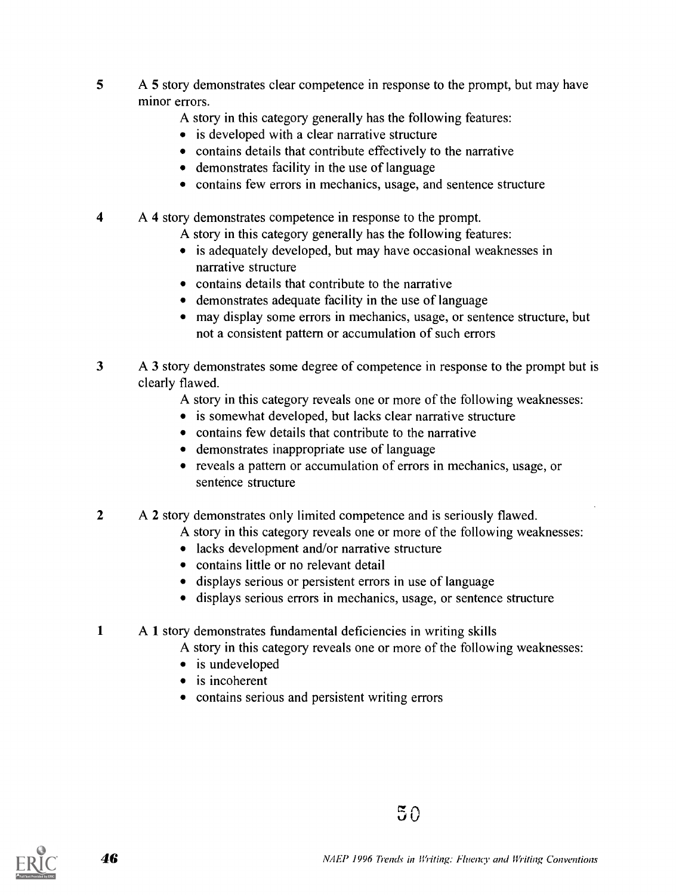- 5 A 5 story demonstrates clear competence in response to the prompt, but may have minor errors.
	- A story in this category generally has the following features:
	- is developed with a clear narrative structure
	- contains details that contribute effectively to the narrative
	- demonstrates facility in the use of language
	- contains few errors in mechanics, usage, and sentence structure
- 4 A 4 story demonstrates competence in response to the prompt.
	- A story in this category generally has the following features:
	- is adequately developed, but may have occasional weaknesses in narrative structure
	- contains details that contribute to the narrative
	- demonstrates adequate facility in the use of language
	- may display some errors in mechanics, usage, or sentence structure, but not a consistent pattern or accumulation of such errors
- 3 A 3 story demonstrates some degree of competence in response to the prompt but is clearly flawed.
	- A story in this category reveals one or more of the following weaknesses:
	- is somewhat developed, but lacks clear narrative structure
	- contains few details that contribute to the narrative
	- demonstrates inappropriate use of language
	- reveals a pattern or accumulation of errors in mechanics, usage, or sentence structure
- 2 A 2 story demonstrates only limited competence and is seriously flawed.
	- A story in this category reveals one or more of the following weaknesses:
	- lacks development and/or narrative structure
	- contains little or no relevant detail
	- displays serious or persistent errors in use of language
	- displays serious errors in mechanics, usage, or sentence structure
- 1 A 1 story demonstrates fundamental deficiencies in writing skills
	- A story in this category reveals one or more of the following weaknesses:
	- is undeveloped
	- is incoherent
	- contains serious and persistent writing errors

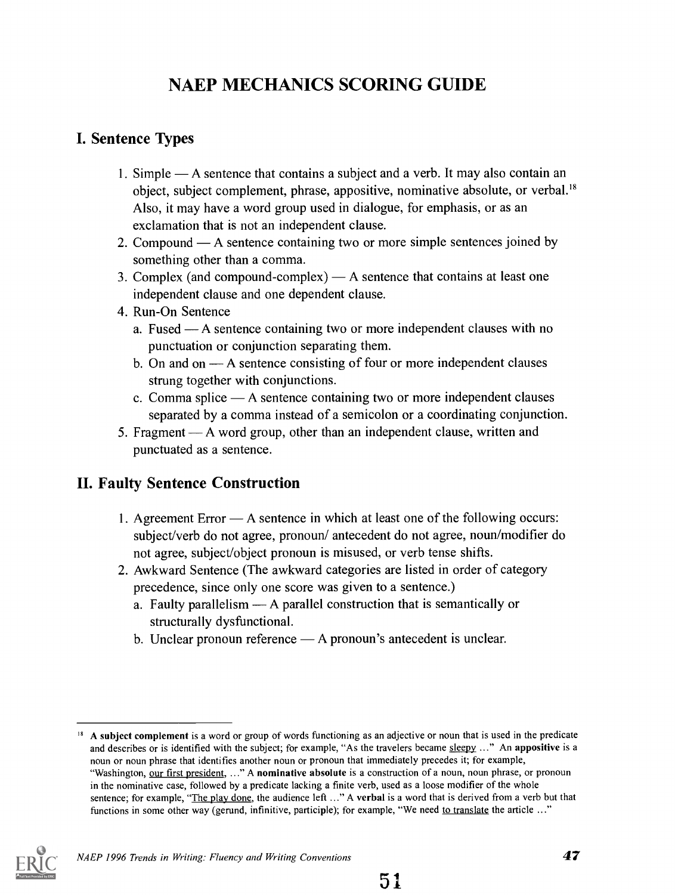### NAEP MECHANICS SCORING GUIDE

#### I. Sentence Types

- 1. Simple A sentence that contains a subject and a verb. It may also contain an object, subject complement, phrase, appositive, nominative absolute, or verbal.'8 Also, it may have a word group used in dialogue, for emphasis, or as an exclamation that is not an independent clause.
- 2. Compound  $-A$  sentence containing two or more simple sentences joined by something other than a comma.
- 3. Complex (and compound-complex)  $A$  sentence that contains at least one independent clause and one dependent clause.
- 4. Run-On Sentence
	- a. Fused  $-A$  sentence containing two or more independent clauses with no punctuation or conjunction separating them.
	- b. On and on  $-$  A sentence consisting of four or more independent clauses strung together with conjunctions.
	- c. Comma splice  $\overline{\phantom{a}}$  A sentence containing two or more independent clauses separated by a comma instead of a semicolon or a coordinating conjunction.
- 5. Fragment A word group, other than an independent clause, written and punctuated as a sentence.

#### II. Faulty Sentence Construction

- 1. Agreement Error A sentence in which at least one of the following occurs: subject/verb do not agree, pronoun/ antecedent do not agree, noun/modifier do not agree, subject/object pronoun is misused, or verb tense shifts.
- 2. Awkward Sentence (The awkward categories are listed in order of category precedence, since only one score was given to a sentence.)
	- a. Faulty parallelism  $\longrightarrow$  A parallel construction that is semantically or structurally dysfunctional.
	- b. Unclear pronoun reference  $A$  pronoun's antecedent is unclear.

<sup>&</sup>lt;sup>18</sup> A subject complement is a word or group of words functioning as an adjective or noun that is used in the predicate and describes or is identified with the subject; for example, "As the travelers became sleepy ..." An appositive is a noun or noun phrase that identifies another noun or pronoun that immediately precedes it; for example, "Washington, our first president, ..." A nominative absolute is a construction of a noun, noun phrase, or pronoun in the nominative case, followed by a predicate lacking a finite verb, used as a loose modifier of the whole sentence; for example, "The play done, the audience left ..." A verbal is a word that is derived from a verb but that functions in some other way (gerund, infinitive, participle); for example, "We need to translate the article ..."

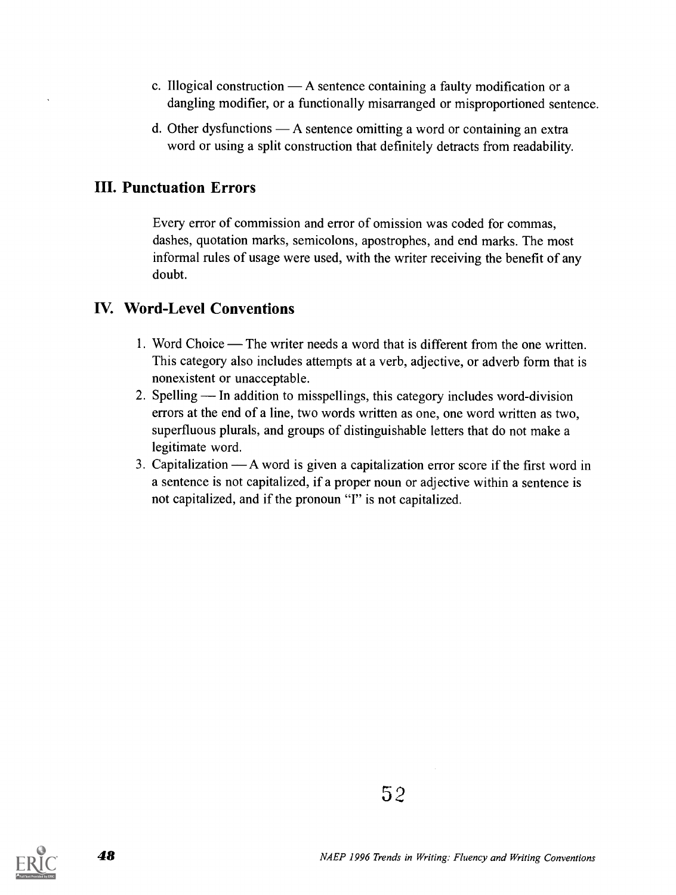- c. Illogical construction  $A$  sentence containing a faulty modification or a dangling modifier, or a functionally misarranged or misproportioned sentence.
- d. Other dysfunctions  $-A$  sentence omitting a word or containing an extra word or using a split construction that definitely detracts from readability.

#### III. Punctuation Errors

Every error of commission and error of omission was coded for commas, dashes, quotation marks, semicolons, apostrophes, and end marks. The most informal rules of usage were used, with the writer receiving the benefit of any doubt.

#### IV. Word-Level Conventions

- 1. Word Choice The writer needs a word that is different from the one written. This category also includes attempts at a verb, adjective, or adverb form that is nonexistent or unacceptable.
- 2. Spelling In addition to misspellings, this category includes word-division errors at the end of a line, two words written as one, one word written as two, superfluous plurals, and groups of distinguishable letters that do not make a legitimate word.
- 3. Capitalization  $-A$  word is given a capitalization error score if the first word in a sentence is not capitalized, if a proper noun or adjective within a sentence is not capitalized, and if the pronoun "I" is not capitalized.



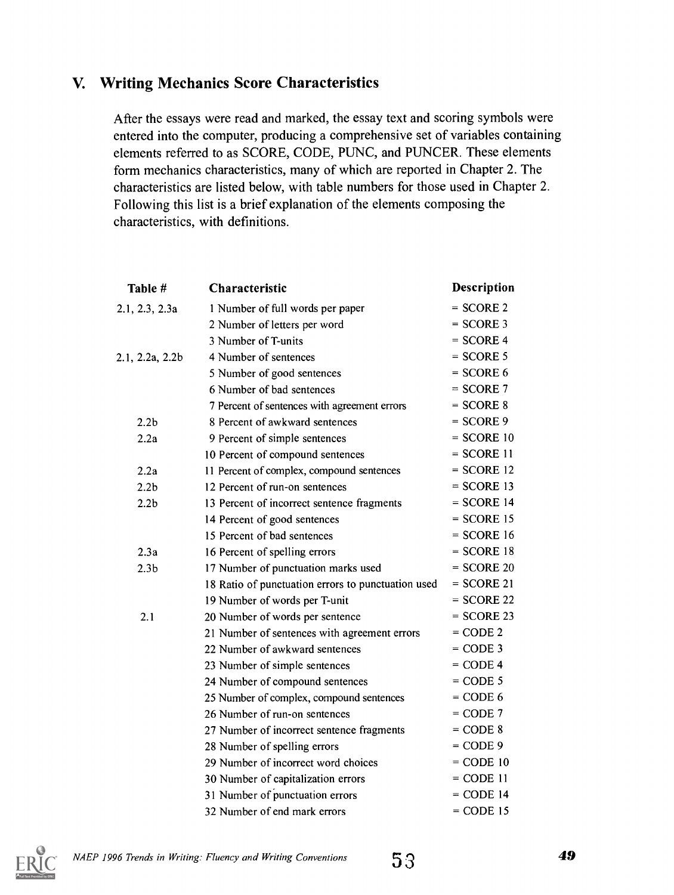#### V. Writing Mechanics Score Characteristics

After the essays were read and marked, the essay text and scoring symbols were entered into the computer, producing a comprehensive set of variables containing elements referred to as SCORE, CODE, PUNC, and PUNCER. These elements form mechanics characteristics, many of which are reported in Chapter 2. The characteristics are listed below, with table numbers for those used in Chapter 2. Following this list is a brief explanation of the elements composing the characteristics, with definitions.

| Table #          | Characteristic                                     | <b>Description</b> |
|------------------|----------------------------------------------------|--------------------|
| 2.1, 2.3, 2.3a   | 1 Number of full words per paper                   | $=$ SCORE 2        |
|                  | 2 Number of letters per word                       | $=$ SCORE 3        |
|                  | 3 Number of T-units                                | $=$ SCORE 4        |
| 2.1, 2.2a, 2.2b  | 4 Number of sentences                              | $=$ SCORE 5        |
|                  | 5 Number of good sentences                         | $=$ SCORE 6        |
|                  | 6 Number of bad sentences                          | $=$ SCORE 7        |
|                  | 7 Percent of sentences with agreement errors       | $=$ SCORE 8        |
| 2.2 <sub>b</sub> | 8 Percent of awkward sentences                     | $=$ SCORE 9        |
| 2.2a             | 9 Percent of simple sentences                      | $=$ SCORE 10       |
|                  | 10 Percent of compound sentences                   | $=$ SCORE 11       |
| 2.2a             | 11 Percent of complex, compound sentences          | $=$ SCORE 12       |
| 2.2 <sub>b</sub> | 12 Percent of run-on sentences                     | $=$ SCORE 13       |
| 2.2 <sub>b</sub> | 13 Percent of incorrect sentence fragments         | $=$ SCORE 14       |
|                  | 14 Percent of good sentences                       | $=$ SCORE 15       |
|                  | 15 Percent of bad sentences                        | $=$ SCORE 16       |
| 2.3a             | 16 Percent of spelling errors                      | $=$ SCORE 18       |
| 2.3 <sub>b</sub> | 17 Number of punctuation marks used                | $=$ SCORE 20       |
|                  | 18 Ratio of punctuation errors to punctuation used | $=$ SCORE 21       |
|                  | 19 Number of words per T-unit                      | $=$ SCORE 22       |
| 2.1              | 20 Number of words per sentence                    | $=$ SCORE 23       |
|                  | 21 Number of sentences with agreement errors       | $=$ CODE 2         |
|                  | 22 Number of awkward sentences                     | $=$ CODE 3         |
|                  | 23 Number of simple sentences                      | $=$ CODE 4         |
|                  | 24 Number of compound sentences                    | $=$ CODE 5         |
|                  | 25 Number of complex, compound sentences           | $=$ CODE 6         |
|                  | 26 Number of run-on sentences                      | $=$ CODE 7         |
|                  | 27 Number of incorrect sentence fragments          | $=$ CODE $8$       |
|                  | 28 Number of spelling errors                       | $=$ CODE 9         |
|                  | 29 Number of incorrect word choices                | $=$ CODE 10        |
|                  | 30 Number of capitalization errors                 | $=$ CODE 11        |
|                  | 31 Number of punctuation errors                    | $=$ CODE 14        |
|                  | 32 Number of end mark errors                       | $=$ CODE 15        |

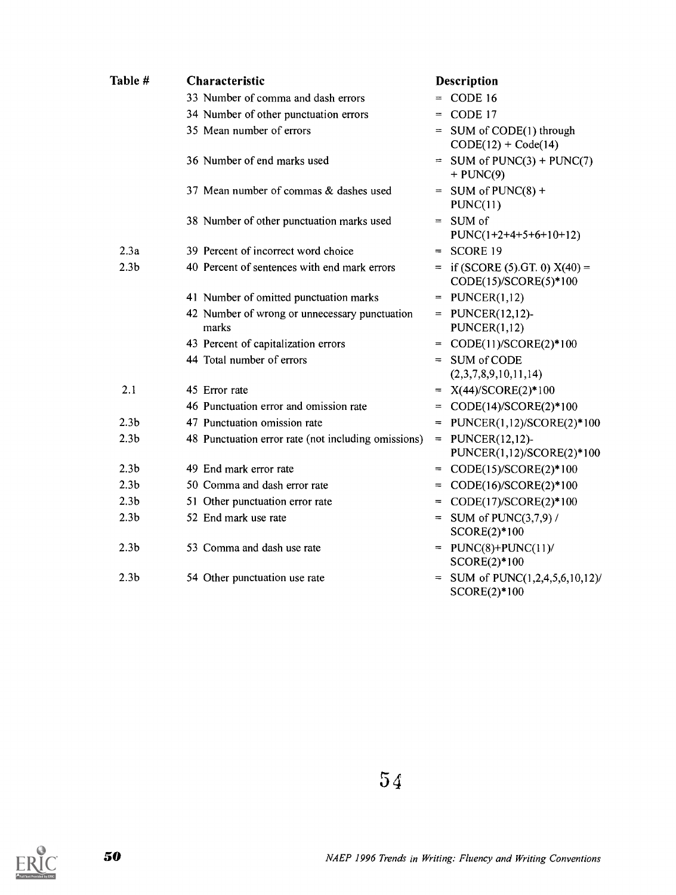| Table #          | Characteristic                                         | <b>Description</b>                                          |
|------------------|--------------------------------------------------------|-------------------------------------------------------------|
|                  | 33 Number of comma and dash errors                     | $=$ CODE 16                                                 |
|                  | 34 Number of other punctuation errors                  | $=$ CODE 17                                                 |
|                  | 35 Mean number of errors                               | = SUM of CODE(1) through<br>$CODE(12) + Code(14)$           |
|                  | 36 Number of end marks used                            | $=$ SUM of PUNC(3) + PUNC(7)<br>$+$ PUNC(9)                 |
|                  | 37 Mean number of commas & dashes used                 | $=$ SUM of PUNC(8) +<br>PUNC(11)                            |
|                  | 38 Number of other punctuation marks used              | $=$ SUM of<br>$PUNC(1+2+4+5+6+10+12)$                       |
| 2.3a             | 39 Percent of incorrect word choice                    | $=$ SCORE 19                                                |
| 2.3 <sub>b</sub> | 40 Percent of sentences with end mark errors           | $=$ if (SCORE (5).GT. 0) $X(40) =$<br>CODE(15)/SCORE(5)*100 |
|                  | 41 Number of omitted punctuation marks                 | $=$ PUNCER(1,12)                                            |
|                  | 42 Number of wrong or unnecessary punctuation<br>marks | $=$ PUNCER(12,12)-<br>PUNCER(1,12)                          |
|                  | 43 Percent of capitalization errors                    | = $CODE(11)/SCORE(2)*100$                                   |
|                  | 44 Total number of errors                              | $=$ SUM of CODE<br>(2,3,7,8,9,10,11,14)                     |
| 2.1              | 45 Error rate                                          | $= X(44)/SCORE(2)*100$                                      |
|                  | 46 Punctuation error and omission rate                 | = $CODE(14)/SCORE(2)*100$                                   |
| 2.3 <sub>b</sub> | 47 Punctuation omission rate                           | $=$ PUNCER(1,12)/SCORE(2)*100                               |
| 2.3 <sub>b</sub> | 48 Punctuation error rate (not including omissions)    | $=$ PUNCER(12,12)-<br>PUNCER(1,12)/SCORE(2)*100             |
| 2.3 <sub>b</sub> | 49 End mark error rate                                 | $=$ CODE(15)/SCORE(2)*100                                   |
| 2.3 <sub>b</sub> | 50 Comma and dash error rate                           | $=$ CODE(16)/SCORE(2)*100                                   |
| 2.3 <sub>b</sub> | 51 Other punctuation error rate                        | $CODE(17)/SCORE(2)*100$                                     |
| 2.3 <sub>b</sub> | 52 End mark use rate                                   | = SUM of PUNC $(3,7,9)$ /<br>SCORE(2)*100                   |
| 2.3 <sub>b</sub> | 53 Comma and dash use rate                             | $=$ PUNC(8)+PUNC(11)/<br>$SCORE(2)*100$                     |
| 2.3 <sub>b</sub> | 54 Other punctuation use rate                          | SUM of PUNC(1,2,4,5,6,10,12)/<br>$SCORE(2)*100$             |

 $54$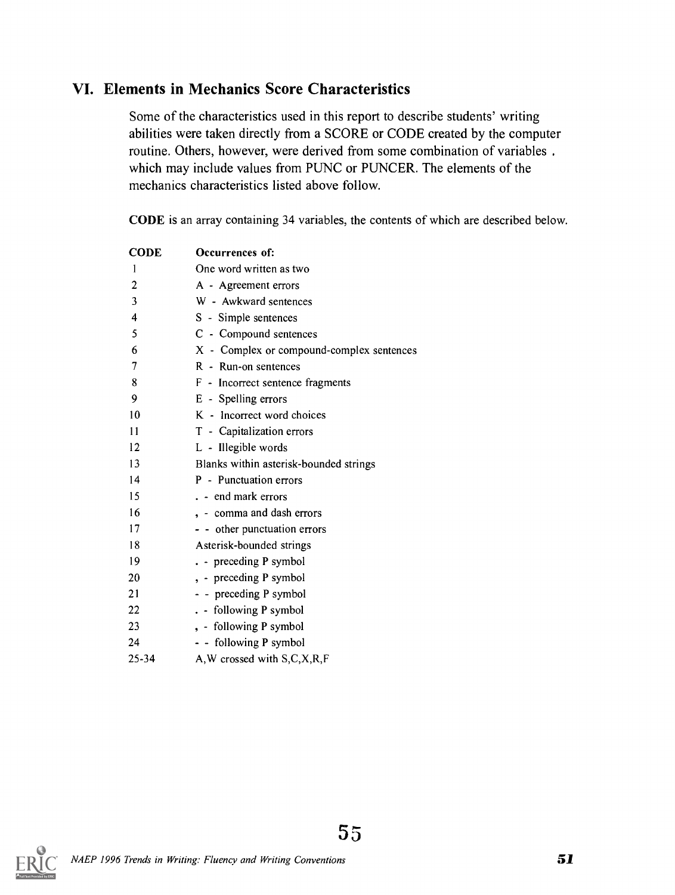#### VI. Elements in Mechanics Score Characteristics

Some of the characteristics used in this report to describe students' writing abilities were taken directly from a SCORE or CODE created by the computer routine. Others, however, were derived from some combination of variables . which may include values from PUNC or PUNCER. The elements of the mechanics characteristics listed above follow.

CODE is an array containing 34 variables, the contents of which are described below.

| <b>CODE</b>    | Occurrences of:                           |
|----------------|-------------------------------------------|
| 1              | One word written as two                   |
| $\overline{c}$ | A - Agreement errors                      |
| 3              | W - Awkward sentences                     |
| 4              | S - Simple sentences                      |
| 5              | C - Compound sentences                    |
| 6              | X - Complex or compound-complex sentences |
| 7              | R - Run-on sentences                      |
| 8              | F - Incorrect sentence fragments          |
| 9              | E - Spelling errors                       |
| 10             | K - Incorrect word choices                |
| 11             | T - Capitalization errors                 |
| 12             | L - Illegible words                       |
| 13             | Blanks within asterisk-bounded strings    |
| 14             | P - Punctuation errors                    |
| 15             | . - end mark errors                       |
| 16             | , - comma and dash errors                 |
| 17             | - - other punctuation errors              |
| 18             | Asterisk-bounded strings                  |
| 19             | . - preceding P symbol                    |
| 20             | , - preceding P symbol                    |
| 21             | - - preceding P symbol                    |
| 22             | . - following P symbol                    |
| 23             | , - following P symbol                    |
| 24             | - - following P symbol                    |
| 25-34          | A, W crossed with S, C, X, R, F           |

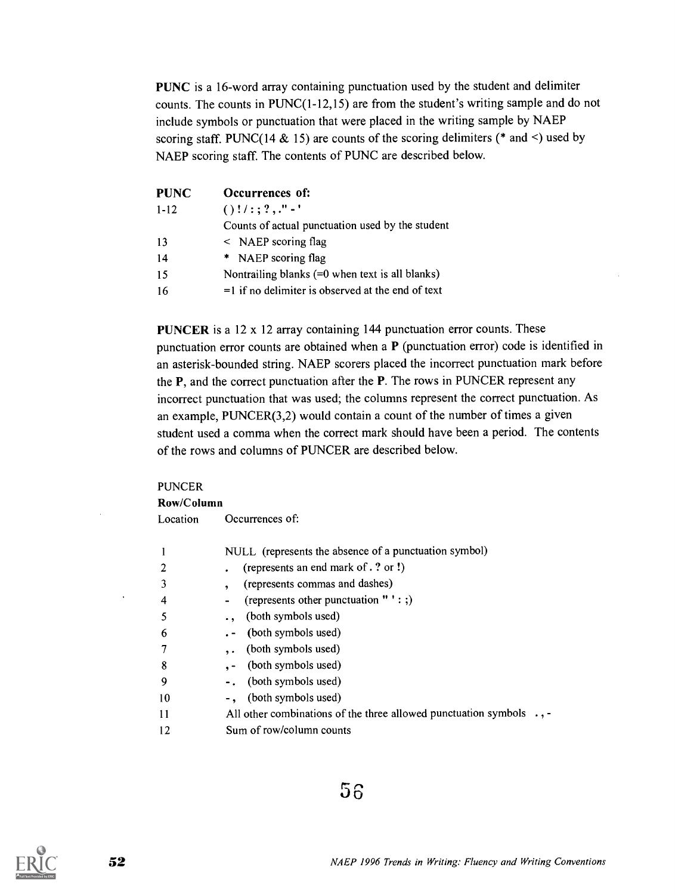PUNC is a 16-word array containing punctuation used by the student and delimiter counts. The counts in PUNC(1-12,15) are from the student's writing sample and do not include symbols or punctuation that were placed in the writing sample by NAEP scoring staff. PUNC(14 & 15) are counts of the scoring delimiters (\* and <) used by NAEP scoring staff. The contents of PUNC are described below.

| <b>PUNC</b> | Occurrences of:                                      |
|-------------|------------------------------------------------------|
| $1 - 12$    | $()$ !/:;?,."-'                                      |
|             | Counts of actual punctuation used by the student     |
| 13          | $\leq$ NAEP scoring flag                             |
| 14          | * NAEP scoring flag                                  |
| 15          | Nontrailing blanks $(=0$ when text is all blanks)    |
| 16          | $=$ 1 if no delimiter is observed at the end of text |

PUNCER is a 12 x 12 array containing 144 punctuation error counts. These punctuation error counts are obtained when a P (punctuation error) code is identified in an asterisk-bounded string. NAEP scorers placed the incorrect punctuation mark before the P, and the correct punctuation after the P. The rows in PUNCER represent any incorrect punctuation that was used; the columns represent the correct punctuation. As an example, PUNCER(3,2) would contain a count of the number of times a given student used a comma when the correct mark should have been a period. The contents of the rows and columns of PUNCER are described below.

#### PUNCER

Row/Column

|    | NULL (represents the absence of a punctuation symbol)                       |
|----|-----------------------------------------------------------------------------|
|    | (represents an end mark of . ? or !)                                        |
|    | (represents commas and dashes)                                              |
|    | (represents other punctuation $"':$ ;)<br>$\blacksquare$                    |
|    | (both symbols used)                                                         |
| 6  | . - (both symbols used)                                                     |
|    | (both symbols used)                                                         |
| 8  | ,- (both symbols used)                                                      |
| 9  | -. (both symbols used)                                                      |
| 10 | -, (both symbols used)                                                      |
| 11 | All other combinations of the three allowed punctuation symbols $\cdot$ , - |
| 12 | Sum of row/column counts                                                    |

#### $56$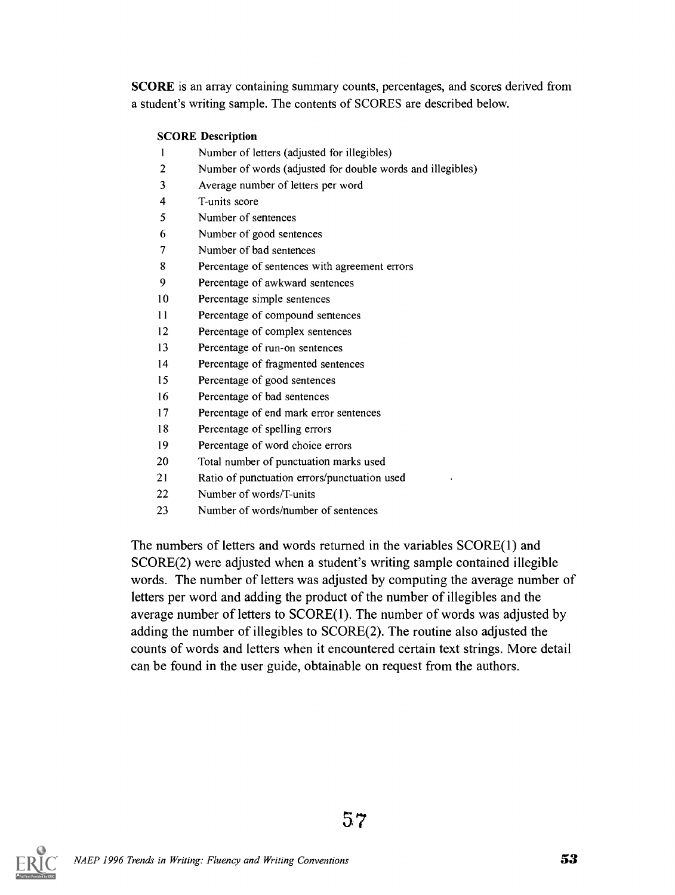SCORE is an array containing summary counts, percentages, and scores derived from a student's writing sample. The contents of SCORES are described below.

#### SCORE Description

- Number of letters (adjusted for illegibles)
- Number of words (adjusted for double words and illegibles)
- Average number of letters per word
- T-units score
- Number of sentences
- Number of good sentences
- Number of bad sentences
- Percentage of sentences with agreement errors
- Percentage of awkward sentences
- Percentage simple sentences
- Percentage of compound sentences
- Percentage of complex sentences
- Percentage of run-on sentences
- Percentage of fragmented sentences
- Percentage of good sentences
- Percentage of bad sentences
- Percentage of end mark error sentences
- Percentage of spelling errors
- Percentage of word choice errors
- Total number of punctuation marks used
- Ratio of punctuation errors/punctuation used
- Number of words/T-units
- Number of words/number of sentences

The numbers of letters and words returned in the variables SCORE(1) and SCORE(2) were adjusted when a student's writing sample contained illegible words. The number of letters was adjusted by computing the average number of letters per word and adding the product of the number of illegibles and the average number of letters to SCORE(1). The number of words was adjusted by adding the number of illegibles to SCORE(2). The routine also adjusted the counts of words and letters when it encountered certain text strings. More detail can be found in the user guide, obtainable on request from the authors.

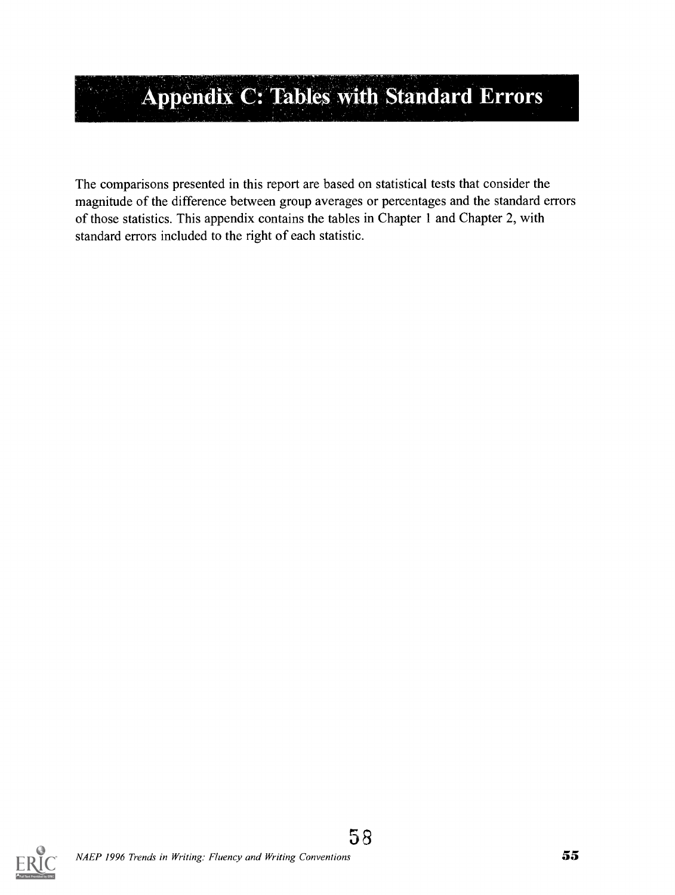## Appendix C: Tables with Standard Errors

The comparisons presented in this report are based on statistical tests that consider the magnitude of the difference between group averages or percentages and the standard errors of those statistics. This appendix contains the tables in Chapter 1 and Chapter 2, with standard errors included to the right of each statistic.

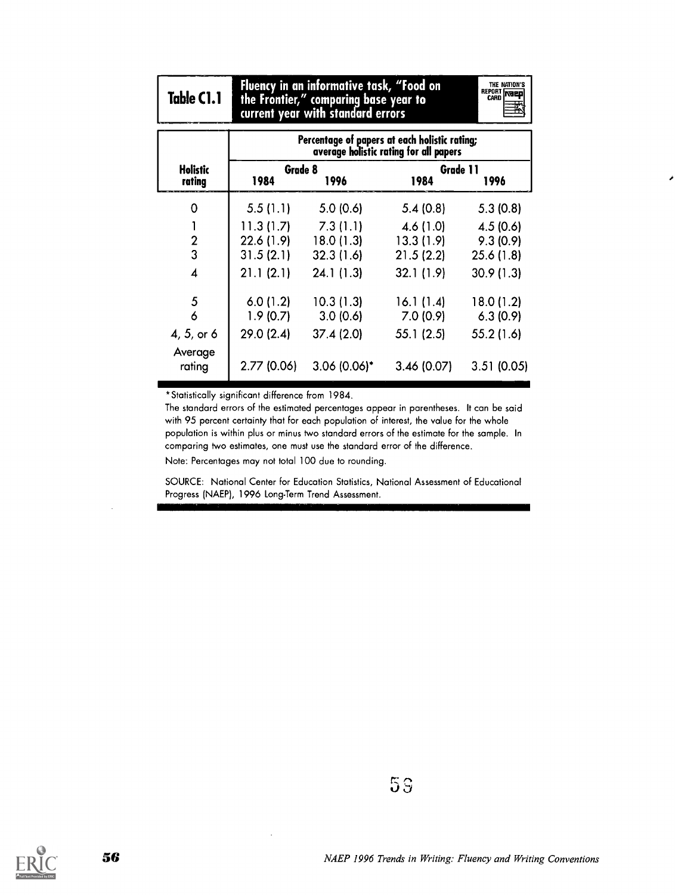| Table C1.1         | Fluency in an informative task, "Food on<br>THE NATION'S<br>REPORT NEED<br>the Frontier," comparing base year to<br>current year with standard errors |                                               |                                        |            |  |  |
|--------------------|-------------------------------------------------------------------------------------------------------------------------------------------------------|-----------------------------------------------|----------------------------------------|------------|--|--|
|                    |                                                                                                                                                       | Percentage of papers at each holistic rating; | average holistic rating for all papers |            |  |  |
| Holistic<br>rating | Grade 8<br>1984                                                                                                                                       | 1996                                          | Grade 11<br>1984                       | 1996       |  |  |
| 0                  | 5.5(1.1)                                                                                                                                              | 5.0(0.6)                                      | 5.4(0.8)                               | 5.3(0.8)   |  |  |
| 1                  | 11.3(1.7)                                                                                                                                             | 7.3(1.1)                                      | 4.6(1.0)                               | 4.5(0.6)   |  |  |
| $\mathbf{2}$       | 22.6 (1.9)                                                                                                                                            | 18.0(1.3)                                     | 13.3(1.9)                              | 9.3(0.9)   |  |  |
| 3                  | 31.5(2.1)                                                                                                                                             | 32.3(1.6)                                     | 21.5(2.2)                              | 25.6(1.8)  |  |  |
| 4                  | 21.1(2.1)                                                                                                                                             | 24.1(1.3)                                     | 32.1(1.9)                              | 30.9(1.3)  |  |  |
| 5                  | 6.0(1.2)                                                                                                                                              | 10.3(1.3)                                     | 16.1(1.4)                              | 18.0(1.2)  |  |  |
| 6                  | 1.9(0.7)                                                                                                                                              | 3.0(0.6)                                      | 7.0(0.9)                               | 6.3(0.9)   |  |  |
| 4, 5, or 6         | 29.0 (2.4)                                                                                                                                            | 37.4(2.0)                                     | 55.1(2.5)                              | 55.2 (1.6) |  |  |
| Average<br>rating  | 2.77 (0.06)                                                                                                                                           | $3.06(0.06)^*$                                | 3.46(0.07)                             | 3.51(0.05) |  |  |

\*Statistically significant difference from 1984.

The standard errors of the estimated percentages appear in parentheses. It can be said with 95 percent certainty that for each population of interest, the value for the whole population is within plus or minus two standard errors of the estimate for the sample. In comparing two estimates, one must use the standard error of the difference.

Note: Percentages may not total 100 due to rounding.

SOURCE: National Center for Education Statistics, National Assessment of Educational Progress (NAEP), 1996 Long-Term Trend Assessment.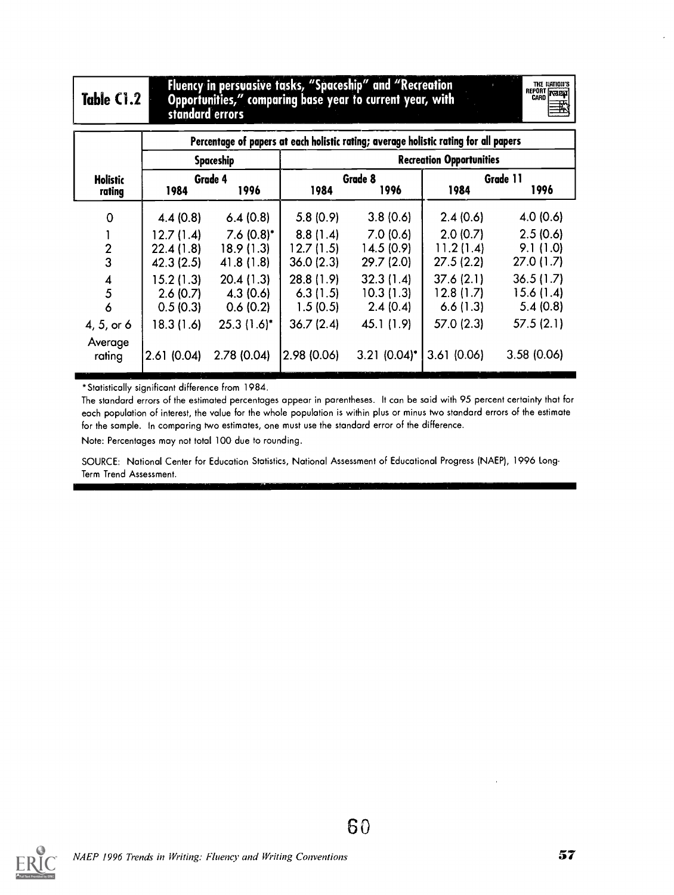#### $Table C1.2$ Fluency in persuasime tasks, "Spaceship" and "Recreation Opportunities," comparing base year to current year, with standard errors

THE RATION'S<br>
CARD **NATE** 

|                           | Percentage of papers at each holistic rating; average holistic rating for all papers |                  |                                 |                 |            |                  |  |  |
|---------------------------|--------------------------------------------------------------------------------------|------------------|---------------------------------|-----------------|------------|------------------|--|--|
|                           |                                                                                      | <b>Spaceship</b> | <b>Recreation Opportunities</b> |                 |            |                  |  |  |
| <b>Holistic</b><br>rating | 1984                                                                                 | Grade 4<br>1996  | 1984                            | Grade 8<br>1996 | 1984       | Grade 11<br>1996 |  |  |
| $\mathbf 0$               | 4.4(0.8)                                                                             | 6.4(0.8)         | 5.8(0.9)                        | 3.8(0.6)        | 2.4(0.6)   | 4.0(0.6)         |  |  |
|                           | 12.7(1.4)                                                                            | $7.6(0.8)^*$     | 8.8(1.4)                        | 7.0(0.6)        | 2.0(0.7)   | 2.5(0.6)         |  |  |
| $\mathbf{2}$              | 22.4(1.8)                                                                            | 18.9(1.3)        | 12.7(1.5)                       | 14.5(0.9)       | 11.2(1.4)  | 9.1(1.0)         |  |  |
| 3                         | 42.3(2.5)                                                                            | 41.8(1.8)        | 36.0(2.3)                       | 29.7(2.0)       | 27.5(2.2)  | 27.0(1.7)        |  |  |
| $\overline{\mathbf{A}}$   | 15.2(1.3)                                                                            | 20.4(1.3)        | 28.8(1.9)                       | 32.3(1.4)       | 37.6(2.1)  | 36.5(1.7)        |  |  |
| 5                         | 2.6(0.7)                                                                             | 4.3(0.6)         | 6.3(1.5)                        | 10.3(1.3)       | 12.8(1.7)  | 15.6(1.4)        |  |  |
| 6                         | 0.5(0.3)                                                                             | 0.6(0.2)         | 1.5(0.5)                        | 2.4(0.4)        | 6.6(1.3)   | 5.4(0.8)         |  |  |
| 4, 5, or 6                | 18.3(1.6)                                                                            | $25.3(1.6)^*$    | 36.7(2.4)                       | 45.1 (1.9)      | 57.0 (2.3) | 57.5(2.1)        |  |  |
| Average<br>rating         | 2.61(0.04)                                                                           | 2.78(0.04)       | 2.98(0.06)                      | $3.21 (0.04)^*$ | 3.61(0.06) | 3.58(0.06)       |  |  |

\*Statistically significant difference from 1984.

The standard errors of the estimated percentages appear in parentheses. It can be said with 95 percent certainty that for each population of interest, the value for the whole population is within plus or minus two standard errors of the estimate for the sample. In comparing two estimates, one must use the standard error of the difference.

Note: Percentages may not total 100 due to rounding.

SOURCE: National Center for Education Statistics, National Assessment of Educational Progress (NAEP), 1996 Long-Term Trend Assessment.

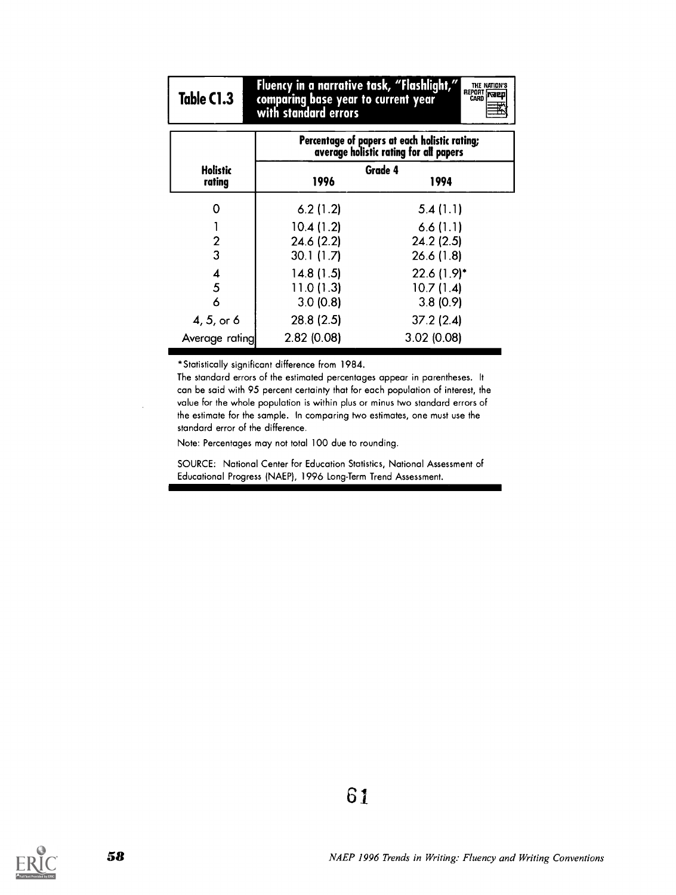## Table (1.3

Fluency in a narrative task, "Flashlight," comparing base year to current year with standard errors

|                  | THE NATION'S |  |
|------------------|--------------|--|
| REPORT<br>  Card |              |  |
|                  |              |  |
|                  |              |  |

|                           | Percentage of papers at each holistic rating;<br>average holistic rating for all papers |                 |  |  |  |  |
|---------------------------|-----------------------------------------------------------------------------------------|-----------------|--|--|--|--|
| <b>Holistic</b><br>rating | 1996                                                                                    | Grade 4<br>1994 |  |  |  |  |
| ი                         | 6.2(1.2)                                                                                | 5.4(1.1)        |  |  |  |  |
|                           | 10.4(1.2)                                                                               | 6.6(1.1)        |  |  |  |  |
| 2                         | 24.6(2.2)                                                                               | 24.2(2.5)       |  |  |  |  |
| 3                         | 30.1(1.7)                                                                               | 26.6(1.8)       |  |  |  |  |
| 4                         | 14.8(1.5)                                                                               | $22.6(1.9)^*$   |  |  |  |  |
| 5                         | 11.0(1.3)                                                                               | 10.7(1.4)       |  |  |  |  |
| 6                         | 3.0(0.8)                                                                                | 3.8(0.9)        |  |  |  |  |
| 4, 5, or 6                | 28.8 (2.5)                                                                              | 37.2(2.4)       |  |  |  |  |
| Average rating            | 2.82(0.08)                                                                              | 3.02(0.08)      |  |  |  |  |

\*Statistically significant difference from 1984.

The standard errors of the estimated percentages appear in parentheses. It can be said with 95 percent certainty that for each population of interest, the value for the whole population is within plus or minus two standard errors of the estimate for the sample. In comparing two estimates, one must use the standard error of the difference.

Note: Percentages may not total 100 due to rounding.

SOURCE: National Center for Education Statistics, National Assessment of Educational Progress (NAEP), 1996 Long-Term Trend Assessment.

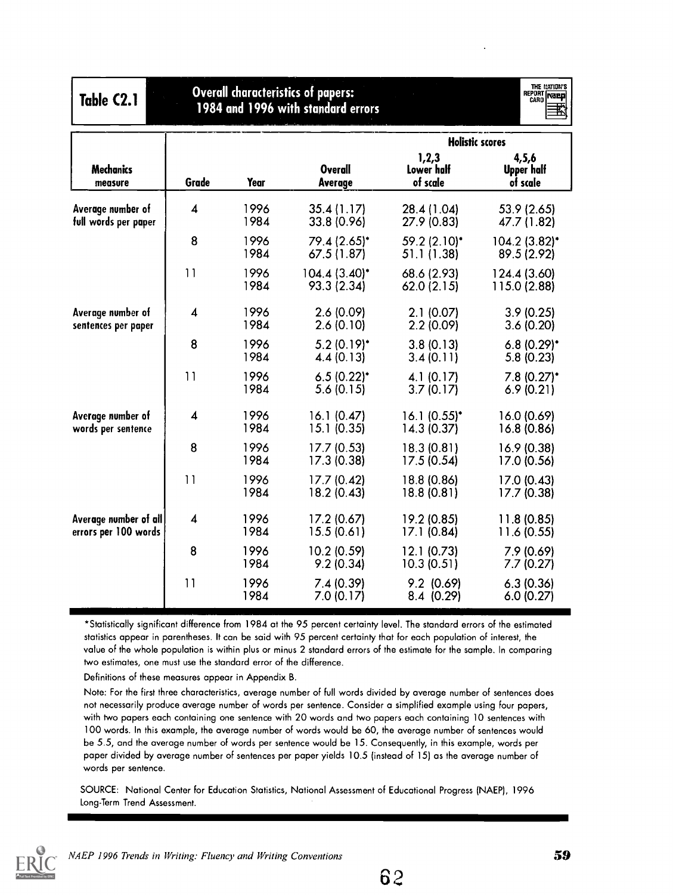| Table C2.1                                    | Overall characteristics of papers:<br>1984 and 1996 with standard errors |              |                                |                                 | THE MATION'S<br>REPORT <b>NEED</b> |
|-----------------------------------------------|--------------------------------------------------------------------------|--------------|--------------------------------|---------------------------------|------------------------------------|
|                                               |                                                                          |              |                                |                                 | <b>Holistic scores</b>             |
| <b>Mechanics</b><br>measure                   | Grade                                                                    | Year         | <b>Overall</b><br>Average      | 1,2,3<br>Lower half<br>of scale | 4,5,6<br>Upper half<br>of scale    |
| Average number of<br>full words per paper     | $\overline{\mathbf{4}}$                                                  | 1996<br>1984 | 35.4(1.17)<br>33.8 (0.96)      | 28.4 (1.04)<br>27.9 (0.83)      | 53.9 (2.65)<br>47.7 (1.82)         |
|                                               | 8                                                                        | 1996<br>1984 | 79.4 (2.65)*<br>67.5 (1.87)    | 59.2 (2.10)*<br>51.1 (1.38)     | 104.2 (3.82)*<br>89.5 (2.92)       |
|                                               | 11                                                                       | 1996<br>1984 | $104.4(3.40)^*$<br>93.3 (2.34) | 68.6 (2.93)<br>62.0(2.15)       | 124.4 (3.60)<br>115.0 (2.88)       |
| Average number of<br>sentences per paper      | $\overline{\mathbf{4}}$                                                  | 1996<br>1984 | 2.6 (0.09)<br>2.6(0.10)        | 2.1(0.07)<br>2.2(0.09)          | 3.9(0.25)<br>3.6(0.20)             |
|                                               | 8                                                                        | 1996<br>1984 | $5.2(0.19)^*$<br>4.4(0.13)     | 3.8(0.13)<br>3.4(0.11)          | $6.8(0.29)$ *<br>5.8(0.23)         |
|                                               | 11                                                                       | 1996<br>1984 | $6.5(0.22)^*$<br>5.6(0.15)     | 4.1(0.17)<br>3.7(0.17)          | $7.8(0.27)^*$<br>6.9(0.21)         |
| Average number of<br>words per sentence       | $\overline{\mathbf{4}}$                                                  | 1996<br>1984 | 16.1(0.47)<br>15.1(0.35)       | $16.1(0.55)^*$<br>14.3(0.37)    | 16.0 (0.69)<br>16.8 (0.86)         |
|                                               | 8                                                                        | 1996<br>1984 | 17.7 (0.53)<br>17.3 (0.38)     | 18.3 (0.81)<br>17.5 (0.54)      | 16.9 (0.38)<br>17.0 (0.56)         |
|                                               | 11                                                                       | 1996<br>1984 | 17.7 (0.42)<br>18.2 (0.43)     | 18.8 (0.86)<br>18.8(0.81)       | 17.0 (0.43)<br>17.7 (0.38)         |
| Average number of all<br>errors per 100 words | $\overline{\mathbf{4}}$                                                  | 1996<br>1984 | 17.2 (0.67)<br>15.5(0.61)      | 19.2 (0.85)<br>17.1 (0.84)      | 11.8 (0.85)<br>11.6 (0.55)         |
|                                               | 8                                                                        | 1996<br>1984 | 10.2 (0.59)<br>9.2(0.34)       | 12.1(0.73)<br>10.3(0.51)        | 7.9 (0.69)<br>7.7(0.27)            |
|                                               | 11                                                                       | 1996<br>1984 | 7.4(0.39)<br>7.0(0.17)         | $9.2$ (0.69)<br>8.4 (0.29)      | 6.3(0.36)<br>6.0(0.27)             |

Definitions of these measures appear in Appendix B.

Note: For the first three characteristics, average number of full words divided by average number of sentences does not necessarily produce average number of words per sentence. Consider a simplified example using four papers, with two papers each containing one sentence with 20 words and two papers each containing 10 sentences with 100 words. In this example, the average number of words would be 60, the average number of sentences would be 5.5, and the average number of words per sentence would be 15. Consequently, in this example, words per paper divided by average number of sentences per paper yields 10.5 (instead of 15) as the average number of words per sentence.

SOURCE: National Center for Education Statistics, National Assessment of Educational Progress (NAEP), 1996 Long-Term Trend Assessment.



62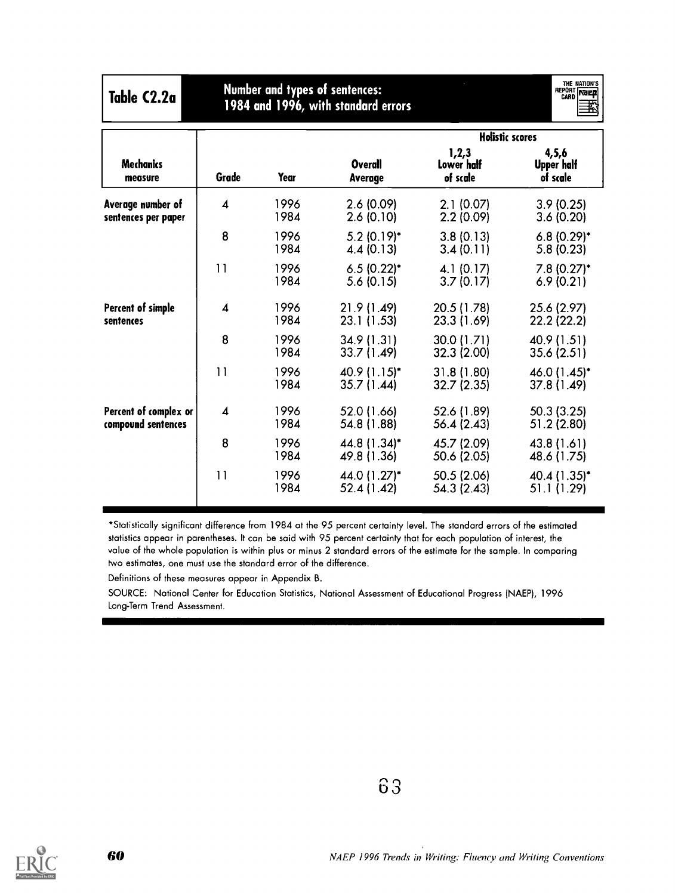| Table C2.2a                                 |                         |              | <b>Number and types of sentences:</b><br>1984 and 1996, with standard errors |                                               | THE NATION'S<br>REPORT<br>CARD |
|---------------------------------------------|-------------------------|--------------|------------------------------------------------------------------------------|-----------------------------------------------|--------------------------------|
| <b>Mechanics</b>                            |                         |              | <b>Overall</b>                                                               | <b>Holistic scores</b><br>1,2,3<br>Lower half | 4, 5, 6<br><b>Upper half</b>   |
| measure                                     | Grade                   | Year         | <b>Average</b>                                                               | of scale                                      | of scale                       |
| Average number of<br>sentences per paper    | $\boldsymbol{4}$        | 1996<br>1984 | 2.6(0.09)<br>2.6(0.10)                                                       | 2.1(0.07)<br>2.2(0.09)                        | 3.9(0.25)<br>3.6(0.20)         |
|                                             | 8                       | 1996<br>1984 | $5.2(0.19)^*$<br>4.4(0.13)                                                   | 3.8(0.13)<br>3.4(0.11)                        | $6.8(0.29)^*$<br>5.8(0.23)     |
|                                             | 11                      | 1996<br>1984 | $6.5(0.22)$ *<br>5.6(0.15)                                                   | 4.1(0.17)<br>3.7(0.17)                        | 7.8 (0.27)*<br>6.9(0.21)       |
| Percent of simple<br>sentences              | $\overline{\mathbf{4}}$ | 1996<br>1984 | 21.9 (1.49)<br>23.1 (1.53)                                                   | 20.5 (1.78)<br>23.3 (1.69)                    | 25.6 (2.97)<br>22.2 (22.2)     |
|                                             | 8                       | 1996<br>1984 | 34.9 (1.31)<br>33.7 (1.49)                                                   | 30.0 (1.71)<br>32.3 (2.00)                    | 40.9 (1.51)<br>35.6 (2.51)     |
|                                             | 11                      | 1996<br>1984 | 40.9 (1.15)*<br>35.7 (1.44)                                                  | 31.8 (1.80)<br>32.7 (2.35)                    | 46.0 (1.45)*<br>37.8 (1.49)    |
| Percent of complex or<br>compound sentences | $\boldsymbol{4}$        | 1996<br>1984 | 52.0 (1.66)<br>54.8 (1.88)                                                   | 52.6 (1.89)<br>56.4 (2.43)                    | 50.3(3.25)<br>51.2 (2.80)      |
|                                             | 8                       | 1996<br>1984 | 44.8 (1.34)*<br>49.8 (1.36)                                                  | 45.7 (2.09)<br>50.6 (2.05)                    | 43.8 (1.61)<br>48.6 (1.75)     |
|                                             | 11                      | 1996<br>1984 | 44.0 (1.27)*<br>52.4 (1.42)                                                  | 50.5 (2.06)<br>54.3 (2.43)                    | 40.4 (1.35)*<br>51.1 (1.29)    |

Definitions of these measures appear in Appendix B.

SOURCE: National Center for Education Statistics, National Assessment of Educational Progress (NAEP), 1996 Long-Term Trend Assessment.

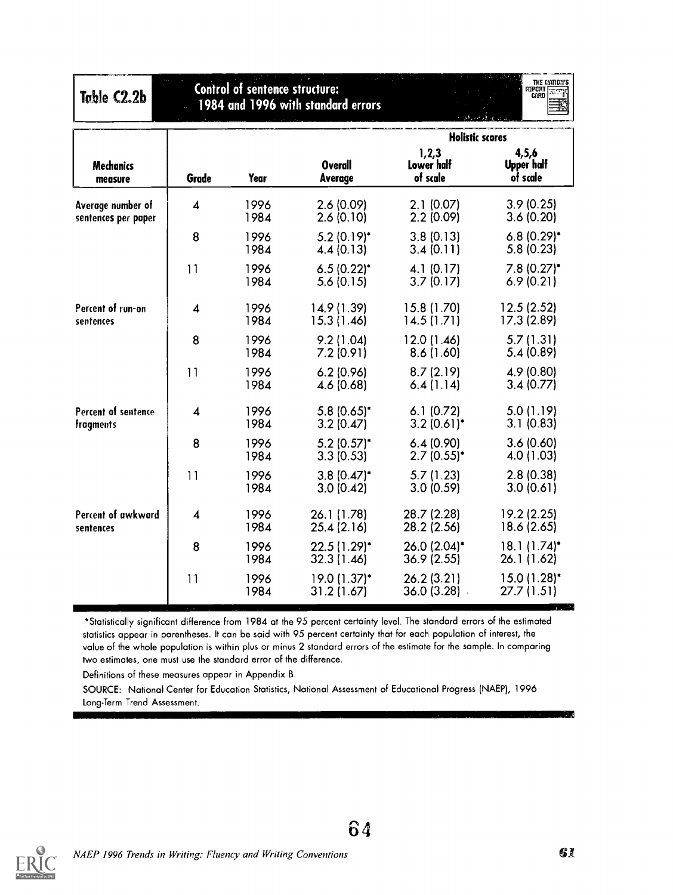| Table C2.2b                              | <b>Control of sentence structure:</b><br>1984 and 1996 with standard errors |              |                             | THE MATION'S<br>REPORT<br>QARD  |                                         |
|------------------------------------------|-----------------------------------------------------------------------------|--------------|-----------------------------|---------------------------------|-----------------------------------------|
|                                          |                                                                             |              |                             | <b>Holistic scores</b>          |                                         |
| <b>Mechanics</b><br>measure              | Grade                                                                       | Year         | <b>Overall</b><br>Average   | 1,2,3<br>Lower half<br>of scale | 4,5,6<br>Upper half<br>of scale         |
| Average number of<br>sentences per paper | $\overline{\mathbf{A}}$                                                     | 1996<br>1984 | 2.6(0.09)<br>2.6(0.10)      | 2.1(0.07)<br>2.2(0.09)          | 3.9(0.25)<br>3.6(0.20)                  |
|                                          | 8                                                                           | 1996<br>1984 | $5.2(0.19)^*$<br>4.4(0.13)  | 3.8(0.13)<br>3.4(0.11)          | $6.8(0.29)$ *<br>5.8(0.23)              |
|                                          | 11                                                                          | 1996<br>1984 | $6.5(0.22)^*$<br>5.6(0.15)  | 4.1(0.17)<br>3.7(0.17)          | $7.8(0.27)^*$<br>6.9(0.21)              |
| Percent of run-on<br>sentences           | $\overline{\mathbf{4}}$                                                     | 1996<br>1984 | 14.9 (1.39)<br>15.3 (1.46)  | 15.8 (1.70)<br>14.5(1.71)       | 12.5 (2.52)<br>17.3 (2.89)              |
|                                          | 8                                                                           | 1996<br>1984 | 9.2(1.04)<br>7.2(0.91)      | 12.0 (1.46)<br>8.6(1.60)        | 5.7(1.31)<br>5.4 (0.89)                 |
|                                          | 11                                                                          | 1996<br>1984 | 6.2(0.96)<br>4.6 (0.68)     | 8.7(2.19)<br>6.4(1.14)          | 4.9 (0.80)<br>3.4(0.77)                 |
| Percent of sentence<br>fragments         | $\overline{4}$                                                              | 1996<br>1984 | $5.8(0.65)^*$<br>3.2(0.47)  | 6.1(0.72)<br>$3.2(0.61)$ *      | 5.0(1.19)<br>3.1(0.83)                  |
|                                          | 8                                                                           | 1996<br>1984 | $5.2$ (0.57)*<br>3.3(0.53)  | 6.4(0.90)<br>$2.7(0.55)^*$      | 3.6(0.60)<br>4.0 (1.03)                 |
|                                          | 11                                                                          | 1996<br>1984 | $3.8(0.47)^*$<br>3.0(0.42)  | 5.7(1.23)<br>3.0(0.59)          | 2.8(0.38)<br>3.0(0.61)                  |
| Percent of awkward<br>sentences          | $\overline{4}$                                                              | 1996<br>1984 | 26.1 (1.78)<br>25.4 (2.16)  | 28.7 (2.28)<br>28.2 (2.56)      | 19.2 (2.25)<br>18.6 (2.65)              |
|                                          | 8                                                                           | 1996<br>1984 | 22.5 (1.29)*<br>32.3 (1.46) | 26.0 (2.04)*<br>36.9(2.55)      | $18.1(1.74)^*$<br>26.1 (1.62)           |
|                                          | 11                                                                          | 1996<br>1984 | 19.0 (1.37)*<br>31.2 (1.67) | 26.2(3.21)<br>36.0(3.28)        | $15.0(1.28)$ <sup>*</sup><br>27.7(1.51) |

Definitions of these measures appear in Appendix B.

SOURCE: National Center for Education Statistics, National Assessment of Educational Progress (NAEP), 1996 Long-Term Trend Assessment.



64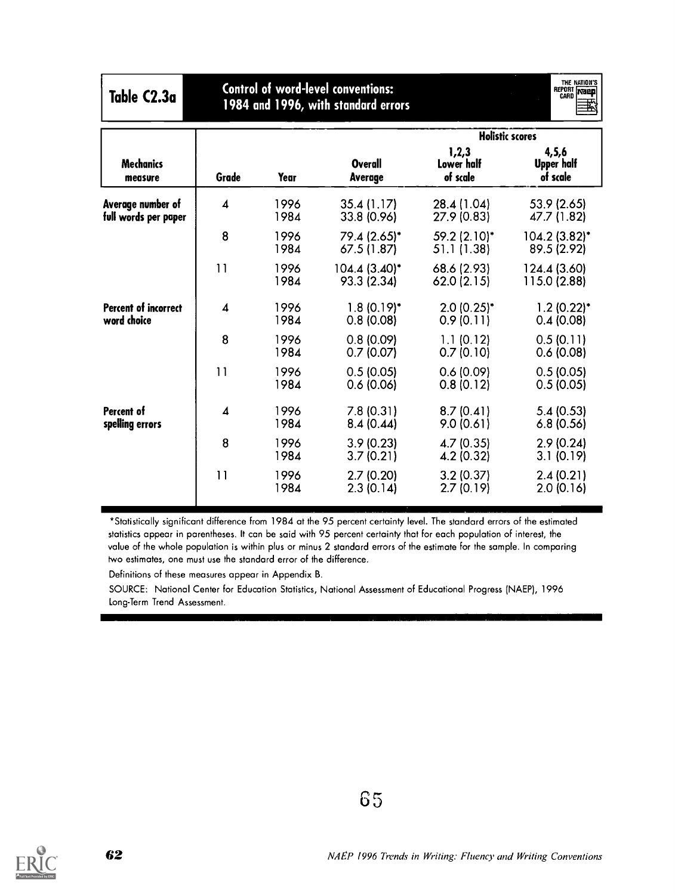| Table C2.3a                                |                  | <b>Control of word-level conventions:</b><br>1984 and 1996, with standard errors |                                |                                          | THE NATION'S<br>REPORT NEED  |  |  |
|--------------------------------------------|------------------|----------------------------------------------------------------------------------|--------------------------------|------------------------------------------|------------------------------|--|--|
|                                            |                  |                                                                                  |                                | <b>Holistic scores</b><br>1,2,3<br>4,5,6 |                              |  |  |
| <b>Mechanics</b><br>measure                | Grade            | Year                                                                             | Overall<br>Average             | Lower half<br>of scale                   | Upper half<br>of scale       |  |  |
| Average number of<br>full words per paper  | 4                | 1996<br>1984                                                                     | 35.4 (1.17)<br>33.8 (0.96)     | 28.4 (1.04)<br>27.9 (0.83)               | 53.9 (2.65)<br>47.7 (1.82)   |  |  |
|                                            | 8                | 1996<br>1984                                                                     | 79.4 (2.65)*<br>67.5 (1.87)    | 59.2 (2.10)*<br>51.1 (1.38)              | 104.2 (3.82)*<br>89.5 (2.92) |  |  |
|                                            | 11               | 1996<br>1984                                                                     | $104.4(3.40)^*$<br>93.3 (2.34) | 68.6 (2.93)<br>62.0(2.15)                | 124.4 (3.60)<br>115.0 (2.88) |  |  |
| <b>Percent of incorrect</b><br>word choice | $\boldsymbol{4}$ | 1996<br>1984                                                                     | $1.8(0.19)^*$<br>0.8(0.08)     | $2.0(0.25)$ *<br>0.9(0.11)               | $1.2(0.22)^*$<br>0.4(0.08)   |  |  |
|                                            | 8                | 1996<br>1984                                                                     | 0.8(0.09)<br>0.7(0.07)         | 1.1(0.12)<br>0.7(0.10)                   | 0.5(0.11)<br>0.6(0.08)       |  |  |
|                                            | 11               | 1996<br>1984                                                                     | 0.5(0.05)<br>0.6(0.06)         | 0.6(0.09)<br>0.8(0.12)                   | 0.5(0.05)<br>0.5(0.05)       |  |  |
| Percent of<br>spelling errors              | 4                | 1996<br>1984                                                                     | 7.8(0.31)<br>8.4(0.44)         | 8.7(0.41)<br>9.0(0.61)                   | 5.4(0.53)<br>6.8(0.56)       |  |  |
|                                            | 8                | 1996<br>1984                                                                     | 3.9(0.23)<br>3.7(0.21)         | 4.7(0.35)<br>4.2 (0.32)                  | 2.9(0.24)<br>3.1(0.19)       |  |  |
|                                            | 11               | 1996<br>1984                                                                     | 2.7(0.20)<br>2.3(0.14)         | 3.2(0.37)<br>2.7(0.19)                   | 2.4(0.21)<br>2.0(0.16)       |  |  |

Definitions of these measures appear in Appendix B.

SOURCE: National Center for Education Statistics, National Assessment of Educational Progress (NAEP), 1996 Long-Term Trend Assessment.

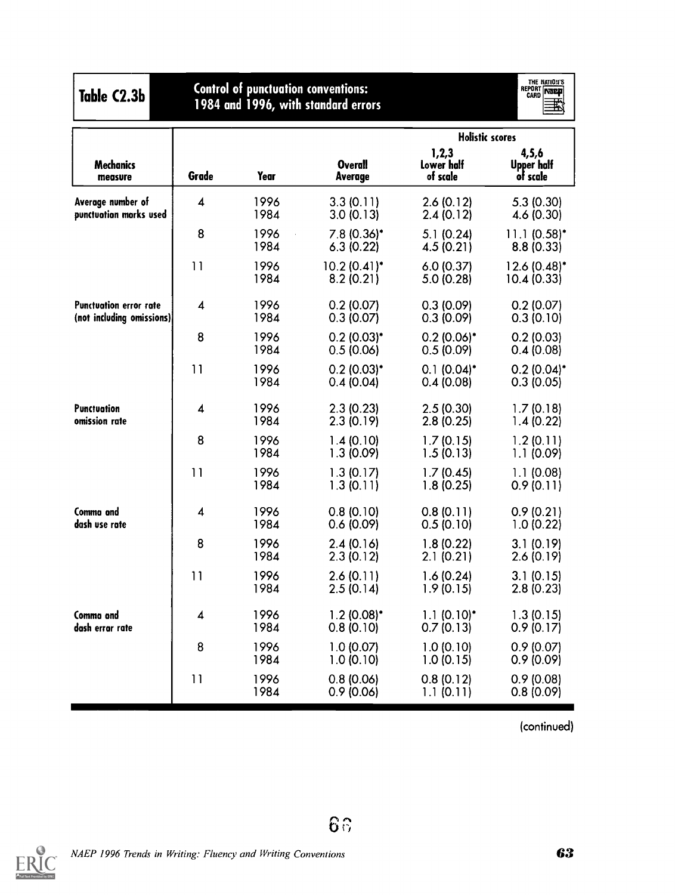| Table C2.3b                                         |       | <b>Control of punctuation conventions:</b><br>1984 and 1996, with standard errors |                             | THE NATION'S<br>REPORT <b>NEED</b> |                                        |
|-----------------------------------------------------|-------|-----------------------------------------------------------------------------------|-----------------------------|------------------------------------|----------------------------------------|
|                                                     |       |                                                                                   |                             | <b>Holistic scores</b>             |                                        |
| <b>Mechanics</b><br>measure                         | Grade | Year                                                                              | <b>Overall</b><br>Average   | 1,2,3<br>Lower half<br>of scale    | 4,5,6<br><b>Upper half</b><br>of scale |
| Average number of<br>punctuation marks used         | 4     | 1996<br>1984                                                                      | 3.3(0.11)<br>3.0(0.13)      | 2.6(0.12)<br>2.4(0.12)             | 5.3(0.30)<br>4.6(0.30)                 |
|                                                     | 8     | 1996<br>1984                                                                      | $7.8(0.36)^*$<br>6.3(0.22)  | 5.1(0.24)<br>4.5(0.21)             | $11.1(0.58)^*$<br>8.8(0.33)            |
|                                                     | 11    | 1996<br>1984                                                                      | $10.2(0.41)^*$<br>8.2(0.21) | 6.0(0.37)<br>5.0(0.28)             | $12.6(0.48)^*$<br>10.4(0.33)           |
| Punctuation error rate<br>(not including omissions) | 4     | 1996<br>1984                                                                      | 0.2(0.07)<br>0.3(0.07)      | 0.3(0.09)<br>0.3(0.09)             | 0.2(0.07)<br>0.3(0.10)                 |
|                                                     | 8     | 1996<br>1984                                                                      | $0.2(0.03)^*$<br>0.5(0.06)  | $0.2(0.06)^*$<br>0.5(0.09)         | 0.2(0.03)<br>0.4(0.08)                 |
|                                                     | 11    | 1996<br>1984                                                                      | $0.2(0.03)*$<br>0.4(0.04)   | $0.1 (0.04)^*$<br>0.4(0.08)        | $0.2(0.04)$ *<br>0.3(0.05)             |
| <b>Punctuation</b><br>omission rate                 | 4     | 1996<br>1984                                                                      | 2.3(0.23)<br>2.3(0.19)      | 2.5(0.30)<br>2.8(0.25)             | 1.7(0.18)<br>1.4(0.22)                 |
|                                                     | 8     | 1996<br>1984                                                                      | 1.4(0.10)<br>1.3(0.09)      | 1.7(0.15)<br>1.5(0.13)             | 1.2(0.11)<br>1.1(0.09)                 |
|                                                     | 11    | 1996<br>1984                                                                      | 1.3(0.17)<br>1.3(0.11)      | 1.7(0.45)<br>1.8(0.25)             | 1.1(0.08)<br>0.9(0.11)                 |
| Commo and<br>dash use rate                          | 4     | 1996<br>1984                                                                      | 0.8(0.10)<br>0.6(0.09)      | 0.8(0.11)<br>0.5(0.10)             | 0.9(0.21)<br>1.0(0.22)                 |
|                                                     | 8     | 1996<br>1984                                                                      | 2.4(0.16)<br>2.3(0.12)      | 1.8(0.22)<br>2.1(0.21)             | 3.1(0.19)<br>2.6(0.19)                 |
|                                                     | 11    | 1996<br>1984                                                                      | 2.6(0.11)<br>2.5(0.14)      | 1.6(0.24)<br>1.9(0.15)             | 3.1(0.15)<br>2.8(0.23)                 |
| Commo and<br>dash errar rate                        | 4     | 1996<br>1984                                                                      | $1.2(0.08)^*$<br>0.8(0.10)  | $1.1(0.10)^*$<br>0.7(0.13)         | 1.3(0.15)<br>0.9(0.17)                 |
|                                                     | 8     | 1996<br>1984                                                                      | 1.0(0.07)<br>1.0(0.10)      | 1.0(0.10)<br>1.0(0.15)             | 0.9(0.07)<br>0.9(0.09)                 |
|                                                     | 11    | 1996<br>1984                                                                      | 0.8(0.06)<br>0.9(0.06)      | 0.8(0.12)<br>1.1(0.11)             | 0.9(0.08)<br>0.8(0.09)                 |

(continued)



 $65$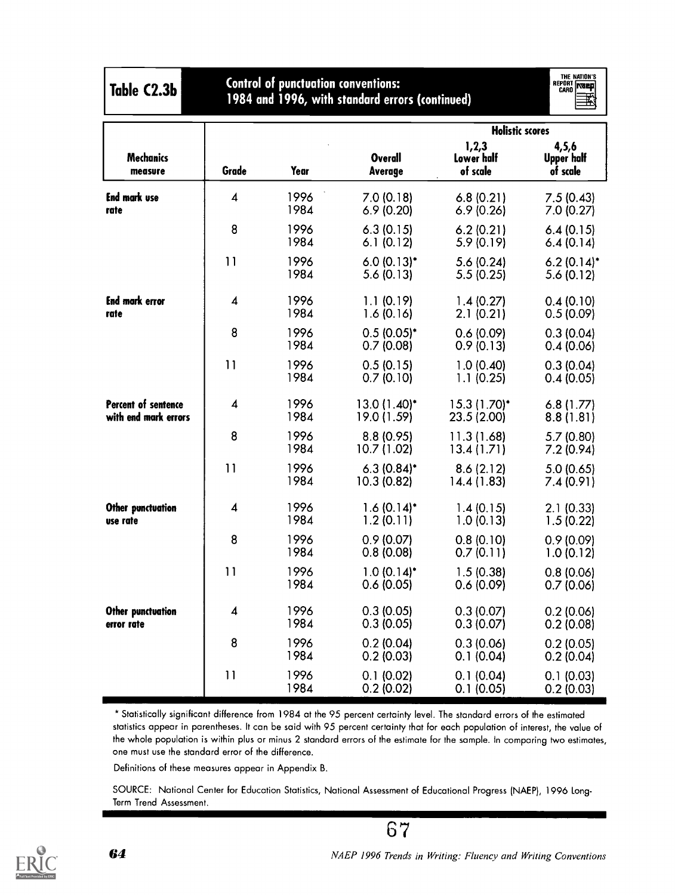| Table C2.3b                                 | <b>Control of punctuation conventions:</b><br>1984 and 1996, with standard errors (continued) |              |                                       |                                                           | THE NATION'S<br>REPORT <b>NEED</b> |
|---------------------------------------------|-----------------------------------------------------------------------------------------------|--------------|---------------------------------------|-----------------------------------------------------------|------------------------------------|
| <b>Mechanics</b><br>measure                 | Grade                                                                                         | Year         | Overall<br>Average                    | <b>Holistic scores</b><br>1,2,3<br>Lower half<br>of scale | 4,5,6<br>Upper half<br>of scale    |
| <b>End mark use</b><br>rate                 | 4                                                                                             | 1996<br>1984 | 7.0(0.18)<br>6.9(0.20)                | 6.8(0.21)<br>6.9(0.26)                                    | 7.5(0.43)<br>7.0 (0.27)            |
|                                             | 8                                                                                             | 1996<br>1984 | 6.3(0.15)<br>6.1(0.12)                | 6.2(0.21)<br>5.9(0.19)                                    | 6.4(0.15)<br>6.4(0.14)             |
|                                             | 11                                                                                            | 1996<br>1984 | $6.0(0.13)$ *<br>5.6(0.13)            | 5.6(0.24)<br>5.5(0.25)                                    | $6.2(0.14)$ *<br>5.6(0.12)         |
| End mork error<br>rate                      | 4                                                                                             | 1996<br>1984 | 1.1(0.19)<br>1.6(0.16)                | 1.4(0.27)<br>2.1(0.21)                                    | 0.4(0.10)<br>0.5(0.09)             |
|                                             | 8                                                                                             | 1996<br>1984 | $0.5(0.05)^*$<br>0.7(0.08)            | 0.6(0.09)<br>0.9(0.13)                                    | 0.3(0.04)<br>0.4(0.06)             |
|                                             | 11                                                                                            | 1996<br>1984 | 0.5(0.15)<br>0.7(0.10)                | 1.0(0.40)<br>1.1(0.25)                                    | 0.3(0.04)<br>0.4(0.05)             |
| Percent of sentence<br>with end mark errors | 4                                                                                             | 1996<br>1984 | 13.0 (1.40)*<br>19.0 (1.59)           | 15.3 (1.70)*<br>23.5 (2.00)                               | 6.8(1.77)<br>8.8(1.81)             |
|                                             | 8                                                                                             | 1996<br>1984 | 8.8 (0.95)<br>10.7 (1.02)             | 11.3(1.68)<br>13.4(1.71)                                  | 5.7(0.80)<br>7.2(0.94)             |
|                                             | 11                                                                                            | 1996<br>1984 | $6.3(0.84)$ *<br>10.3(0.82)           | 8.6(2.12)<br>14.4(1.83)                                   | 5.0(0.65)<br>7.4(0.91)             |
| Other punctuation<br>use rate               | 4                                                                                             | 1996<br>1984 | $1.6(0.14)$ <sup>*</sup><br>1.2(0.11) | 1.4(0.15)<br>1.0(0.13)                                    | 2.1(0.33)<br>1.5(0.22)             |
|                                             | 8                                                                                             | 1996<br>1984 | 0.9(0.07)<br>0.8(0.08)                | 0.8(0.10)<br>0.7(0.11)                                    | 0.9(0.09)<br>1.0(0.12)             |
|                                             | 11                                                                                            | 1996<br>1984 | $1.0(0.14)^*$<br>0.6(0.05)            | 1.5(0.38)<br>0.6(0.09)                                    | 0.8(0.06)<br>0.7(0.06)             |
| Other punctuation<br>error rate             | $\boldsymbol{4}$                                                                              | 1996<br>1984 | 0.3(0.05)<br>0.3(0.05)                | 0.3(0.07)<br>0.3(0.07)                                    | 0.2(0.06)<br>0.2(0.08)             |
|                                             | 8                                                                                             | 1996<br>1984 | 0.2(0.04)<br>0.2(0.03)                | 0.3(0.06)<br>0.1(0.04)                                    | 0.2(0.05)<br>0.2(0.04)             |
|                                             | 11                                                                                            | 1996<br>1984 | 0.1(0.02)<br>0.2(0.02)                | 0.1(0.04)<br>0.1(0.05)                                    | 0.1(0.03)<br>0.2(0.03)             |

Definitions of these measures appear in Appendix B.

SOURCE: National Center for Education Statistics, National Assessment of Educational Progress (NAEP), 1996 Long-Term Trend Assessment.



NAEP 1996 Trends in Writing: Fluency and Writing Conventions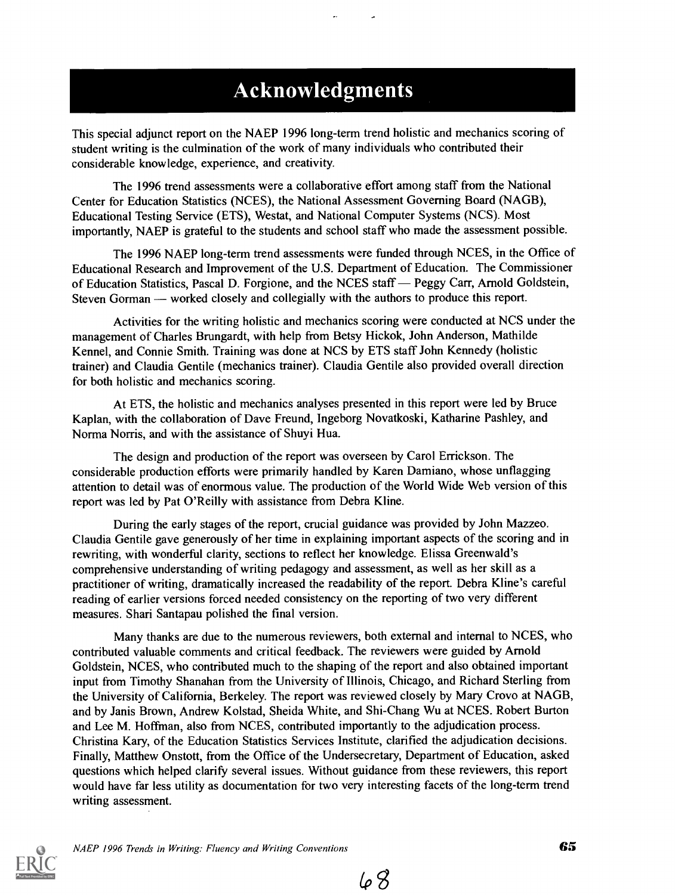## **Acknowledgments**

This special adjunct report on the NAEP 1996 long-term trend holistic and mechanics scoring of student writing is the culmination of the work of many individuals who contributed their considerable knowledge, experience, and creativity.

The 1996 trend assessments were a collaborative effort among staff from the National Center for Education Statistics (NCES), the National Assessment Governing Board (NAGB), Educational Testing Service (ETS), Westat, and National Computer Systems (NCS). Most importantly, NAEP is grateful to the students and school staff who made the assessment possible.

The 1996 NAEP long-term trend assessments were funded through NCES, in the Office of Educational Research and Improvement of the U.S. Department of Education. The Commissioner of Education Statistics, Pascal D. Forgione, and the NCES staff — Peggy Carr, Arnold Goldstein, Steven Gorman — worked closely and collegially with the authors to produce this report.

Activities for the writing holistic and mechanics scoring were conducted at NCS under the management of Charles Brungardt, with help from Betsy Hickok, John Anderson, Mathilde Kennel, and Connie Smith. Training was done at NCS by ETS staff John Kennedy (holistic trainer) and Claudia Gentile (mechanics trainer). Claudia Gentile also provided overall direction for both holistic and mechanics scoring.

At ETS, the holistic and mechanics analyses presented in this report were led by Bruce Kaplan, with the collaboration of Dave Freund, Ingeborg Novatkoski, Katharine Pashley, and Norma Norris, and with the assistance of Shuyi Hua.

The design and production of the report was overseen by Carol Errickson. The considerable production efforts were primarily handled by Karen Damiano, whose unflagging attention to detail was of enormous value. The production of the World Wide Web version of this report was led by Pat O'Reilly with assistance from Debra Kline.

During the early stages of the report, crucial guidance was provided by John Mazzeo. Claudia Gentile gave generously of her time in explaining important aspects of the scoring and in rewriting, with wonderful clarity, sections to reflect her knowledge. Elissa Greenwald's comprehensive understanding of writing pedagogy and assessment, as well as her skill as a practitioner of writing, dramatically increased the readability of the report. Debra Kline's careful reading of earlier versions forced needed consistency on the reporting of two very different measures. Shari Santapau polished the final version.

Many thanks are due to the numerous reviewers, both external and internal to NCES, who contributed valuable comments and critical feedback. The reviewers were guided by Arnold Goldstein, NCES, who contributed much to the shaping of the report and also obtained important input from Timothy Shanahan from the University of Illinois, Chicago, and Richard Sterling from the University of California, Berkeley. The report was reviewed closely by Mary Crovo at NAGB, and by Janis Brown, Andrew Kolstad, Sheida White, and Shi-Chang Wu at NCES. Robert Burton and Lee M. Hoffman, also from NCES, contributed importantly to the adjudication process. Christina Kary, of the Education Statistics Services Institute, clarified the adjudication decisions. Finally, Matthew Onstott, from the Office of the Undersecretary, Department of Education, asked questions which helped clarify several issues. Without guidance from these reviewers, this report would have far less utility as documentation for two very interesting facets of the long-term trend writing assessment.



 $68$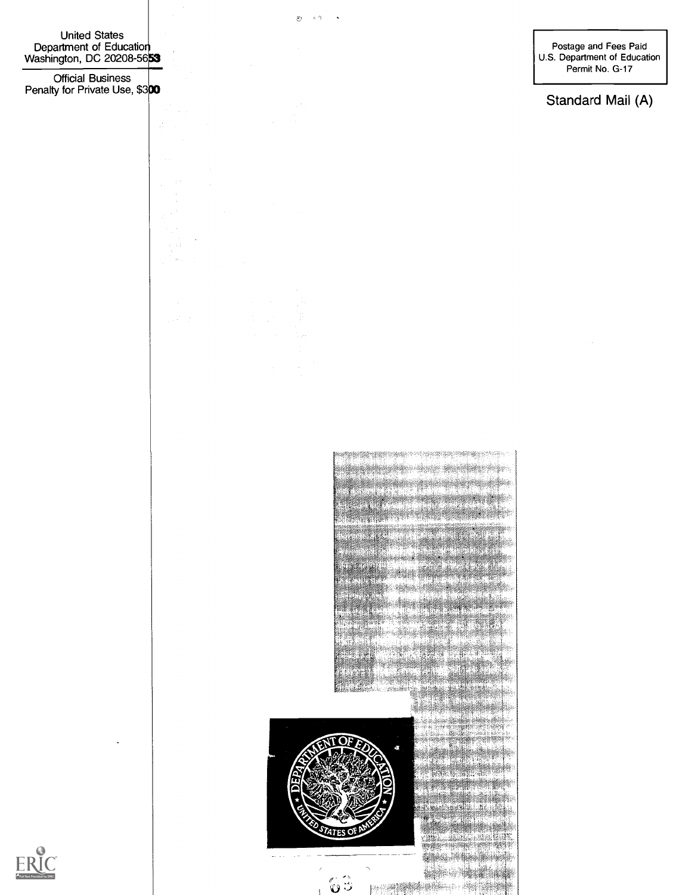United States Department of Education Washington, DC 20208-56**53**  S

Official Business Penalty for Private Use, \$300

 $\frac{1}{1+\epsilon}$ 

Postage and Fees Paid U.S. Department of Education Permit No. G-17

Standard Mail (A)

11114116: **/4 ignes STATES OF STATES**  $\omega_{\rm{max}}$  $\sim$   $\sim$ .<br>ပါ 

1